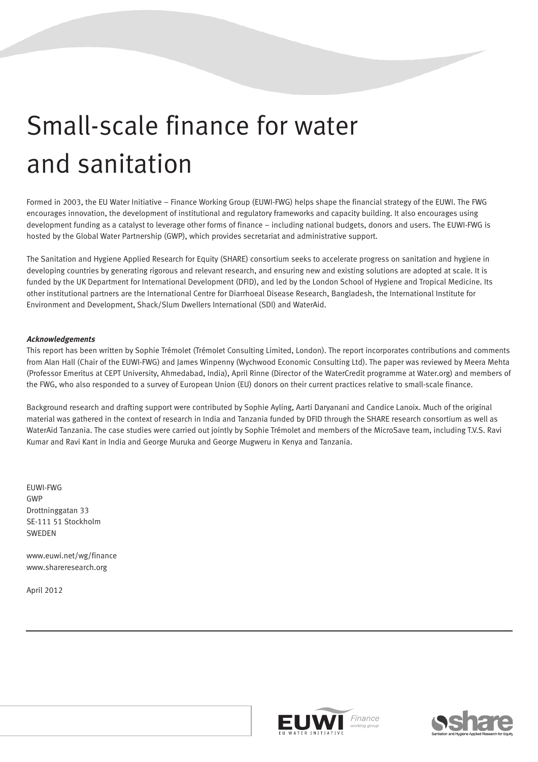# Small-scale finance for water and sanitation

Formed in 2003, the EU Water Initiative – Finance Working Group (EUWI-FWG) helps shape the financial strategy of the EUWI. The FWG encourages innovation, the development of institutional and regulatory frameworks and capacity building. It also encourages using development funding as a catalyst to leverage other forms of finance – including national budgets, donors and users. The EUWI-FWG is hosted by the Global Water Partnership (GWP), which provides secretariat and administrative support.

The Sanitation and Hygiene Applied Research for Equity (SHARE) consortium seeks to accelerate progress on sanitation and hygiene in developing countries by generating rigorous and relevant research, and ensuring new and existing solutions are adopted at scale. It is funded by the UK Department for International Development (DFID), and led by the London School of Hygiene and Tropical Medicine. Its other institutional partners are the International Centre for Diarrhoeal Disease Research, Bangladesh, the International Institute for Environment and Development, Shack/Slum Dwellers International (SDI) and WaterAid.

#### **Acknowledgements**

This report has been written by Sophie Trémolet (Trémolet Consulting Limited, London). The report incorporates contributions and comments from Alan Hall (Chair of the EUWI-FWG) and James Winpenny (Wychwood Economic Consulting Ltd). The paper was reviewed by Meera Mehta (Professor Emeritus at CEPT University, Ahmedabad, India), April Rinne (Director of the WaterCredit programme at Water.org) and members of the FWG, who also responded to a survey of European Union (EU) donors on their current practices relative to small-scale finance.

Background research and drafting support were contributed by Sophie Ayling, Aarti Daryanani and Candice Lanoix. Much of the original material was gathered in the context of research in India and Tanzania funded by DFID through the SHARE research consortium as well as WaterAid Tanzania. The case studies were carried out jointly by Sophie Trémolet and members of the MicroSave team, including T.V.S. Ravi Kumar and Ravi Kant in India and George Muruka and George Mugweru in Kenya and Tanzania.

EUWI-FWG GWP Drottninggatan 33 SE-111 51 Stockholm SWEDEN

www.euwi.net/wg/finance www.shareresearch.org

April 2012



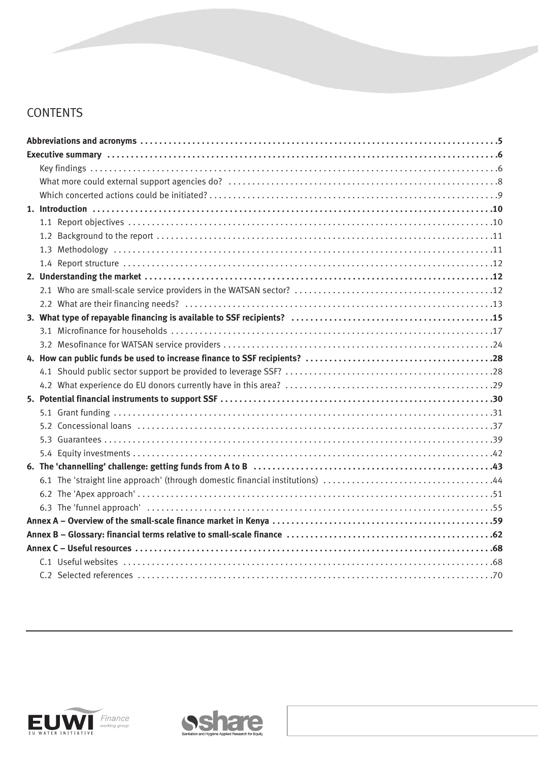## **CONTENTS**



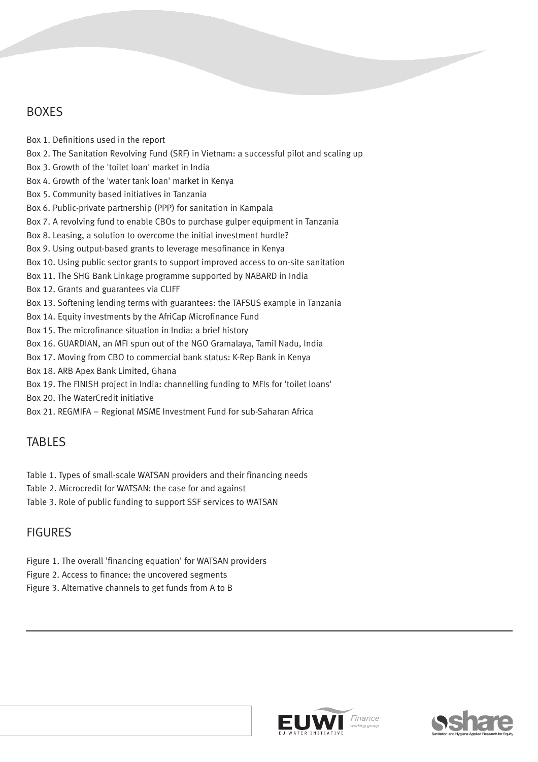## BOXES

Box 1. Definitions used in the report Box 2. The Sanitation Revolving Fund (SRF) in Vietnam: a successful pilot and scaling up Box 3. Growth of the 'toilet loan' market in India Box 4. Growth of the 'water tank loan' market in Kenya Box 5. Community based initiatives in Tanzania Box 6. Public-private partnership (PPP) for sanitation in Kampala Box 7. A revolving fund to enable CBOs to purchase gulper equipment in Tanzania Box 8. Leasing, a solution to overcome the initial investment hurdle? Box 9. Using output-based grants to leverage mesofinance in Kenya Box 10. Using public sector grants to support improved access to on-site sanitation Box 11. The SHG Bank Linkage programme supported by NABARD in India Box 12. Grants and guarantees via CLIFF Box 13. Softening lending terms with guarantees: the TAFSUS example in Tanzania Box 14. Equity investments by the AfriCap Microfinance Fund Box 15. The microfinance situation in India: a brief history Box 16. GUARDIAN, an MFI spun out of the NGO Gramalaya, Tamil Nadu, India Box 17. Moving from CBO to commercial bank status: K-Rep Bank in Kenya Box 18. ARB Apex Bank Limited, Ghana Box 19. The FINISH project in India: channelling funding to MFIs for 'toilet loans' Box 20. The WaterCredit initiative

Box 21. REGMIFA – Regional MSME Investment Fund for sub-Saharan Africa

## TABLES

- Table 1. Types of small-scale WATSAN providers and their financing needs
- Table 2. Microcredit for WATSAN: the case for and against
- Table 3. Role of public funding to support SSF services to WATSAN

## FIGURES

- Figure 1. The overall 'financing equation' for WATSAN providers
- Figure 2. Access to finance: the uncovered segments
- Figure 3. Alternative channels to get funds from A to B



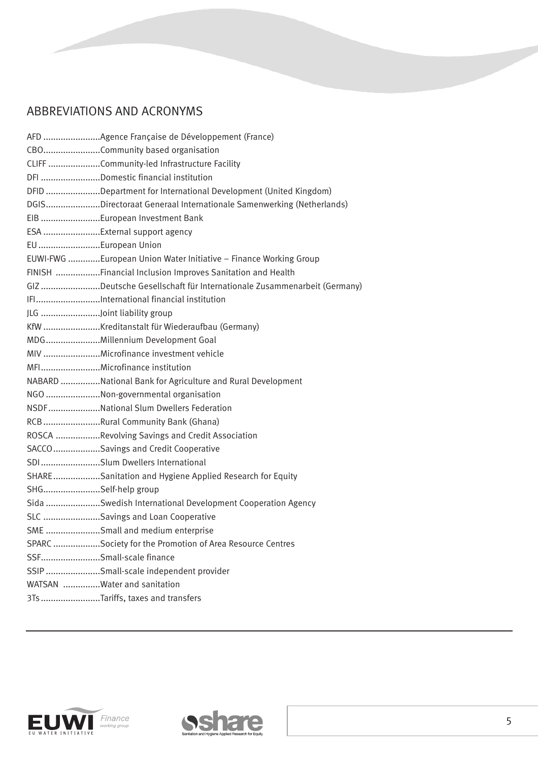## ABBREVIATIONS AND ACRONYMS

| CBOCommunity based organisation                                       |
|-----------------------------------------------------------------------|
| CLIFF Community-led Infrastructure Facility                           |
| DFI Domestic financial institution                                    |
| DFID Department for International Development (United Kingdom)        |
| DGISDirectoraat Generaal Internationale Samenwerking (Netherlands)    |
| EIB European Investment Bank                                          |
| ESA External support agency                                           |
| EU European Union                                                     |
| EUWI-FWG European Union Water Initiative - Finance Working Group      |
| FINISH Financial Inclusion Improves Sanitation and Health             |
| GIZ Deutsche Gesellschaft für Internationale Zusammenarbeit (Germany) |
| IFIInternational financial institution                                |
| JLG Joint liability group                                             |
| KfW Kreditanstalt für Wiederaufbau (Germany)                          |
| MDGMillennium Development Goal                                        |
| MIV Microfinance investment vehicle                                   |
| MFIMicrofinance institution                                           |
| NABARD National Bank for Agriculture and Rural Development            |
| NGO Non-governmental organisation                                     |
| NSDFNational Slum Dwellers Federation                                 |
| RCB Rural Community Bank (Ghana)                                      |
| ROSCA Revolving Savings and Credit Association                        |
| SACCO Savings and Credit Cooperative                                  |
| SDISlum Dwellers International                                        |
| SHARESanitation and Hygiene Applied Research for Equity               |
| SHGSelf-help group                                                    |
| Sida Swedish International Development Cooperation Agency             |
| SLC Savings and Loan Cooperative                                      |
| SME Small and medium enterprise                                       |
| SPARC Society for the Promotion of Area Resource Centres              |
| SSFSmall-scale finance                                                |
| SSIP Small-scale independent provider                                 |
| WATSAN Water and sanitation                                           |
| 3Ts Tariffs, taxes and transfers                                      |
|                                                                       |



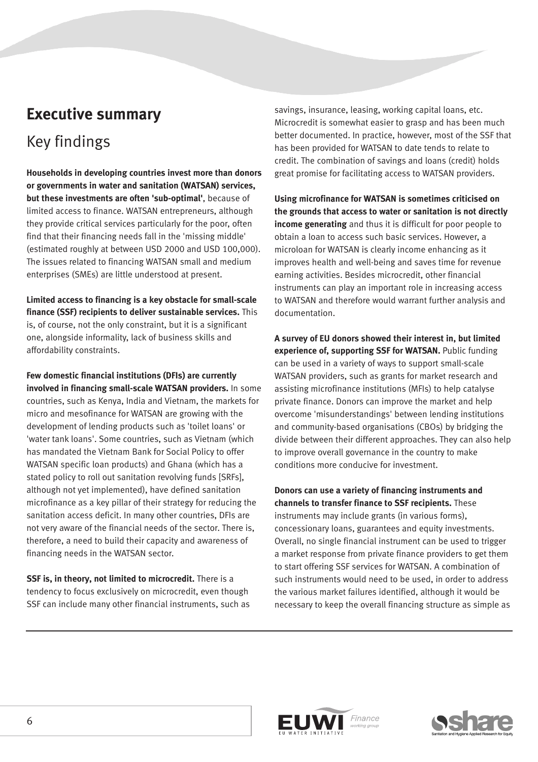## **Executive summary**

## Key findings

**Households in developing countries invest more than donors or governments in water and sanitation (WATSAN) services, but these investments are often 'sub-optimal'**, because of limited access to finance. WATSAN entrepreneurs, although they provide critical services particularly for the poor, often find that their financing needs fall in the 'missing middle' (estimated roughly at between USD 2000 and USD 100,000). The issues related to financing WATSAN small and medium enterprises (SMEs) are little understood at present.

**Limited access to financing is a key obstacle for small-scale finance (SSF) recipients to deliver sustainable services.** This is, of course, not the only constraint, but it is a significant one, alongside informality, lack of business skills and affordability constraints.

**Few domestic financial institutions (DFIs) are currently involved in financing small-scale WATSAN providers.** In some countries, such as Kenya, India and Vietnam, the markets for micro and mesofinance for WATSAN are growing with the development of lending products such as 'toilet loans' or 'water tank loans'. Some countries, such as Vietnam (which has mandated the Vietnam Bank for Social Policy to offer WATSAN specific loan products) and Ghana (which has a stated policy to roll out sanitation revolving funds [SRFs], although not yet implemented), have defined sanitation microfinance as a key pillar of their strategy for reducing the sanitation access deficit. In many other countries, DFIs are not very aware of the financial needs of the sector. There is, therefore, a need to build their capacity and awareness of financing needs in the WATSAN sector.

**SSF is, in theory, not limited to microcredit.** There is a tendency to focus exclusively on microcredit, even though SSF can include many other financial instruments, such as savings, insurance, leasing, working capital loans, etc. Microcredit is somewhat easier to grasp and has been much better documented. In practice, however, most of the SSF that has been provided for WATSAN to date tends to relate to credit. The combination of savings and loans (credit) holds great promise for facilitating access to WATSAN providers.

**Using microfinance for WATSAN is sometimes criticised on the grounds that access to water or sanitation is not directly income generating** and thus it is difficult for poor people to obtain a loan to access such basic services. However, a microloan for WATSAN is clearly income enhancing as it improves health and well-being and saves time for revenue earning activities. Besides microcredit, other financial instruments can play an important role in increasing access to WATSAN and therefore would warrant further analysis and documentation.

**A survey of EU donors showed their interest in, but limited experience of, supporting SSF for WATSAN.** Public funding can be used in a variety of ways to support small-scale WATSAN providers, such as grants for market research and assisting microfinance institutions (MFIs) to help catalyse private finance. Donors can improve the market and help overcome 'misunderstandings' between lending institutions and community-based organisations (CBOs) by bridging the divide between their different approaches. They can also help to improve overall governance in the country to make conditions more conducive for investment.

**Donors can use a variety of financing instruments and channels to transfer finance to SSF recipients.** These instruments may include grants (in various forms), concessionary loans, guarantees and equity investments. Overall, no single financial instrument can be used to trigger a market response from private finance providers to get them to start offering SSF services for WATSAN. A combination of such instruments would need to be used, in order to address the various market failures identified, although it would be necessary to keep the overall financing structure as simple as



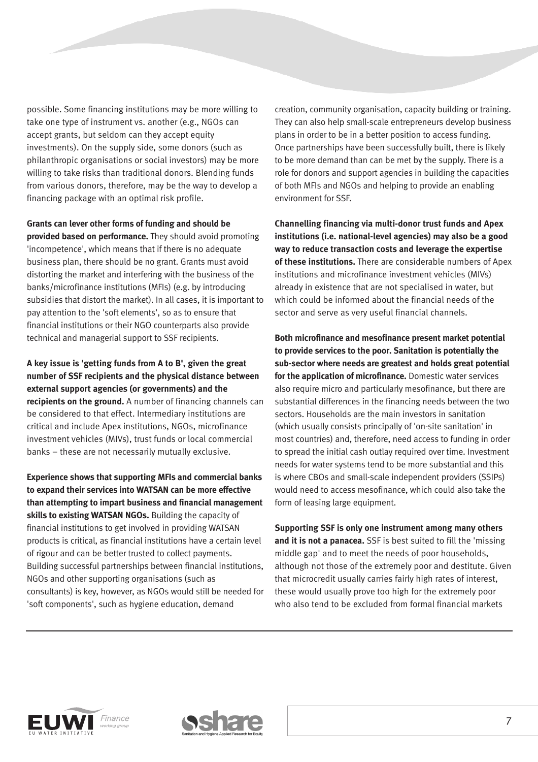possible. Some financing institutions may be more willing to take one type of instrument vs. another (e.g., NGOs can accept grants, but seldom can they accept equity investments). On the supply side, some donors (such as philanthropic organisations or social investors) may be more willing to take risks than traditional donors. Blending funds from various donors, therefore, may be the way to develop a financing package with an optimal risk profile.

**Grants can lever other forms of funding and should be provided based on performance.** They should avoid promoting 'incompetence', which means that if there is no adequate business plan, there should be no grant. Grants must avoid distorting the market and interfering with the business of the banks/microfinance institutions (MFIs) (e.g. by introducing subsidies that distort the market). In all cases, it is important to pay attention to the 'soft elements', so as to ensure that financial institutions or their NGO counterparts also provide technical and managerial support to SSF recipients.

**A key issue is 'getting funds from A to B', given the great number of SSF recipients and the physical distance between external support agencies (or governments) and the recipients on the ground.** A number of financing channels can be considered to that effect. Intermediary institutions are critical and include Apex institutions, NGOs, microfinance investment vehicles (MIVs), trust funds or local commercial banks – these are not necessarily mutually exclusive.

**Experience shows that supporting MFIs and commercial banks to expand their services into WATSAN can be more effective than attempting to impart business and financial management skills to existing WATSAN NGOs.** Building the capacity of financial institutions to get involved in providing WATSAN products is critical, as financial institutions have a certain level of rigour and can be better trusted to collect payments. Building successful partnerships between financial institutions, NGOs and other supporting organisations (such as consultants) is key, however, as NGOs would still be needed for 'soft components', such as hygiene education, demand

creation, community organisation, capacity building or training. They can also help small-scale entrepreneurs develop business plans in order to be in a better position to access funding. Once partnerships have been successfully built, there is likely to be more demand than can be met by the supply. There is a role for donors and support agencies in building the capacities of both MFIs and NGOs and helping to provide an enabling environment for SSF.

**Channelling financing via multi-donor trust funds and Apex institutions (i.e. national-level agencies) may also be a good way to reduce transaction costs and leverage the expertise of these institutions.** There are considerable numbers of Apex institutions and microfinance investment vehicles (MIVs) already in existence that are not specialised in water, but which could be informed about the financial needs of the sector and serve as very useful financial channels.

**Both microfinance and mesofinance present market potential to provide services to the poor. Sanitation is potentially the sub-sector where needs are greatest and holds great potential for the application of microfinance.** Domestic water services also require micro and particularly mesofinance, but there are substantial differences in the financing needs between the two sectors. Households are the main investors in sanitation (which usually consists principally of 'on-site sanitation' in most countries) and, therefore, need access to funding in order to spread the initial cash outlay required over time. Investment needs for water systems tend to be more substantial and this is where CBOs and small-scale independent providers (SSIPs) would need to access mesofinance, which could also take the form of leasing large equipment.

**Supporting SSF is only one instrument among many others and it is not a panacea.** SSF is best suited to fill the 'missing middle gap' and to meet the needs of poor households, although not those of the extremely poor and destitute. Given that microcredit usually carries fairly high rates of interest, these would usually prove too high for the extremely poor who also tend to be excluded from formal financial markets



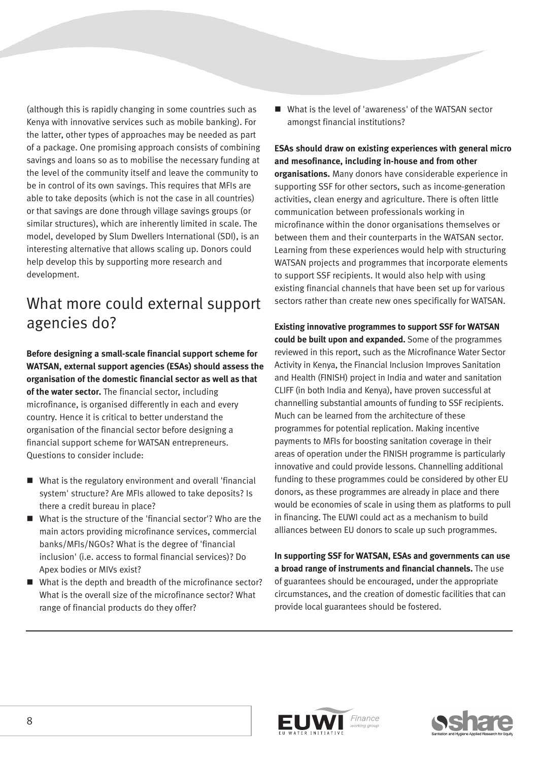(although this is rapidly changing in some countries such as Kenya with innovative services such as mobile banking). For the latter, other types of approaches may be needed as part of a package. One promising approach consists of combining savings and loans so as to mobilise the necessary funding at the level of the community itself and leave the community to be in control of its own savings. This requires that MFIs are able to take deposits (which is not the case in all countries) or that savings are done through village savings groups (or similar structures), which are inherently limited in scale. The model, developed by Slum Dwellers International (SDI), is an interesting alternative that allows scaling up. Donors could help develop this by supporting more research and development.

## What more could external support agencies do?

**Before designing a small-scale financial support scheme for WATSAN, external support agencies (ESAs) should assess the organisation of the domestic financial sector as well as that of the water sector.** The financial sector, including microfinance, is organised differently in each and every country. Hence it is critical to better understand the organisation of the financial sector before designing a financial support scheme for WATSAN entrepreneurs. Questions to consider include:

- What is the regulatory environment and overall 'financial system' structure? Are MFIs allowed to take deposits? Is there a credit bureau in place?
- What is the structure of the 'financial sector'? Who are the main actors providing microfinance services, commercial banks/MFIs/NGOs? What is the degree of 'financial inclusion' (i.e. access to formal financial services)? Do Apex bodies or MIVs exist?
- What is the depth and breadth of the microfinance sector? What is the overall size of the microfinance sector? What range of financial products do they offer?

■ What is the level of 'awareness' of the WATSAN sector amongst financial institutions?

**ESAs should draw on existing experiences with general micro and mesofinance, including in-house and from other organisations.** Many donors have considerable experience in supporting SSF for other sectors, such as income-generation activities, clean energy and agriculture. There is often little communication between professionals working in microfinance within the donor organisations themselves or between them and their counterparts in the WATSAN sector. Learning from these experiences would help with structuring WATSAN projects and programmes that incorporate elements to support SSF recipients. It would also help with using existing financial channels that have been set up for various sectors rather than create new ones specifically for WATSAN.

**Existing innovative programmes to support SSF for WATSAN could be built upon and expanded.** Some of the programmes reviewed in this report, such as the Microfinance Water Sector Activity in Kenya, the Financial Inclusion Improves Sanitation and Health (FINISH) project in India and water and sanitation CLIFF (in both India and Kenya), have proven successful at channelling substantial amounts of funding to SSF recipients. Much can be learned from the architecture of these programmes for potential replication. Making incentive payments to MFIs for boosting sanitation coverage in their areas of operation under the FINISH programme is particularly innovative and could provide lessons. Channelling additional funding to these programmes could be considered by other EU donors, as these programmes are already in place and there would be economies of scale in using them as platforms to pull in financing. The EUWI could act as a mechanism to build alliances between EU donors to scale up such programmes.

**In supporting SSF for WATSAN, ESAs and governments can use a broad range of instruments and financial channels.** The use of guarantees should be encouraged, under the appropriate circumstances, and the creation of domestic facilities that can provide local guarantees should be fostered.



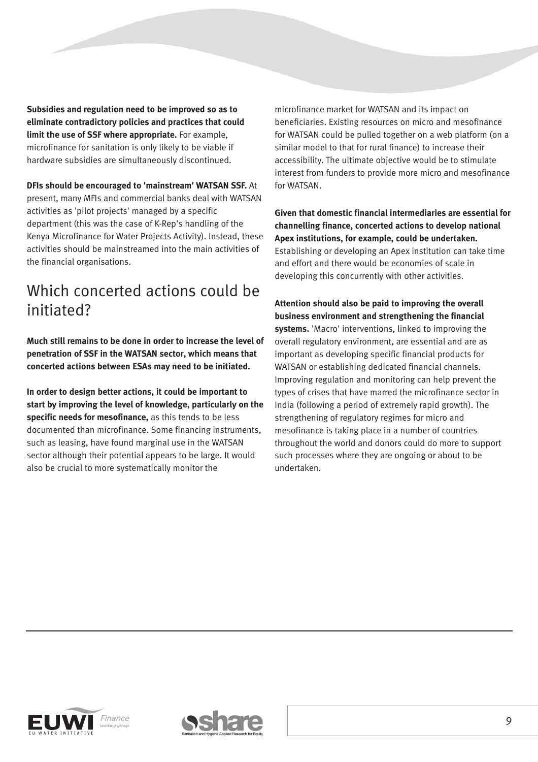**Subsidies and regulation need to be improved so as to eliminate contradictory policies and practices that could limit the use of SSF where appropriate.** For example, microfinance for sanitation is only likely to be viable if hardware subsidies are simultaneously discontinued.

**DFIs should be encouraged to 'mainstream' WATSAN SSF.** At present, many MFIs and commercial banks deal with WATSAN activities as 'pilot projects' managed by a specific department (this was the case of K-Rep's handling of the Kenya Microfinance for Water Projects Activity). Instead, these activities should be mainstreamed into the main activities of the financial organisations.

## Which concerted actions could be initiated?

**Much still remains to be done in order to increase the level of penetration of SSF in the WATSAN sector, which means that concerted actions between ESAs may need to be initiated.**

**In order to design better actions, it could be important to start by improving the level of knowledge, particularly on the specific needs for mesofinance,** as this tends to be less documented than microfinance. Some financing instruments, such as leasing, have found marginal use in the WATSAN sector although their potential appears to be large. It would also be crucial to more systematically monitor the

microfinance market for WATSAN and its impact on beneficiaries. Existing resources on micro and mesofinance for WATSAN could be pulled together on a web platform (on a similar model to that for rural finance) to increase their accessibility. The ultimate objective would be to stimulate interest from funders to provide more micro and mesofinance for WATSAN.

**Given that domestic financial intermediaries are essential for channelling finance, concerted actions to develop national Apex institutions, for example, could be undertaken.** Establishing or developing an Apex institution can take time and effort and there would be economies of scale in developing this concurrently with other activities.

**Attention should also be paid to improving the overall business environment and strengthening the financial systems.** 'Macro' interventions, linked to improving the overall regulatory environment, are essential and are as important as developing specific financial products for WATSAN or establishing dedicated financial channels. Improving regulation and monitoring can help prevent the types of crises that have marred the microfinance sector in India (following a period of extremely rapid growth). The strengthening of regulatory regimes for micro and mesofinance is taking place in a number of countries throughout the world and donors could do more to support such processes where they are ongoing or about to be undertaken.



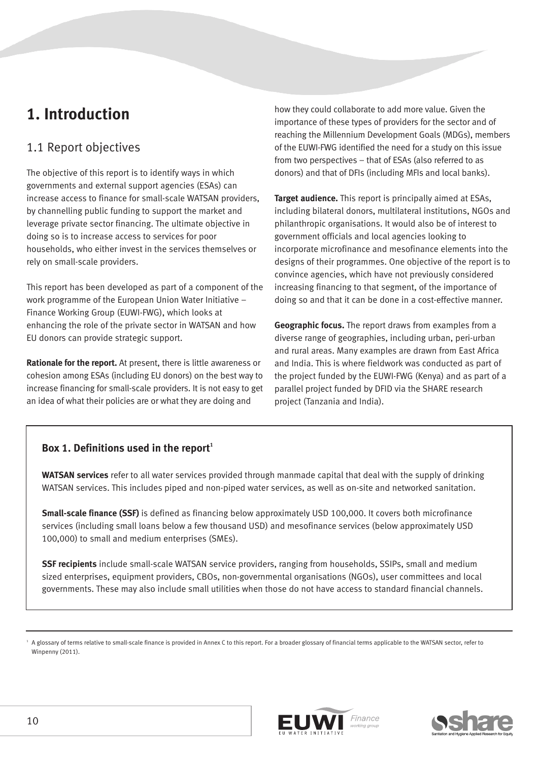## **1. Introduction**

## 1.1 Report objectives

The objective of this report is to identify ways in which governments and external support agencies (ESAs) can increase access to finance for small-scale WATSAN providers, by channelling public funding to support the market and leverage private sector financing. The ultimate objective in doing so is to increase access to services for poor households, who either invest in the services themselves or rely on small-scale providers.

This report has been developed as part of a component of the work programme of the European Union Water Initiative – Finance Working Group (EUWI-FWG), which looks at enhancing the role of the private sector in WATSAN and how EU donors can provide strategic support.

**Rationale for the report.** At present, there is little awareness or cohesion among ESAs (including EU donors) on the best way to increase financing for small-scale providers. It is not easy to get an idea of what their policies are or what they are doing and

how they could collaborate to add more value. Given the importance of these types of providers for the sector and of reaching the Millennium Development Goals (MDGs), members of the EUWI-FWG identified the need for a study on this issue from two perspectives – that of ESAs (also referred to as donors) and that of DFIs (including MFIs and local banks).

**Target audience.** This report is principally aimed at ESAs, including bilateral donors, multilateral institutions, NGOs and philanthropic organisations. It would also be of interest to government officials and local agencies looking to incorporate microfinance and mesofinance elements into the designs of their programmes. One objective of the report is to convince agencies, which have not previously considered increasing financing to that segment, of the importance of doing so and that it can be done in a cost-effective manner.

**Geographic focus.** The report draws from examples from a diverse range of geographies, including urban, peri-urban and rural areas. Many examples are drawn from East Africa and India. This is where fieldwork was conducted as part of the project funded by the EUWI-FWG (Kenya) and as part of a parallel project funded by DFID via the SHARE research project (Tanzania and India).

## Box 1. Definitions used in the report<sup>1</sup>

**WATSAN services** refer to all water services provided through manmade capital that deal with the supply of drinking WATSAN services. This includes piped and non-piped water services, as well as on-site and networked sanitation.

**Small-scale finance (SSF)** is defined as financing below approximately USD 100,000. It covers both microfinance services (including small loans below a few thousand USD) and mesofinance services (below approximately USD 100,000) to small and medium enterprises (SMEs).

**SSF recipients** include small-scale WATSAN service providers, ranging from households, SSIPs, small and medium sized enterprises, equipment providers, CBOs, non-governmental organisations (NGOs), user committees and local governments. These may also include small utilities when those do not have access to standard financial channels.





<sup>1</sup> A glossary of terms relative to small-scale finance is provided in Annex C to this report. For a broader glossary of financial terms applicable to the WATSAN sector, refer to Winpenny (2011).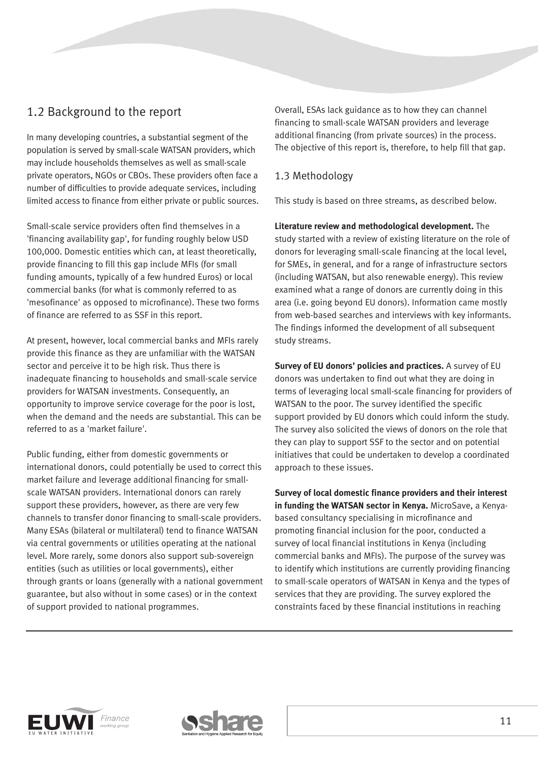## 1.2 Background to the report

In many developing countries, a substantial segment of the population is served by small-scale WATSAN providers, which may include households themselves as well as small-scale private operators, NGOs or CBOs. These providers often face a number of difficulties to provide adequate services, including limited access to finance from either private or public sources.

Small-scale service providers often find themselves in a 'financing availability gap', for funding roughly below USD 100,000. Domestic entities which can, at least theoretically, provide financing to fill this gap include MFIs (for small funding amounts, typically of a few hundred Euros) or local commercial banks (for what is commonly referred to as 'mesofinance' as opposed to microfinance). These two forms of finance are referred to as SSF in this report.

At present, however, local commercial banks and MFIs rarely provide this finance as they are unfamiliar with the WATSAN sector and perceive it to be high risk. Thus there is inadequate financing to households and small-scale service providers for WATSAN investments. Consequently, an opportunity to improve service coverage for the poor is lost, when the demand and the needs are substantial. This can be referred to as a 'market failure'.

Public funding, either from domestic governments or international donors, could potentially be used to correct this market failure and leverage additional financing for smallscale WATSAN providers. International donors can rarely support these providers, however, as there are very few channels to transfer donor financing to small-scale providers. Many ESAs (bilateral or multilateral) tend to finance WATSAN via central governments or utilities operating at the national level. More rarely, some donors also support sub-sovereign entities (such as utilities or local governments), either through grants or loans (generally with a national government guarantee, but also without in some cases) or in the context of support provided to national programmes.

Overall, ESAs lack guidance as to how they can channel financing to small-scale WATSAN providers and leverage additional financing (from private sources) in the process. The objective of this report is, therefore, to help fill that gap.

## 1.3 Methodology

This study is based on three streams, as described below.

**Literature review and methodological development.** The study started with a review of existing literature on the role of donors for leveraging small-scale financing at the local level, for SMEs, in general, and for a range of infrastructure sectors (including WATSAN, but also renewable energy). This review examined what a range of donors are currently doing in this area (i.e. going beyond EU donors). Information came mostly from web-based searches and interviews with key informants. The findings informed the development of all subsequent study streams.

**Survey of EU donors' policies and practices.** A survey of EU donors was undertaken to find out what they are doing in terms of leveraging local small-scale financing for providers of WATSAN to the poor. The survey identified the specific support provided by EU donors which could inform the study. The survey also solicited the views of donors on the role that they can play to support SSF to the sector and on potential initiatives that could be undertaken to develop a coordinated approach to these issues.

**Survey of local domestic finance providers and their interest in funding the WATSAN sector in Kenya.** MicroSave, a Kenyabased consultancy specialising in microfinance and promoting financial inclusion for the poor, conducted a survey of local financial institutions in Kenya (including commercial banks and MFIs). The purpose of the survey was to identify which institutions are currently providing financing to small-scale operators of WATSAN in Kenya and the types of services that they are providing. The survey explored the constraints faced by these financial institutions in reaching



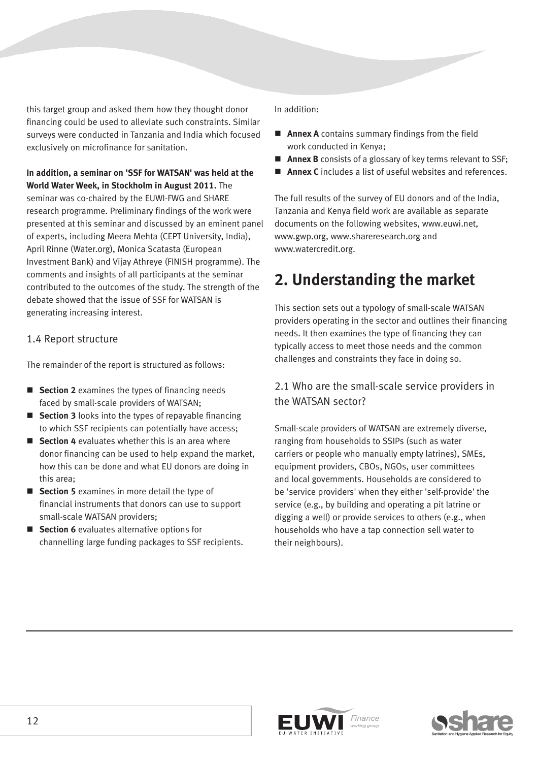this target group and asked them how they thought donor financing could be used to alleviate such constraints. Similar surveys were conducted in Tanzania and India which focused exclusively on microfinance for sanitation.

**In addition, a seminar on 'SSF for WATSAN' was held at the World Water Week, in Stockholm in August 2011.** The seminar was co-chaired by the EUWI-FWG and SHARE research programme. Preliminary findings of the work were presented at this seminar and discussed by an eminent panel of experts, including Meera Mehta (CEPT University, India), April Rinne (Water.org), Monica Scatasta (European Investment Bank) and Vijay Athreye (FINISH programme). The comments and insights of all participants at the seminar contributed to the outcomes of the study. The strength of the debate showed that the issue of SSF for WATSAN is generating increasing interest.

### 1.4 Report structure

The remainder of the report is structured as follows:

- **Section 2** examines the types of financing needs faced by small-scale providers of WATSAN;
- **Section 3** looks into the types of repayable financing to which SSF recipients can potentially have access;
- **Section 4** evaluates whether this is an area where donor financing can be used to help expand the market, how this can be done and what EU donors are doing in this area;
- **Section 5** examines in more detail the type of financial instruments that donors can use to support small-scale WATSAN providers;
- **Section 6** evaluates alternative options for channelling large funding packages to SSF recipients.

#### In addition:

- **Annex A** contains summary findings from the field work conducted in Kenya;
- **Annex B** consists of a glossary of key terms relevant to SSF:
- **Annex C** includes a list of useful websites and references.

The full results of the survey of EU donors and of the India, Tanzania and Kenya field work are available as separate documents on the following websites, www.euwi.net, www.gwp.org, www.shareresearch.org and www.watercredit.org.

## **2. Understanding the market**

This section sets out a typology of small-scale WATSAN providers operating in the sector and outlines their financing needs. It then examines the type of financing they can typically access to meet those needs and the common challenges and constraints they face in doing so.

2.1 Who are the small-scale service providers in the WATSAN sector?

Small-scale providers of WATSAN are extremely diverse, ranging from households to SSIPs (such as water carriers or people who manually empty latrines), SMEs, equipment providers, CBOs, NGOs, user committees and local governments. Households are considered to be 'service providers' when they either 'self-provide' the service (e.g., by building and operating a pit latrine or digging a well) or provide services to others (e.g., when households who have a tap connection sell water to their neighbours).



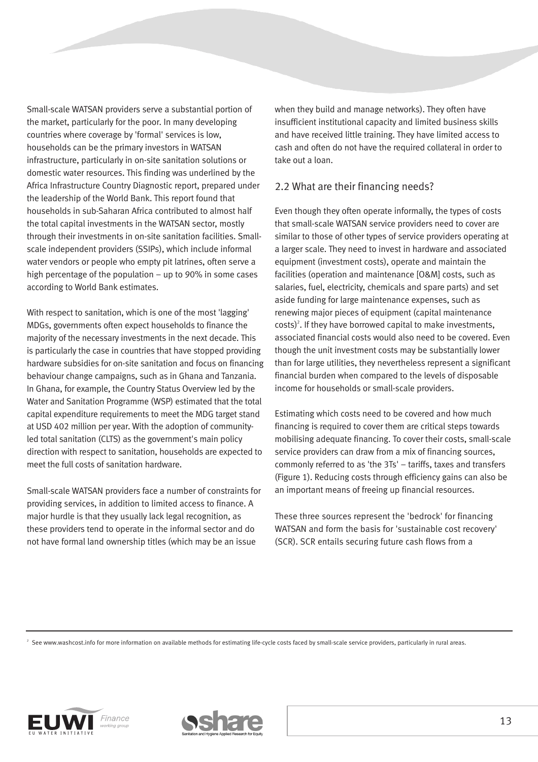Small-scale WATSAN providers serve a substantial portion of the market, particularly for the poor. In many developing countries where coverage by 'formal' services is low, households can be the primary investors in WATSAN infrastructure, particularly in on-site sanitation solutions or domestic water resources. This finding was underlined by the Africa Infrastructure Country Diagnostic report, prepared under the leadership of the World Bank. This report found that households in sub-Saharan Africa contributed to almost half the total capital investments in the WATSAN sector, mostly through their investments in on-site sanitation facilities. Smallscale independent providers (SSIPs), which include informal water vendors or people who empty pit latrines, often serve a high percentage of the population – up to 90% in some cases according to World Bank estimates.

With respect to sanitation, which is one of the most 'lagging' MDGs, governments often expect households to finance the majority of the necessary investments in the next decade. This is particularly the case in countries that have stopped providing hardware subsidies for on-site sanitation and focus on financing behaviour change campaigns, such as in Ghana and Tanzania. In Ghana, for example, the Country Status Overview led by the Water and Sanitation Programme (WSP) estimated that the total capital expenditure requirements to meet the MDG target stand at USD 402 million per year. With the adoption of communityled total sanitation (CLTS) as the government's main policy direction with respect to sanitation, households are expected to meet the full costs of sanitation hardware.

Small-scale WATSAN providers face a number of constraints for providing services, in addition to limited access to finance. A major hurdle is that they usually lack legal recognition, as these providers tend to operate in the informal sector and do not have formal land ownership titles (which may be an issue

when they build and manage networks). They often have insufficient institutional capacity and limited business skills and have received little training. They have limited access to cash and often do not have the required collateral in order to take out a loan.

#### 2.2 What are their financing needs?

Even though they often operate informally, the types of costs that small-scale WATSAN service providers need to cover are similar to those of other types of service providers operating at a larger scale. They need to invest in hardware and associated equipment (investment costs), operate and maintain the facilities (operation and maintenance [O&M] costs, such as salaries, fuel, electricity, chemicals and spare parts) and set aside funding for large maintenance expenses, such as renewing major pieces of equipment (capital maintenance  $costs$ <sup>2</sup>. If they have borrowed capital to make investments, associated financial costs would also need to be covered. Even though the unit investment costs may be substantially lower than for large utilities, they nevertheless represent a significant financial burden when compared to the levels of disposable income for households or small-scale providers.

Estimating which costs need to be covered and how much financing is required to cover them are critical steps towards mobilising adequate financing. To cover their costs, small-scale service providers can draw from a mix of financing sources, commonly referred to as 'the 3Ts' – tariffs, taxes and transfers (Figure 1). Reducing costs through efficiency gains can also be an important means of freeing up financial resources.

These three sources represent the 'bedrock' for financing WATSAN and form the basis for 'sustainable cost recovery' (SCR). SCR entails securing future cash flows from a

<sup>2</sup> See www.washcost.info for more information on available methods for estimating life-cycle costs faced by small-scale service providers, particularly in rural areas.



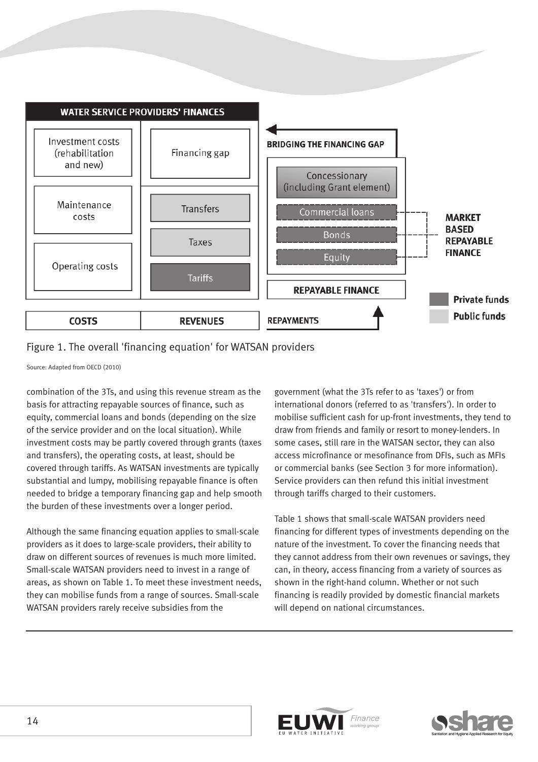

## Figure 1. The overall 'financing equation' for WATSAN providers

Source: Adapted from OECD (2010)

combination of the 3Ts, and using this revenue stream as the basis for attracting repayable sources of finance, such as equity, commercial loans and bonds (depending on the size of the service provider and on the local situation). While investment costs may be partly covered through grants (taxes and transfers), the operating costs, at least, should be covered through tariffs. As WATSAN investments are typically substantial and lumpy, mobilising repayable finance is often needed to bridge a temporary financing gap and help smooth the burden of these investments over a longer period.

Although the same financing equation applies to small-scale providers as it does to large-scale providers, their ability to draw on different sources of revenues is much more limited. Small-scale WATSAN providers need to invest in a range of areas, as shown on Table 1. To meet these investment needs, they can mobilise funds from a range of sources. Small-scale WATSAN providers rarely receive subsidies from the

government (what the 3Ts refer to as 'taxes') or from international donors (referred to as 'transfers'). In order to mobilise sufficient cash for up-front investments, they tend to draw from friends and family or resort to money-lenders. In some cases, still rare in the WATSAN sector, they can also access microfinance or mesofinance from DFIs, such as MFIs or commercial banks (see Section 3 for more information). Service providers can then refund this initial investment through tariffs charged to their customers.

Table 1 shows that small-scale WATSAN providers need financing for different types of investments depending on the nature of the investment. To cover the financing needs that they cannot address from their own revenues or savings, they can, in theory, access financing from a variety of sources as shown in the right-hand column. Whether or not such financing is readily provided by domestic financial markets will depend on national circumstances.



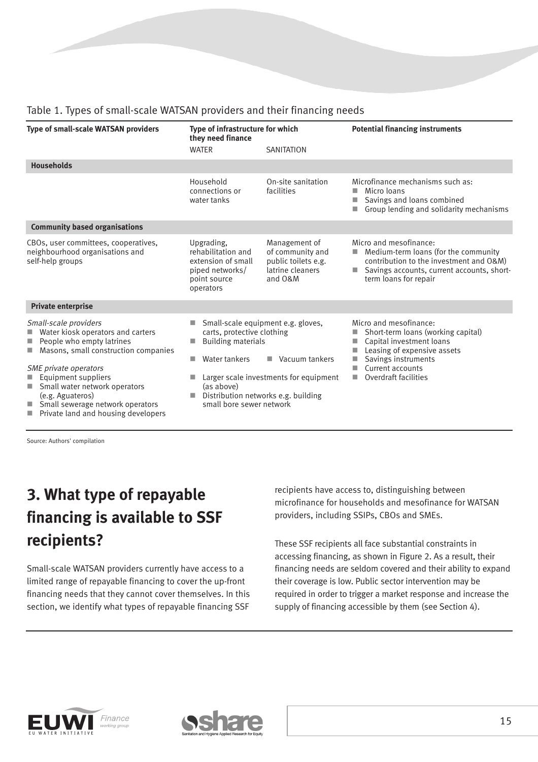| <b>Type of small-scale WATSAN providers</b>                                                                                                                                                                                                                                                                                                                                                                                                                                                                                       | Type of infrastructure for which<br>they need finance                                                  |                                                                                         | <b>Potential financing instruments</b>                                                                                                                                                                     |
|-----------------------------------------------------------------------------------------------------------------------------------------------------------------------------------------------------------------------------------------------------------------------------------------------------------------------------------------------------------------------------------------------------------------------------------------------------------------------------------------------------------------------------------|--------------------------------------------------------------------------------------------------------|-----------------------------------------------------------------------------------------|------------------------------------------------------------------------------------------------------------------------------------------------------------------------------------------------------------|
|                                                                                                                                                                                                                                                                                                                                                                                                                                                                                                                                   | <b>WATER</b>                                                                                           | <b>SANITATION</b>                                                                       |                                                                                                                                                                                                            |
| <b>Households</b>                                                                                                                                                                                                                                                                                                                                                                                                                                                                                                                 |                                                                                                        |                                                                                         |                                                                                                                                                                                                            |
|                                                                                                                                                                                                                                                                                                                                                                                                                                                                                                                                   | Household<br>connections or<br>water tanks                                                             | On-site sanitation<br>facilities                                                        | Microfinance mechanisms such as:<br>Micro loans<br>Savings and loans combined<br>Group lending and solidarity mechanisms<br>п                                                                              |
| <b>Community based organisations</b>                                                                                                                                                                                                                                                                                                                                                                                                                                                                                              |                                                                                                        |                                                                                         |                                                                                                                                                                                                            |
| CBOs, user committees, cooperatives,<br>neighbourhood organisations and<br>self-help groups                                                                                                                                                                                                                                                                                                                                                                                                                                       | Upgrading,<br>rehabilitation and<br>extension of small<br>piped networks/<br>point source<br>operators | Management of<br>of community and<br>public toilets e.g.<br>latrine cleaners<br>and O&M | Micro and mesofinance:<br>Medium-term loans (for the community<br>contribution to the investment and O&M)<br>Savings accounts, current accounts, short-<br>term loans for repair                           |
| <b>Private enterprise</b>                                                                                                                                                                                                                                                                                                                                                                                                                                                                                                         |                                                                                                        |                                                                                         |                                                                                                                                                                                                            |
| Small-scale providers<br>Small-scale equipment e.g. gloves,<br>Ш<br>Water kiosk operators and carters<br>carts, protective clothing<br>People who empty latrines<br><b>Building materials</b><br>п<br>ш<br>Masons, small construction companies<br>Water tankers<br>SME private operators<br>Equipment suppliers<br>Small water network operators<br>(as above)<br>Distribution networks e.g. building<br>(e.g. Aguateros)<br>Small sewerage network operators<br>small bore sewer network<br>Private land and housing developers |                                                                                                        | Vacuum tankers<br>٠<br>Larger scale investments for equipment                           | Micro and mesofinance:<br>Short-term loans (working capital)<br>Capital investment loans<br>٠<br>Leasing of expensive assets<br>Savings instruments<br>Current accounts<br>٠<br>Overdraft facilities<br>m. |

## Table 1. Types of small-scale WATSAN providers and their financing needs

Source: Authors' compilation

## **3. What type of repayable financing is available to SSF recipients?**

Small-scale WATSAN providers currently have access to a limited range of repayable financing to cover the up-front financing needs that they cannot cover themselves. In this section, we identify what types of repayable financing SSF

recipients have access to, distinguishing between microfinance for households and mesofinance for WATSAN providers, including SSIPs, CBOs and SMEs.

These SSF recipients all face substantial constraints in accessing financing, as shown in Figure 2. As a result, their financing needs are seldom covered and their ability to expand their coverage is low. Public sector intervention may be required in order to trigger a market response and increase the supply of financing accessible by them (see Section 4).



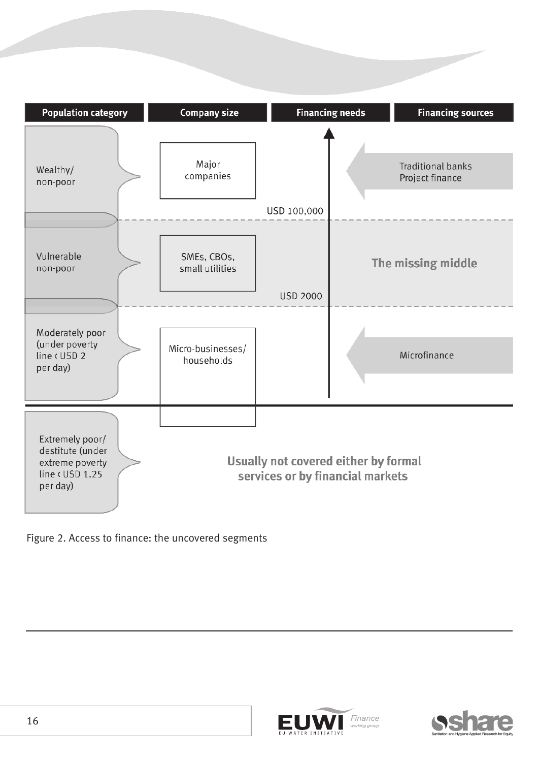





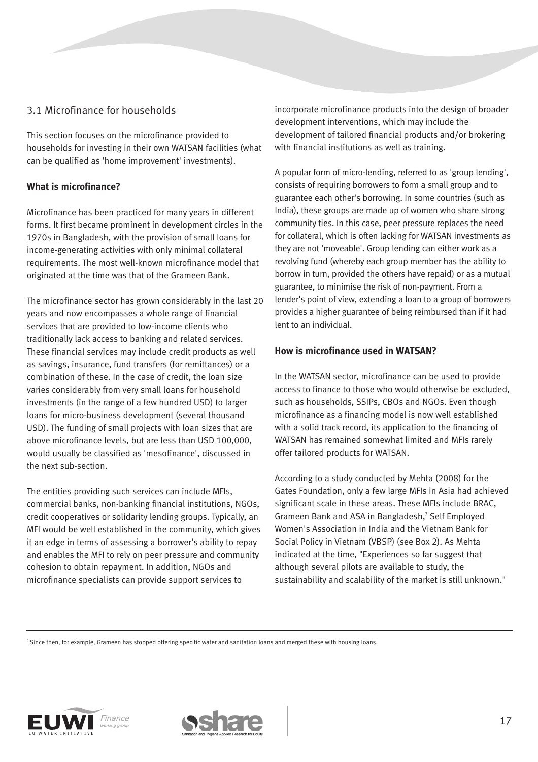## 3.1 Microfinance for households

This section focuses on the microfinance provided to households for investing in their own WATSAN facilities (what can be qualified as 'home improvement' investments).

#### **What is microfinance?**

Microfinance has been practiced for many years in different forms. It first became prominent in development circles in the 1970s in Bangladesh, with the provision of small loans for income-generating activities with only minimal collateral requirements. The most well-known microfinance model that originated at the time was that of the Grameen Bank.

The microfinance sector has grown considerably in the last 20 years and now encompasses a whole range of financial services that are provided to low-income clients who traditionally lack access to banking and related services. These financial services may include credit products as well as savings, insurance, fund transfers (for remittances) or a combination of these. In the case of credit, the loan size varies considerably from very small loans for household investments (in the range of a few hundred USD) to larger loans for micro-business development (several thousand USD). The funding of small projects with loan sizes that are above microfinance levels, but are less than USD 100,000, would usually be classified as 'mesofinance', discussed in the next sub-section.

The entities providing such services can include MFIs, commercial banks, non-banking financial institutions, NGOs, credit cooperatives or solidarity lending groups. Typically, an MFI would be well established in the community, which gives it an edge in terms of assessing a borrower's ability to repay and enables the MFI to rely on peer pressure and community cohesion to obtain repayment. In addition, NGOs and microfinance specialists can provide support services to

incorporate microfinance products into the design of broader development interventions, which may include the development of tailored financial products and/or brokering with financial institutions as well as training.

A popular form of micro-lending, referred to as 'group lending', consists of requiring borrowers to form a small group and to guarantee each other's borrowing. In some countries (such as India), these groups are made up of women who share strong community ties. In this case, peer pressure replaces the need for collateral, which is often lacking for WATSAN investments as they are not 'moveable'. Group lending can either work as a revolving fund (whereby each group member has the ability to borrow in turn, provided the others have repaid) or as a mutual guarantee, to minimise the risk of non-payment. From a lender's point of view, extending a loan to a group of borrowers provides a higher guarantee of being reimbursed than if it had lent to an individual.

#### **How is microfinance used in WATSAN?**

In the WATSAN sector, microfinance can be used to provide access to finance to those who would otherwise be excluded, such as households, SSIPs, CBOs and NGOs. Even though microfinance as a financing model is now well established with a solid track record, its application to the financing of WATSAN has remained somewhat limited and MFIs rarely offer tailored products for WATSAN.

According to a study conducted by Mehta (2008) for the Gates Foundation, only a few large MFIs in Asia had achieved significant scale in these areas. These MFIs include BRAC, Grameen Bank and ASA in Bangladesh,<sup>3</sup> Self Employed Women's Association in India and the Vietnam Bank for Social Policy in Vietnam (VBSP) (see Box 2). As Mehta indicated at the time, "Experiences so far suggest that although several pilots are available to study, the sustainability and scalability of the market is still unknown."

<sup>3</sup> Since then, for example, Grameen has stopped offering specific water and sanitation loans and merged these with housing loans.



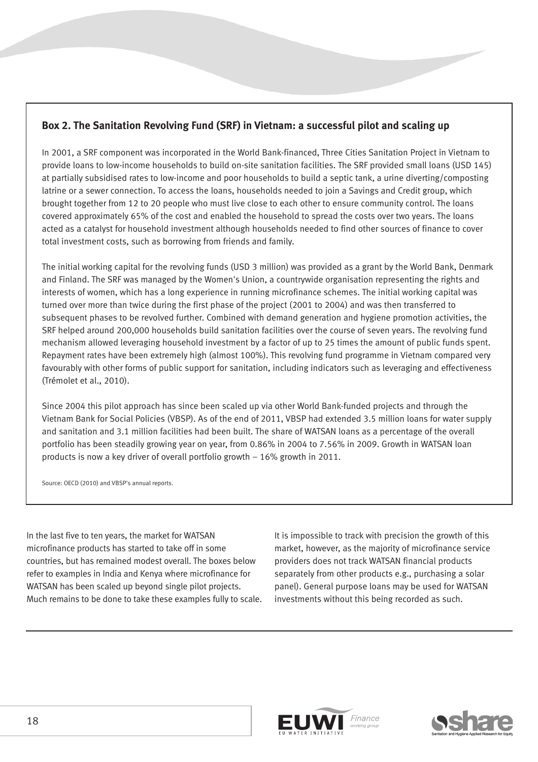## **Box 2. The Sanitation Revolving Fund (SRF) in Vietnam: a successful pilot and scaling up**

In 2001, a SRF component was incorporated in the World Bank-financed, Three Cities Sanitation Project in Vietnam to provide loans to low-income households to build on-site sanitation facilities. The SRF provided small loans (USD 145) at partially subsidised rates to low-income and poor households to build a septic tank, a urine diverting/composting latrine or a sewer connection. To access the loans, households needed to join a Savings and Credit group, which brought together from 12 to 20 people who must live close to each other to ensure community control. The loans covered approximately 65% of the cost and enabled the household to spread the costs over two years. The loans acted as a catalyst for household investment although households needed to find other sources of finance to cover total investment costs, such as borrowing from friends and family.

The initial working capital for the revolving funds (USD 3 million) was provided as a grant by the World Bank, Denmark and Finland. The SRF was managed by the Women's Union, a countrywide organisation representing the rights and interests of women, which has a long experience in running microfinance schemes. The initial working capital was turned over more than twice during the first phase of the project (2001 to 2004) and was then transferred to subsequent phases to be revolved further. Combined with demand generation and hygiene promotion activities, the SRF helped around 200,000 households build sanitation facilities over the course of seven years. The revolving fund mechanism allowed leveraging household investment by a factor of up to 25 times the amount of public funds spent. Repayment rates have been extremely high (almost 100%). This revolving fund programme in Vietnam compared very favourably with other forms of public support for sanitation, including indicators such as leveraging and effectiveness (Trémolet et al., 2010).

Since 2004 this pilot approach has since been scaled up via other World Bank-funded projects and through the Vietnam Bank for Social Policies (VBSP). As of the end of 2011, VBSP had extended 3.5 million loans for water supply and sanitation and 3.1 million facilities had been built. The share of WATSAN loans as a percentage of the overall portfolio has been steadily growing year on year, from 0.86% in 2004 to 7.56% in 2009. Growth in WATSAN loan products is now a key driver of overall portfolio growth – 16% growth in 2011.

Source: OECD (2010) and VBSP's annual reports.

In the last five to ten years, the market for WATSAN microfinance products has started to take off in some countries, but has remained modest overall. The boxes below refer to examples in India and Kenya where microfinance for WATSAN has been scaled up beyond single pilot projects. Much remains to be done to take these examples fully to scale. It is impossible to track with precision the growth of this market, however, as the majority of microfinance service providers does not track WATSAN financial products separately from other products e.g., purchasing a solar panel). General purpose loans may be used for WATSAN investments without this being recorded as such.



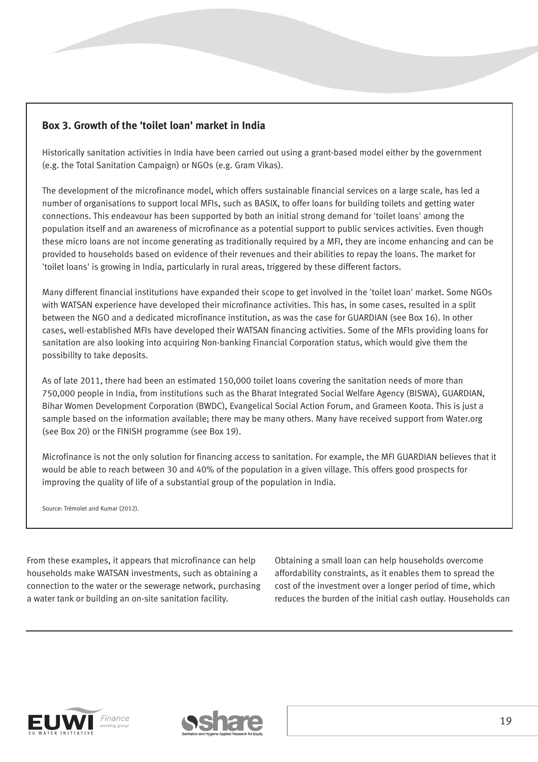## **Box 3. Growth of the 'toilet loan' market in India**

Historically sanitation activities in India have been carried out using a grant-based model either by the government (e.g. the Total Sanitation Campaign) or NGOs (e.g. Gram Vikas).

The development of the microfinance model, which offers sustainable financial services on a large scale, has led a number of organisations to support local MFIs, such as BASIX, to offer loans for building toilets and getting water connections. This endeavour has been supported by both an initial strong demand for 'toilet loans' among the population itself and an awareness of microfinance as a potential support to public services activities. Even though these micro loans are not income generating as traditionally required by a MFI, they are income enhancing and can be provided to households based on evidence of their revenues and their abilities to repay the loans. The market for 'toilet loans' is growing in India, particularly in rural areas, triggered by these different factors.

Many different financial institutions have expanded their scope to get involved in the 'toilet loan' market. Some NGOs with WATSAN experience have developed their microfinance activities. This has, in some cases, resulted in a split between the NGO and a dedicated microfinance institution, as was the case for GUARDIAN (see Box 16). In other cases, well-established MFIs have developed their WATSAN financing activities. Some of the MFIs providing loans for sanitation are also looking into acquiring Non-banking Financial Corporation status, which would give them the possibility to take deposits.

As of late 2011, there had been an estimated 150,000 toilet loans covering the sanitation needs of more than 750,000 people in India, from institutions such as the Bharat Integrated Social Welfare Agency (BISWA), GUARDIAN, Bihar Women Development Corporation (BWDC), Evangelical Social Action Forum, and Grameen Koota. This is just a sample based on the information available; there may be many others. Many have received support from Water.org (see Box 20) or the FINISH programme (see Box 19).

Microfinance is not the only solution for financing access to sanitation. For example, the MFI GUARDIAN believes that it would be able to reach between 30 and 40% of the population in a given village. This offers good prospects for improving the quality of life of a substantial group of the population in India.

Source: Trémolet and Kumar (2012).

From these examples, it appears that microfinance can help households make WATSAN investments, such as obtaining a connection to the water or the sewerage network, purchasing a water tank or building an on-site sanitation facility.

Obtaining a small loan can help households overcome affordability constraints, as it enables them to spread the cost of the investment over a longer period of time, which reduces the burden of the initial cash outlay. Households can



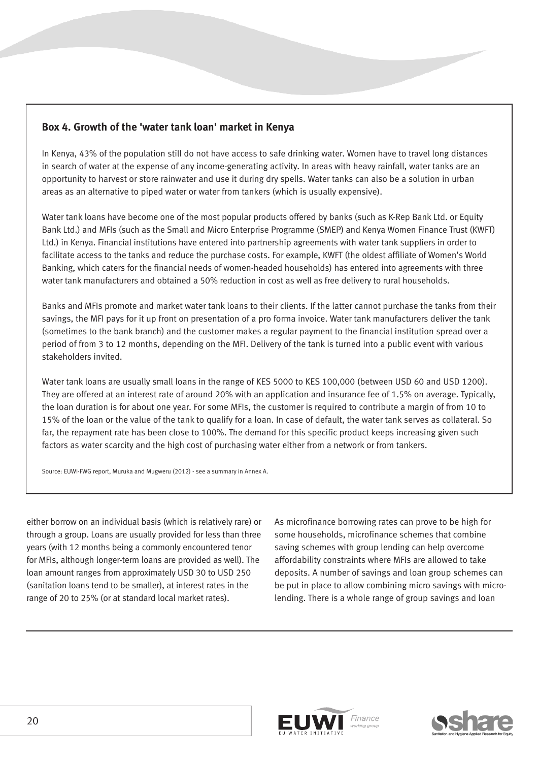## **Box 4. Growth of the 'water tank loan' market in Kenya**

In Kenya, 43% of the population still do not have access to safe drinking water. Women have to travel long distances in search of water at the expense of any income-generating activity. In areas with heavy rainfall, water tanks are an opportunity to harvest or store rainwater and use it during dry spells. Water tanks can also be a solution in urban areas as an alternative to piped water or water from tankers (which is usually expensive).

Water tank loans have become one of the most popular products offered by banks (such as K-Rep Bank Ltd. or Equity Bank Ltd.) and MFIs (such as the Small and Micro Enterprise Programme (SMEP) and Kenya Women Finance Trust (KWFT) Ltd.) in Kenya. Financial institutions have entered into partnership agreements with water tank suppliers in order to facilitate access to the tanks and reduce the purchase costs. For example, KWFT (the oldest affiliate of Women's World Banking, which caters for the financial needs of women-headed households) has entered into agreements with three water tank manufacturers and obtained a 50% reduction in cost as well as free delivery to rural households.

Banks and MFIs promote and market water tank loans to their clients. If the latter cannot purchase the tanks from their savings, the MFI pays for it up front on presentation of a pro forma invoice. Water tank manufacturers deliver the tank (sometimes to the bank branch) and the customer makes a regular payment to the financial institution spread over a period of from 3 to 12 months, depending on the MFI. Delivery of the tank is turned into a public event with various stakeholders invited.

Water tank loans are usually small loans in the range of KES 5000 to KES 100,000 (between USD 60 and USD 1200). They are offered at an interest rate of around 20% with an application and insurance fee of 1.5% on average. Typically, the loan duration is for about one year. For some MFIs, the customer is required to contribute a margin of from 10 to 15% of the loan or the value of the tank to qualify for a loan. In case of default, the water tank serves as collateral. So far, the repayment rate has been close to 100%. The demand for this specific product keeps increasing given such factors as water scarcity and the high cost of purchasing water either from a network or from tankers.

Source: EUWI-FWG report, Muruka and Mugweru (2012) - see a summary in Annex A.

either borrow on an individual basis (which is relatively rare) or through a group. Loans are usually provided for less than three years (with 12 months being a commonly encountered tenor for MFIs, although longer-term loans are provided as well). The loan amount ranges from approximately USD 30 to USD 250 (sanitation loans tend to be smaller), at interest rates in the range of 20 to 25% (or at standard local market rates).

As microfinance borrowing rates can prove to be high for some households, microfinance schemes that combine saving schemes with group lending can help overcome affordability constraints where MFIs are allowed to take deposits. A number of savings and loan group schemes can be put in place to allow combining micro savings with microlending. There is a whole range of group savings and loan



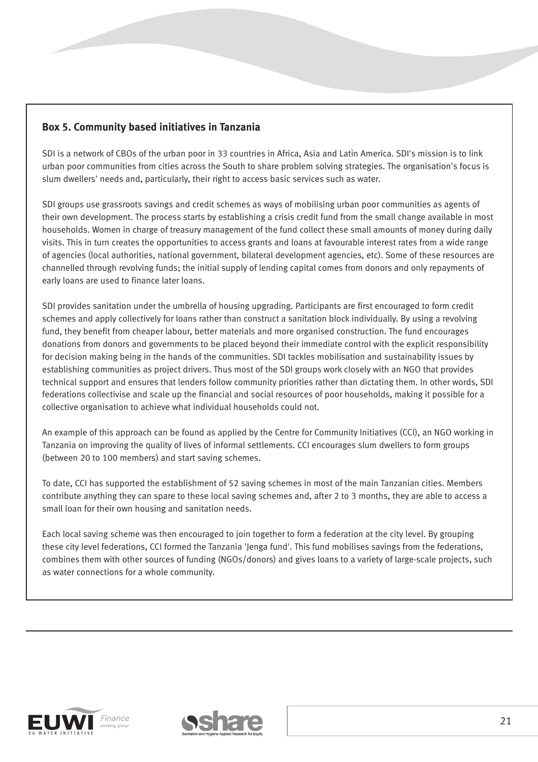## **Box 5. Community based initiatives in Tanzania**

SDI is a network of CBOs of the urban poor in 33 countries in Africa, Asia and Latin America. SDI's mission is to link urban poor communities from cities across the South to share problem solving strategies. The organisation's focus is slum dwellers' needs and, particularly, their right to access basic services such as water.

SDI groups use grassroots savings and credit schemes as ways of mobilising urban poor communities as agents of their own development. The process starts by establishing a crisis credit fund from the small change available in most households. Women in charge of treasury management of the fund collect these small amounts of money during daily visits. This in turn creates the opportunities to access grants and loans at favourable interest rates from a wide range of agencies (local authorities, national government, bilateral development agencies, etc). Some of these resources are channelled through revolving funds; the initial supply of lending capital comes from donors and only repayments of early loans are used to finance later loans.

SDI provides sanitation under the umbrella of housing upgrading. Participants are first encouraged to form credit schemes and apply collectively for loans rather than construct a sanitation block individually. By using a revolving fund, they benefit from cheaper labour, better materials and more organised construction. The fund encourages donations from donors and governments to be placed beyond their immediate control with the explicit responsibility for decision making being in the hands of the communities. SDI tackles mobilisation and sustainability issues by establishing communities as project drivers. Thus most of the SDI groups work closely with an NGO that provides technical support and ensures that lenders follow community priorities rather than dictating them. In other words, SDI federations collectivise and scale up the financial and social resources of poor households, making it possible for a collective organisation to achieve what individual households could not.

An example of this approach can be found as applied by the Centre for Community Initiatives (CCI), an NGO working in Tanzania on improving the quality of lives of informal settlements. CCI encourages slum dwellers to form groups (between 20 to 100 members) and start saving schemes.

To date, CCI has supported the establishment of 52 saving schemes in most of the main Tanzanian cities. Members contribute anything they can spare to these local saving schemes and, after 2 to 3 months, they are able to access a small loan for their own housing and sanitation needs.

Each local saving scheme was then encouraged to join together to form a federation at the city level. By grouping these city level federations, CCI formed the Tanzania 'Jenga fund'. This fund mobilises savings from the federations, combines them with other sources of funding (NGOs/donors) and gives loans to a variety of large-scale projects, such as water connections for a whole community.



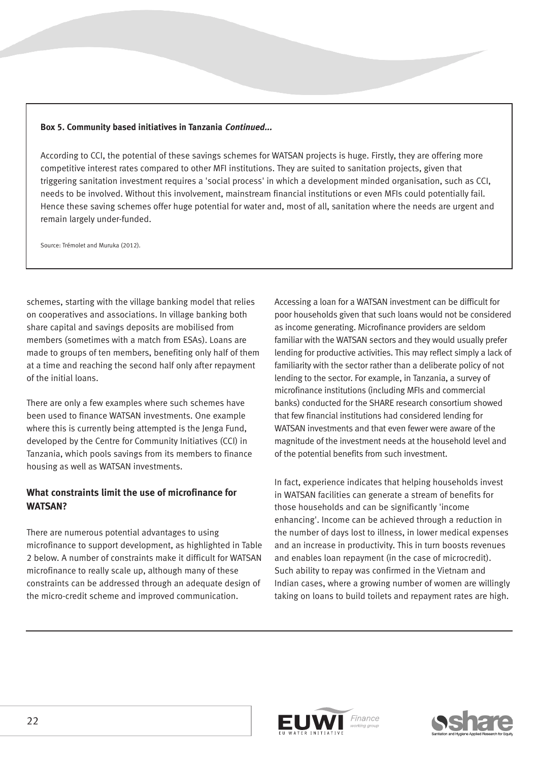#### **Box 5. Community based initiatives in Tanzania Continued...**

According to CCI, the potential of these savings schemes for WATSAN projects is huge. Firstly, they are offering more competitive interest rates compared to other MFI institutions. They are suited to sanitation projects, given that triggering sanitation investment requires a 'social process' in which a development minded organisation, such as CCI, needs to be involved. Without this involvement, mainstream financial institutions or even MFIs could potentially fail. Hence these saving schemes offer huge potential for water and, most of all, sanitation where the needs are urgent and remain largely under-funded.

Source: Trémolet and Muruka (2012).

schemes, starting with the village banking model that relies on cooperatives and associations. In village banking both share capital and savings deposits are mobilised from members (sometimes with a match from ESAs). Loans are made to groups of ten members, benefiting only half of them at a time and reaching the second half only after repayment of the initial loans.

There are only a few examples where such schemes have been used to finance WATSAN investments. One example where this is currently being attempted is the Jenga Fund, developed by the Centre for Community Initiatives (CCI) in Tanzania, which pools savings from its members to finance housing as well as WATSAN investments.

### **What constraints limit the use of microfinance for WATSAN?**

There are numerous potential advantages to using microfinance to support development, as highlighted in Table 2 below. A number of constraints make it difficult for WATSAN microfinance to really scale up, although many of these constraints can be addressed through an adequate design of the micro-credit scheme and improved communication.

Accessing a loan for a WATSAN investment can be difficult for poor households given that such loans would not be considered as income generating. Microfinance providers are seldom familiar with the WATSAN sectors and they would usually prefer lending for productive activities. This may reflect simply a lack of familiarity with the sector rather than a deliberate policy of not lending to the sector. For example, in Tanzania, a survey of microfinance institutions (including MFIs and commercial banks) conducted for the SHARE research consortium showed that few financial institutions had considered lending for WATSAN investments and that even fewer were aware of the magnitude of the investment needs at the household level and of the potential benefits from such investment.

In fact, experience indicates that helping households invest in WATSAN facilities can generate a stream of benefits for those households and can be significantly 'income enhancing'. Income can be achieved through a reduction in the number of days lost to illness, in lower medical expenses and an increase in productivity. This in turn boosts revenues and enables loan repayment (in the case of microcredit). Such ability to repay was confirmed in the Vietnam and Indian cases, where a growing number of women are willingly taking on loans to build toilets and repayment rates are high.



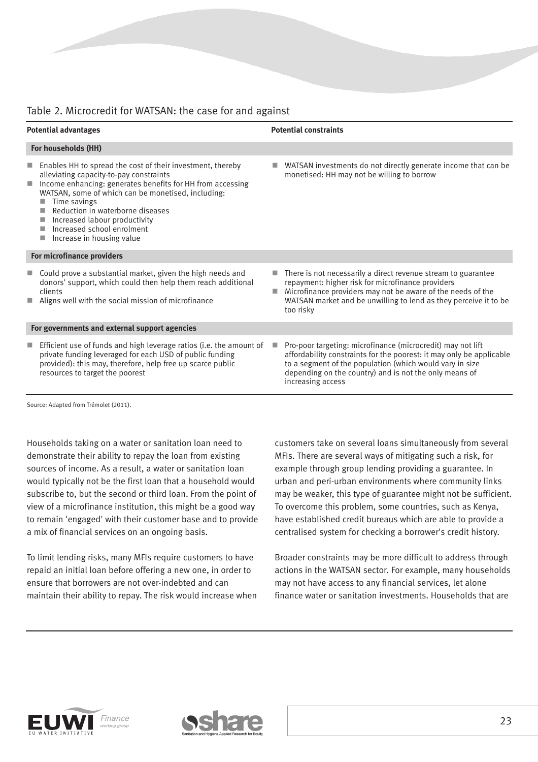## Table 2. Microcredit for WATSAN: the case for and against

| <b>Potential advantages</b>                   |                                                                                                                                                                                                                                                                                                                                                                           | <b>Potential constraints</b> |                                                                                                                                                                                                                                                                                |  |  |
|-----------------------------------------------|---------------------------------------------------------------------------------------------------------------------------------------------------------------------------------------------------------------------------------------------------------------------------------------------------------------------------------------------------------------------------|------------------------------|--------------------------------------------------------------------------------------------------------------------------------------------------------------------------------------------------------------------------------------------------------------------------------|--|--|
| For households (HH)                           |                                                                                                                                                                                                                                                                                                                                                                           |                              |                                                                                                                                                                                                                                                                                |  |  |
| ш                                             | Enables HH to spread the cost of their investment, thereby<br>alleviating capacity-to-pay constraints<br>Income enhancing: generates benefits for HH from accessing<br>WATSAN, some of which can be monetised, including:<br>Time savings<br>Reduction in waterborne diseases<br>Increased labour productivity<br>Increased school enrolment<br>Increase in housing value |                              | WATSAN investments do not directly generate income that can be<br>monetised: HH may not be willing to borrow                                                                                                                                                                   |  |  |
|                                               | For microfinance providers                                                                                                                                                                                                                                                                                                                                                |                              |                                                                                                                                                                                                                                                                                |  |  |
| m.                                            | Could prove a substantial market, given the high needs and<br>donors' support, which could then help them reach additional<br>clients<br>Aligns well with the social mission of microfinance                                                                                                                                                                              | п                            | There is not necessarily a direct revenue stream to guarantee<br>repayment: higher risk for microfinance providers<br>Microfinance providers may not be aware of the needs of the<br>WATSAN market and be unwilling to lend as they perceive it to be<br>too risky             |  |  |
| For governments and external support agencies |                                                                                                                                                                                                                                                                                                                                                                           |                              |                                                                                                                                                                                                                                                                                |  |  |
|                                               | Efficient use of funds and high leverage ratios (i.e. the amount of<br>private funding leveraged for each USD of public funding<br>provided): this may, therefore, help free up scarce public<br>resources to target the poorest                                                                                                                                          |                              | Pro-poor targeting: microfinance (microcredit) may not lift<br>affordability constraints for the poorest: it may only be applicable<br>to a segment of the population (which would vary in size<br>depending on the country) and is not the only means of<br>increasing access |  |  |

Source: Adapted from Trémolet (2011).

Households taking on a water or sanitation loan need to demonstrate their ability to repay the loan from existing sources of income. As a result, a water or sanitation loan would typically not be the first loan that a household would subscribe to, but the second or third loan. From the point of view of a microfinance institution, this might be a good way to remain 'engaged' with their customer base and to provide a mix of financial services on an ongoing basis.

To limit lending risks, many MFIs require customers to have repaid an initial loan before offering a new one, in order to ensure that borrowers are not over-indebted and can maintain their ability to repay. The risk would increase when customers take on several loans simultaneously from several MFIs. There are several ways of mitigating such a risk, for example through group lending providing a guarantee. In urban and peri-urban environments where community links may be weaker, this type of guarantee might not be sufficient. To overcome this problem, some countries, such as Kenya, have established credit bureaus which are able to provide a centralised system for checking a borrower's credit history.

Broader constraints may be more difficult to address through actions in the WATSAN sector. For example, many households may not have access to any financial services, let alone finance water or sanitation investments. Households that are



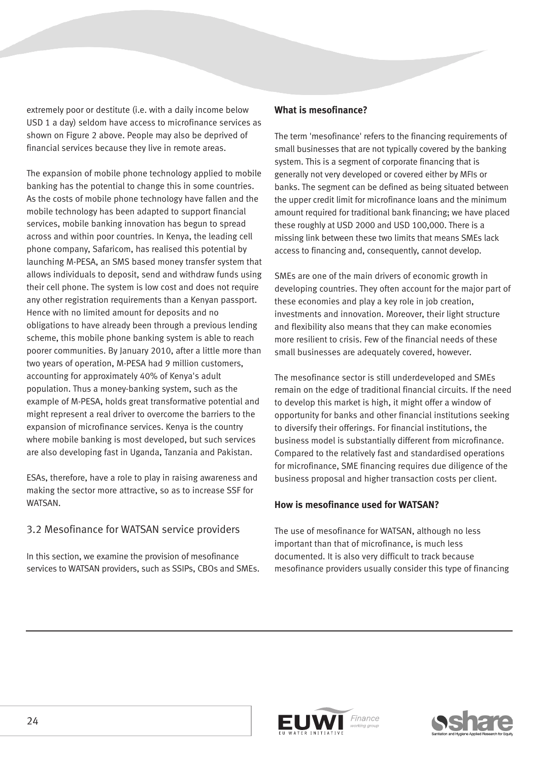extremely poor or destitute (i.e. with a daily income below USD 1 a day) seldom have access to microfinance services as shown on Figure 2 above. People may also be deprived of financial services because they live in remote areas.

The expansion of mobile phone technology applied to mobile banking has the potential to change this in some countries. As the costs of mobile phone technology have fallen and the mobile technology has been adapted to support financial services, mobile banking innovation has begun to spread across and within poor countries. In Kenya, the leading cell phone company, Safaricom, has realised this potential by launching M-PESA, an SMS based money transfer system that allows individuals to deposit, send and withdraw funds using their cell phone. The system is low cost and does not require any other registration requirements than a Kenyan passport. Hence with no limited amount for deposits and no obligations to have already been through a previous lending scheme, this mobile phone banking system is able to reach poorer communities. By January 2010, after a little more than two years of operation, M-PESA had 9 million customers, accounting for approximately 40% of Kenya's adult population. Thus a money-banking system, such as the example of M-PESA, holds great transformative potential and might represent a real driver to overcome the barriers to the expansion of microfinance services. Kenya is the country where mobile banking is most developed, but such services are also developing fast in Uganda, Tanzania and Pakistan.

ESAs, therefore, have a role to play in raising awareness and making the sector more attractive, so as to increase SSF for WATSAN.

### 3.2 Mesofinance for WATSAN service providers

In this section, we examine the provision of mesofinance services to WATSAN providers, such as SSIPs, CBOs and SMEs.

#### **What is mesofinance?**

The term 'mesofinance' refers to the financing requirements of small businesses that are not typically covered by the banking system. This is a segment of corporate financing that is generally not very developed or covered either by MFIs or banks. The segment can be defined as being situated between the upper credit limit for microfinance loans and the minimum amount required for traditional bank financing; we have placed these roughly at USD 2000 and USD 100,000. There is a missing link between these two limits that means SMEs lack access to financing and, consequently, cannot develop.

SMEs are one of the main drivers of economic growth in developing countries. They often account for the major part of these economies and play a key role in job creation, investments and innovation. Moreover, their light structure and flexibility also means that they can make economies more resilient to crisis. Few of the financial needs of these small businesses are adequately covered, however.

The mesofinance sector is still underdeveloped and SMEs remain on the edge of traditional financial circuits. If the need to develop this market is high, it might offer a window of opportunity for banks and other financial institutions seeking to diversify their offerings. For financial institutions, the business model is substantially different from microfinance. Compared to the relatively fast and standardised operations for microfinance, SME financing requires due diligence of the business proposal and higher transaction costs per client.

#### **How is mesofinance used for WATSAN?**

The use of mesofinance for WATSAN, although no less important than that of microfinance, is much less documented. It is also very difficult to track because mesofinance providers usually consider this type of financing



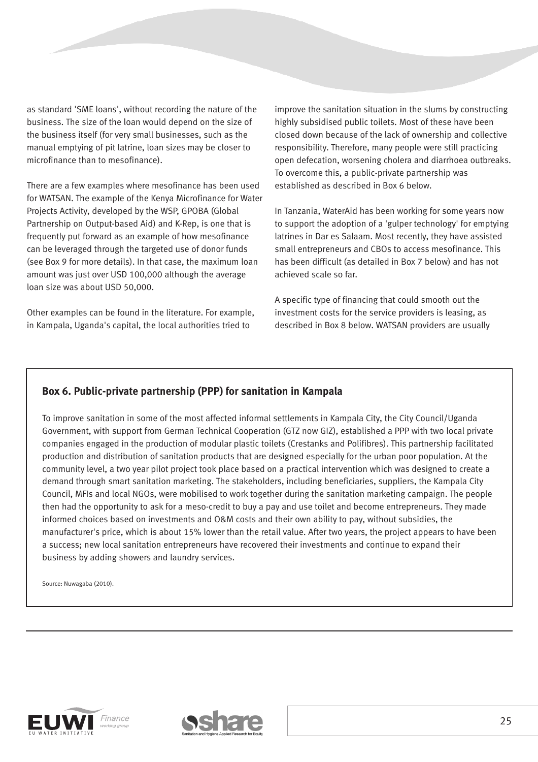as standard 'SME loans', without recording the nature of the business. The size of the loan would depend on the size of the business itself (for very small businesses, such as the manual emptying of pit latrine, loan sizes may be closer to microfinance than to mesofinance).

There are a few examples where mesofinance has been used for WATSAN. The example of the Kenya Microfinance for Water Projects Activity, developed by the WSP, GPOBA (Global Partnership on Output-based Aid) and K-Rep, is one that is frequently put forward as an example of how mesofinance can be leveraged through the targeted use of donor funds (see Box 9 for more details). In that case, the maximum loan amount was just over USD 100,000 although the average loan size was about USD 50,000.

Other examples can be found in the literature. For example, in Kampala, Uganda's capital, the local authorities tried to

improve the sanitation situation in the slums by constructing highly subsidised public toilets. Most of these have been closed down because of the lack of ownership and collective responsibility. Therefore, many people were still practicing open defecation, worsening cholera and diarrhoea outbreaks. To overcome this, a public-private partnership was established as described in Box 6 below.

In Tanzania, WaterAid has been working for some years now to support the adoption of a 'gulper technology' for emptying latrines in Dar es Salaam. Most recently, they have assisted small entrepreneurs and CBOs to access mesofinance. This has been difficult (as detailed in Box 7 below) and has not achieved scale so far.

A specific type of financing that could smooth out the investment costs for the service providers is leasing, as described in Box 8 below. WATSAN providers are usually

### **Box 6. Public-private partnership (PPP) for sanitation in Kampala**

To improve sanitation in some of the most affected informal settlements in Kampala City, the City Council/Uganda Government, with support from German Technical Cooperation (GTZ now GIZ), established a PPP with two local private companies engaged in the production of modular plastic toilets (Crestanks and Polifibres). This partnership facilitated production and distribution of sanitation products that are designed especially for the urban poor population. At the community level, a two year pilot project took place based on a practical intervention which was designed to create a demand through smart sanitation marketing. The stakeholders, including beneficiaries, suppliers, the Kampala City Council, MFIs and local NGOs, were mobilised to work together during the sanitation marketing campaign. The people then had the opportunity to ask for a meso-credit to buy a pay and use toilet and become entrepreneurs. They made informed choices based on investments and O&M costs and their own ability to pay, without subsidies, the manufacturer's price, which is about 15% lower than the retail value. After two years, the project appears to have been a success; new local sanitation entrepreneurs have recovered their investments and continue to expand their business by adding showers and laundry services.

Source: Nuwagaba (2010).



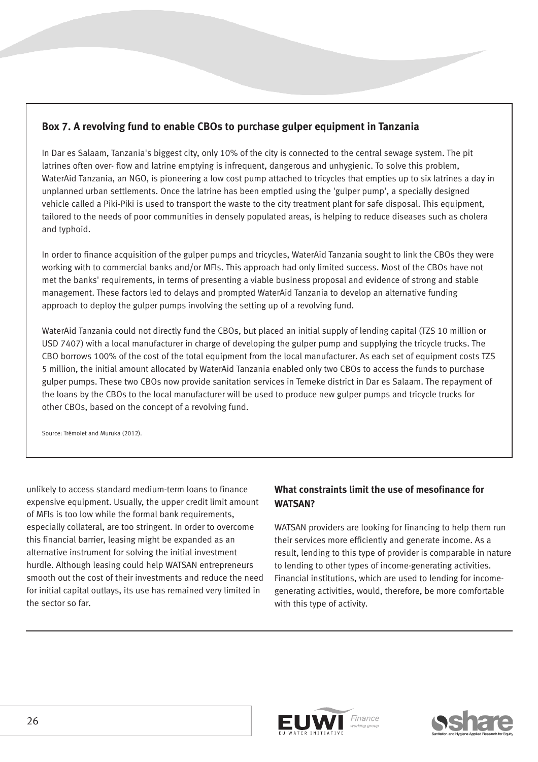## **Box 7. A revolving fund to enable CBOs to purchase gulper equipment in Tanzania**

In Dar es Salaam, Tanzania's biggest city, only 10% of the city is connected to the central sewage system. The pit latrines often over- flow and latrine emptying is infrequent, dangerous and unhygienic. To solve this problem, WaterAid Tanzania, an NGO, is pioneering a low cost pump attached to tricycles that empties up to six latrines a day in unplanned urban settlements. Once the latrine has been emptied using the 'gulper pump', a specially designed vehicle called a Piki-Piki is used to transport the waste to the city treatment plant for safe disposal. This equipment, tailored to the needs of poor communities in densely populated areas, is helping to reduce diseases such as cholera and typhoid.

In order to finance acquisition of the gulper pumps and tricycles, WaterAid Tanzania sought to link the CBOs they were working with to commercial banks and/or MFIs. This approach had only limited success. Most of the CBOs have not met the banks' requirements, in terms of presenting a viable business proposal and evidence of strong and stable management. These factors led to delays and prompted WaterAid Tanzania to develop an alternative funding approach to deploy the gulper pumps involving the setting up of a revolving fund.

WaterAid Tanzania could not directly fund the CBOs, but placed an initial supply of lending capital (TZS 10 million or USD 7407) with a local manufacturer in charge of developing the gulper pump and supplying the tricycle trucks. The CBO borrows 100% of the cost of the total equipment from the local manufacturer. As each set of equipment costs TZS 5 million, the initial amount allocated by WaterAid Tanzania enabled only two CBOs to access the funds to purchase gulper pumps. These two CBOs now provide sanitation services in Temeke district in Dar es Salaam. The repayment of the loans by the CBOs to the local manufacturer will be used to produce new gulper pumps and tricycle trucks for other CBOs, based on the concept of a revolving fund.

Source: Trémolet and Muruka (2012).

unlikely to access standard medium-term loans to finance expensive equipment. Usually, the upper credit limit amount of MFIs is too low while the formal bank requirements, especially collateral, are too stringent. In order to overcome this financial barrier, leasing might be expanded as an alternative instrument for solving the initial investment hurdle. Although leasing could help WATSAN entrepreneurs smooth out the cost of their investments and reduce the need for initial capital outlays, its use has remained very limited in the sector so far.

## **What constraints limit the use of mesofinance for WATSAN?**

WATSAN providers are looking for financing to help them run their services more efficiently and generate income. As a result, lending to this type of provider is comparable in nature to lending to other types of income-generating activities. Financial institutions, which are used to lending for incomegenerating activities, would, therefore, be more comfortable with this type of activity.

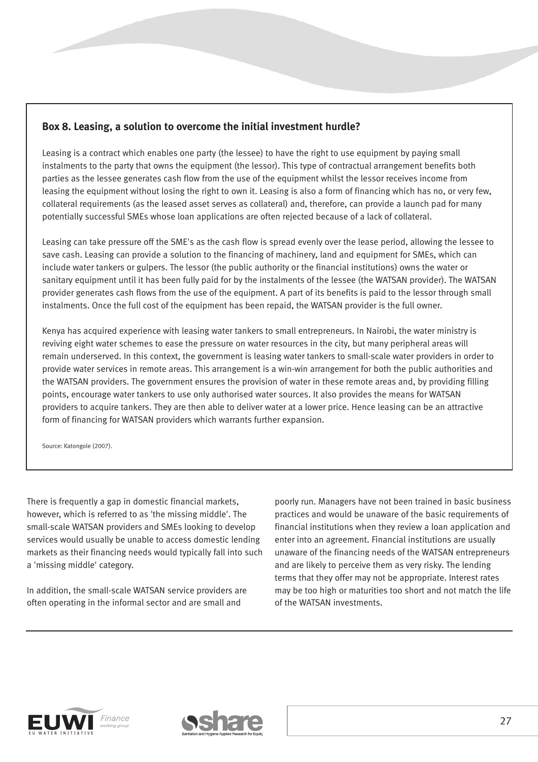## **Box 8. Leasing, a solution to overcome the initial investment hurdle?**

Leasing is a contract which enables one party (the lessee) to have the right to use equipment by paying small instalments to the party that owns the equipment (the lessor). This type of contractual arrangement benefits both parties as the lessee generates cash flow from the use of the equipment whilst the lessor receives income from leasing the equipment without losing the right to own it. Leasing is also a form of financing which has no, or very few, collateral requirements (as the leased asset serves as collateral) and, therefore, can provide a launch pad for many potentially successful SMEs whose loan applications are often rejected because of a lack of collateral.

Leasing can take pressure off the SME's as the cash flow is spread evenly over the lease period, allowing the lessee to save cash. Leasing can provide a solution to the financing of machinery, land and equipment for SMEs, which can include water tankers or gulpers. The lessor (the public authority or the financial institutions) owns the water or sanitary equipment until it has been fully paid for by the instalments of the lessee (the WATSAN provider). The WATSAN provider generates cash flows from the use of the equipment. A part of its benefits is paid to the lessor through small instalments. Once the full cost of the equipment has been repaid, the WATSAN provider is the full owner.

Kenya has acquired experience with leasing water tankers to small entrepreneurs. In Nairobi, the water ministry is reviving eight water schemes to ease the pressure on water resources in the city, but many peripheral areas will remain underserved. In this context, the government is leasing water tankers to small-scale water providers in order to provide water services in remote areas. This arrangement is a win-win arrangement for both the public authorities and the WATSAN providers. The government ensures the provision of water in these remote areas and, by providing filling points, encourage water tankers to use only authorised water sources. It also provides the means for WATSAN providers to acquire tankers. They are then able to deliver water at a lower price. Hence leasing can be an attractive form of financing for WATSAN providers which warrants further expansion.

Source: Katongole (2007).

There is frequently a gap in domestic financial markets, however, which is referred to as 'the missing middle'. The small-scale WATSAN providers and SMEs looking to develop services would usually be unable to access domestic lending markets as their financing needs would typically fall into such a 'missing middle' category.

In addition, the small-scale WATSAN service providers are often operating in the informal sector and are small and

poorly run. Managers have not been trained in basic business practices and would be unaware of the basic requirements of financial institutions when they review a loan application and enter into an agreement. Financial institutions are usually unaware of the financing needs of the WATSAN entrepreneurs and are likely to perceive them as very risky. The lending terms that they offer may not be appropriate. Interest rates may be too high or maturities too short and not match the life of the WATSAN investments.



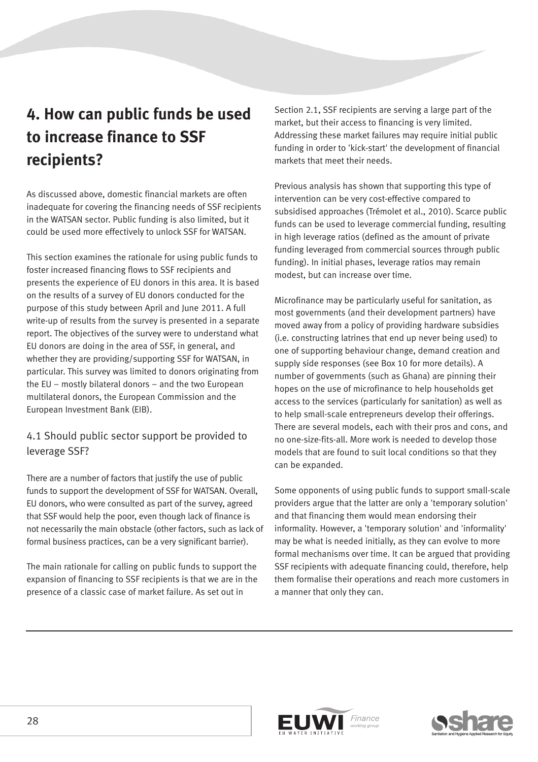## **4. How can public funds be used to increase finance to SSF recipients?**

As discussed above, domestic financial markets are often inadequate for covering the financing needs of SSF recipients in the WATSAN sector. Public funding is also limited, but it could be used more effectively to unlock SSF for WATSAN.

This section examines the rationale for using public funds to foster increased financing flows to SSF recipients and presents the experience of EU donors in this area. It is based on the results of a survey of EU donors conducted for the purpose of this study between April and June 2011. A full write-up of results from the survey is presented in a separate report. The objectives of the survey were to understand what EU donors are doing in the area of SSF, in general, and whether they are providing/supporting SSF for WATSAN, in particular. This survey was limited to donors originating from the EU – mostly bilateral donors – and the two European multilateral donors, the European Commission and the European Investment Bank (EIB).

## 4.1 Should public sector support be provided to leverage SSF?

There are a number of factors that justify the use of public funds to support the development of SSF for WATSAN. Overall, EU donors, who were consulted as part of the survey, agreed that SSF would help the poor, even though lack of finance is not necessarily the main obstacle (other factors, such as lack of formal business practices, can be a very significant barrier).

The main rationale for calling on public funds to support the expansion of financing to SSF recipients is that we are in the presence of a classic case of market failure. As set out in

Section 2.1, SSF recipients are serving a large part of the market, but their access to financing is very limited. Addressing these market failures may require initial public funding in order to 'kick-start' the development of financial markets that meet their needs.

Previous analysis has shown that supporting this type of intervention can be very cost-effective compared to subsidised approaches (Trémolet et al., 2010). Scarce public funds can be used to leverage commercial funding, resulting in high leverage ratios (defined as the amount of private funding leveraged from commercial sources through public funding). In initial phases, leverage ratios may remain modest, but can increase over time.

Microfinance may be particularly useful for sanitation, as most governments (and their development partners) have moved away from a policy of providing hardware subsidies (i.e. constructing latrines that end up never being used) to one of supporting behaviour change, demand creation and supply side responses (see Box 10 for more details). A number of governments (such as Ghana) are pinning their hopes on the use of microfinance to help households get access to the services (particularly for sanitation) as well as to help small-scale entrepreneurs develop their offerings. There are several models, each with their pros and cons, and no one-size-fits-all. More work is needed to develop those models that are found to suit local conditions so that they can be expanded.

Some opponents of using public funds to support small-scale providers argue that the latter are only a 'temporary solution' and that financing them would mean endorsing their informality. However, a 'temporary solution' and 'informality' may be what is needed initially, as they can evolve to more formal mechanisms over time. It can be argued that providing SSF recipients with adequate financing could, therefore, help them formalise their operations and reach more customers in a manner that only they can.



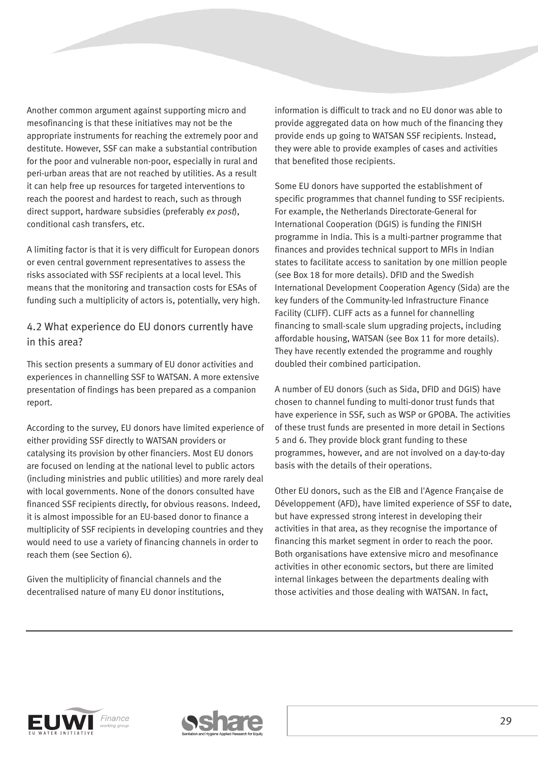Another common argument against supporting micro and mesofinancing is that these initiatives may not be the appropriate instruments for reaching the extremely poor and destitute. However, SSF can make a substantial contribution for the poor and vulnerable non-poor, especially in rural and peri-urban areas that are not reached by utilities. As a result it can help free up resources for targeted interventions to reach the poorest and hardest to reach, such as through direct support, hardware subsidies (preferably ex post), conditional cash transfers, etc.

A limiting factor is that it is very difficult for European donors or even central government representatives to assess the risks associated with SSF recipients at a local level. This means that the monitoring and transaction costs for ESAs of funding such a multiplicity of actors is, potentially, very high.

## 4.2 What experience do EU donors currently have in this area?

This section presents a summary of EU donor activities and experiences in channelling SSF to WATSAN. A more extensive presentation of findings has been prepared as a companion report.

According to the survey, EU donors have limited experience of either providing SSF directly to WATSAN providers or catalysing its provision by other financiers. Most EU donors are focused on lending at the national level to public actors (including ministries and public utilities) and more rarely deal with local governments. None of the donors consulted have financed SSF recipients directly, for obvious reasons. Indeed, it is almost impossible for an EU-based donor to finance a multiplicity of SSF recipients in developing countries and they would need to use a variety of financing channels in order to reach them (see Section 6).

Given the multiplicity of financial channels and the decentralised nature of many EU donor institutions, information is difficult to track and no EU donor was able to provide aggregated data on how much of the financing they provide ends up going to WATSAN SSF recipients. Instead, they were able to provide examples of cases and activities that benefited those recipients.

Some EU donors have supported the establishment of specific programmes that channel funding to SSF recipients. For example, the Netherlands Directorate-General for International Cooperation (DGIS) is funding the FINISH programme in India. This is a multi-partner programme that finances and provides technical support to MFIs in Indian states to facilitate access to sanitation by one million people (see Box 18 for more details). DFID and the Swedish International Development Cooperation Agency (Sida) are the key funders of the Community-led Infrastructure Finance Facility (CLIFF). CLIFF acts as a funnel for channelling financing to small-scale slum upgrading projects, including affordable housing, WATSAN (see Box 11 for more details). They have recently extended the programme and roughly doubled their combined participation.

A number of EU donors (such as Sida, DFID and DGIS) have chosen to channel funding to multi-donor trust funds that have experience in SSF, such as WSP or GPOBA. The activities of these trust funds are presented in more detail in Sections 5 and 6. They provide block grant funding to these programmes, however, and are not involved on a day-to-day basis with the details of their operations.

Other EU donors, such as the EIB and l'Agence Française de Développement (AFD), have limited experience of SSF to date, but have expressed strong interest in developing their activities in that area, as they recognise the importance of financing this market segment in order to reach the poor. Both organisations have extensive micro and mesofinance activities in other economic sectors, but there are limited internal linkages between the departments dealing with those activities and those dealing with WATSAN. In fact,



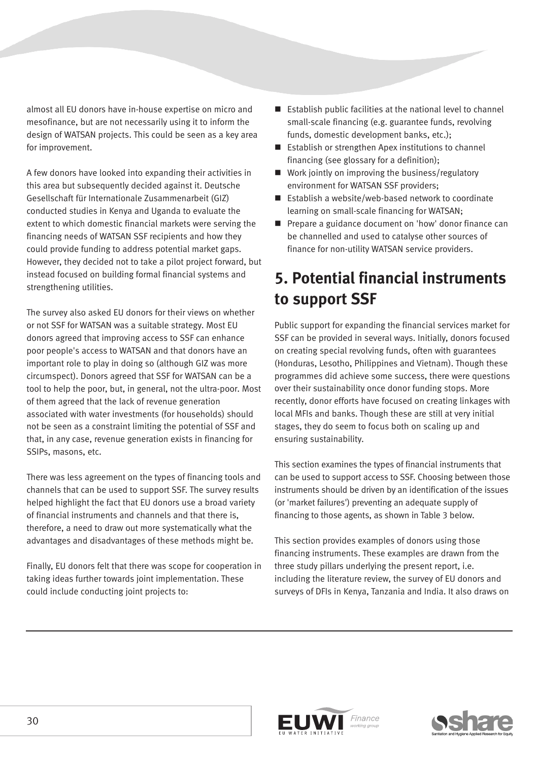almost all EU donors have in-house expertise on micro and mesofinance, but are not necessarily using it to inform the design of WATSAN projects. This could be seen as a key area for improvement.

A few donors have looked into expanding their activities in this area but subsequently decided against it. Deutsche Gesellschaft für Internationale Zusammenarbeit (GIZ) conducted studies in Kenya and Uganda to evaluate the extent to which domestic financial markets were serving the financing needs of WATSAN SSF recipients and how they could provide funding to address potential market gaps. However, they decided not to take a pilot project forward, but instead focused on building formal financial systems and strengthening utilities.

The survey also asked EU donors for their views on whether or not SSF for WATSAN was a suitable strategy. Most EU donors agreed that improving access to SSF can enhance poor people's access to WATSAN and that donors have an important role to play in doing so (although GIZ was more circumspect). Donors agreed that SSF for WATSAN can be a tool to help the poor, but, in general, not the ultra-poor. Most of them agreed that the lack of revenue generation associated with water investments (for households) should not be seen as a constraint limiting the potential of SSF and that, in any case, revenue generation exists in financing for SSIPs, masons, etc.

There was less agreement on the types of financing tools and channels that can be used to support SSF. The survey results helped highlight the fact that EU donors use a broad variety of financial instruments and channels and that there is, therefore, a need to draw out more systematically what the advantages and disadvantages of these methods might be.

Finally, EU donors felt that there was scope for cooperation in taking ideas further towards joint implementation. These could include conducting joint projects to:

- Establish public facilities at the national level to channel small-scale financing (e.g. guarantee funds, revolving funds, domestic development banks, etc.);
- Establish or strengthen Apex institutions to channel financing (see glossary for a definition);
- Work jointly on improving the business/regulatory environment for WATSAN SSF providers;
- Establish a website/web-based network to coordinate learning on small-scale financing for WATSAN;
- **Prepare a guidance document on 'how' donor finance can** be channelled and used to catalyse other sources of finance for non-utility WATSAN service providers.

## **5. Potential financial instruments to support SSF**

Public support for expanding the financial services market for SSF can be provided in several ways. Initially, donors focused on creating special revolving funds, often with guarantees (Honduras, Lesotho, Philippines and Vietnam). Though these programmes did achieve some success, there were questions over their sustainability once donor funding stops. More recently, donor efforts have focused on creating linkages with local MFIs and banks. Though these are still at very initial stages, they do seem to focus both on scaling up and ensuring sustainability.

This section examines the types of financial instruments that can be used to support access to SSF. Choosing between those instruments should be driven by an identification of the issues (or 'market failures') preventing an adequate supply of financing to those agents, as shown in Table 3 below.

This section provides examples of donors using those financing instruments. These examples are drawn from the three study pillars underlying the present report, i.e. including the literature review, the survey of EU donors and surveys of DFIs in Kenya, Tanzania and India. It also draws on



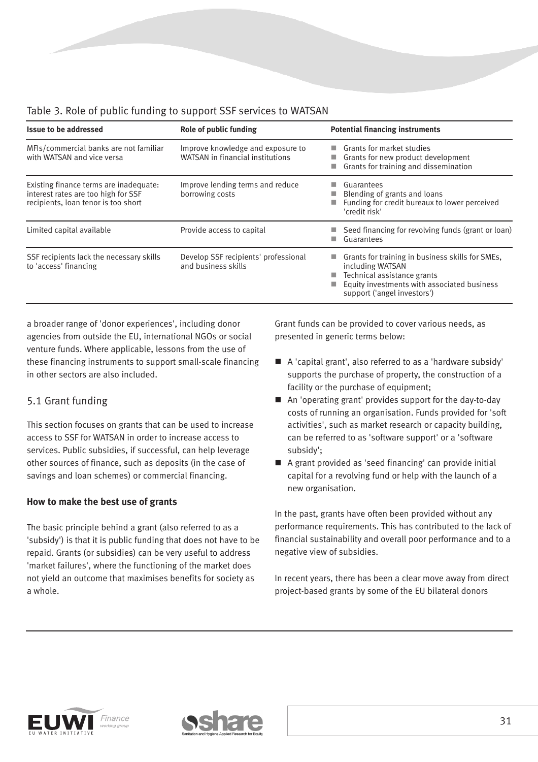| <b>Issue to be addressed</b>                                                                                         | Role of public funding                                                | <b>Potential financing instruments</b>                                                                                                                                                          |  |  |
|----------------------------------------------------------------------------------------------------------------------|-----------------------------------------------------------------------|-------------------------------------------------------------------------------------------------------------------------------------------------------------------------------------------------|--|--|
| MFIs/commercial banks are not familiar<br>with WATSAN and vice versa                                                 | Improve knowledge and exposure to<br>WATSAN in financial institutions | Grants for market studies<br>a a<br>Grants for new product development<br>Grants for training and dissemination                                                                                 |  |  |
| Existing finance terms are inadequate:<br>interest rates are too high for SSF<br>recipients, loan tenor is too short | Improve lending terms and reduce<br>borrowing costs                   | Guarantees<br>Blending of grants and loans<br>Funding for credit bureaux to lower perceived<br>'credit risk'                                                                                    |  |  |
| Limited capital available                                                                                            | Provide access to capital                                             | Seed financing for revolving funds (grant or loan)<br>Guarantees                                                                                                                                |  |  |
| SSF recipients lack the necessary skills<br>to 'access' financing                                                    | Develop SSF recipients' professional<br>and business skills           | Grants for training in business skills for SMEs,<br><b>COL</b><br>including WATSAN<br>Technical assistance grants<br>Equity investments with associated business<br>support ('angel investors') |  |  |

## Table 3. Role of public funding to support SSF services to WATSAN

a broader range of 'donor experiences', including donor agencies from outside the EU, international NGOs or social venture funds. Where applicable, lessons from the use of these financing instruments to support small-scale financing in other sectors are also included.

## 5.1 Grant funding

This section focuses on grants that can be used to increase access to SSF for WATSAN in order to increase access to services. Public subsidies, if successful, can help leverage other sources of finance, such as deposits (in the case of savings and loan schemes) or commercial financing.

### **How to make the best use of grants**

The basic principle behind a grant (also referred to as a 'subsidy') is that it is public funding that does not have to be repaid. Grants (or subsidies) can be very useful to address 'market failures', where the functioning of the market does not yield an outcome that maximises benefits for society as a whole.

Grant funds can be provided to cover various needs, as presented in generic terms below:

- A 'capital grant', also referred to as a 'hardware subsidy' supports the purchase of property, the construction of a facility or the purchase of equipment;
- An 'operating grant' provides support for the day-to-day costs of running an organisation. Funds provided for 'soft activities', such as market research or capacity building, can be referred to as 'software support' or a 'software subsidy';
- A grant provided as 'seed financing' can provide initial capital for a revolving fund or help with the launch of a new organisation.

In the past, grants have often been provided without any performance requirements. This has contributed to the lack of financial sustainability and overall poor performance and to a negative view of subsidies.

In recent years, there has been a clear move away from direct project-based grants by some of the EU bilateral donors



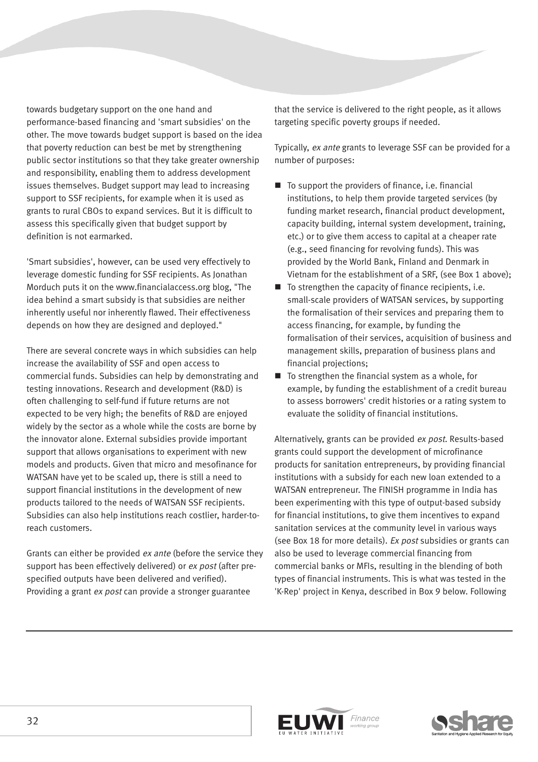towards budgetary support on the one hand and performance-based financing and 'smart subsidies' on the other. The move towards budget support is based on the idea that poverty reduction can best be met by strengthening public sector institutions so that they take greater ownership and responsibility, enabling them to address development issues themselves. Budget support may lead to increasing support to SSF recipients, for example when it is used as grants to rural CBOs to expand services. But it is difficult to assess this specifically given that budget support by definition is not earmarked.

'Smart subsidies', however, can be used very effectively to leverage domestic funding for SSF recipients. As Jonathan Morduch puts it on the www.financialaccess.org blog, "The idea behind a smart subsidy is that subsidies are neither inherently useful nor inherently flawed. Their effectiveness depends on how they are designed and deployed."

There are several concrete ways in which subsidies can help increase the availability of SSF and open access to commercial funds. Subsidies can help by demonstrating and testing innovations. Research and development (R&D) is often challenging to self-fund if future returns are not expected to be very high; the benefits of R&D are enjoyed widely by the sector as a whole while the costs are borne by the innovator alone. External subsidies provide important support that allows organisations to experiment with new models and products. Given that micro and mesofinance for WATSAN have yet to be scaled up, there is still a need to support financial institutions in the development of new products tailored to the needs of WATSAN SSF recipients. Subsidies can also help institutions reach costlier, harder-toreach customers.

Grants can either be provided ex ante (before the service they support has been effectively delivered) or ex post (after prespecified outputs have been delivered and verified). Providing a grant ex post can provide a stronger guarantee

that the service is delivered to the right people, as it allows targeting specific poverty groups if needed.

Typically, ex ante grants to leverage SSF can be provided for a number of purposes:

- $\blacksquare$  To support the providers of finance, i.e. financial institutions, to help them provide targeted services (by funding market research, financial product development, capacity building, internal system development, training, etc.) or to give them access to capital at a cheaper rate (e.g., seed financing for revolving funds). This was provided by the World Bank, Finland and Denmark in Vietnam for the establishment of a SRF, (see Box 1 above);
- $\blacksquare$  To strengthen the capacity of finance recipients, i.e. small-scale providers of WATSAN services, by supporting the formalisation of their services and preparing them to access financing, for example, by funding the formalisation of their services, acquisition of business and management skills, preparation of business plans and financial projections;
- $\blacksquare$  To strengthen the financial system as a whole, for example, by funding the establishment of a credit bureau to assess borrowers' credit histories or a rating system to evaluate the solidity of financial institutions.

Alternatively, grants can be provided ex post. Results-based grants could support the development of microfinance products for sanitation entrepreneurs, by providing financial institutions with a subsidy for each new loan extended to a WATSAN entrepreneur. The FINISH programme in India has been experimenting with this type of output-based subsidy for financial institutions, to give them incentives to expand sanitation services at the community level in various ways (see Box 18 for more details). Ex post subsidies or grants can also be used to leverage commercial financing from commercial banks or MFIs, resulting in the blending of both types of financial instruments. This is what was tested in the 'K-Rep' project in Kenya, described in Box 9 below. Following



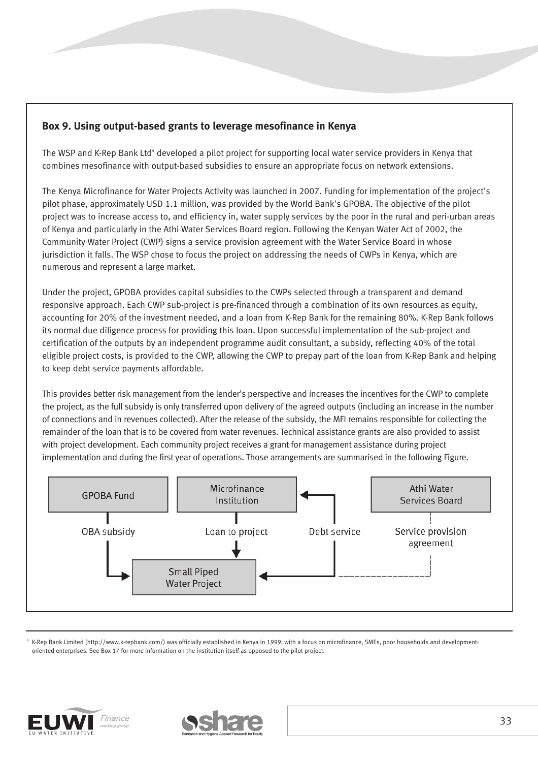## **Box 9. Using output-based grants to leverage mesofinance in Kenya**

The WSP and K-Rep Bank Ltd<sup>4</sup> developed a pilot project for supporting local water service providers in Kenya that combines mesofinance with output-based subsidies to ensure an appropriate focus on network extensions.

The Kenya Microfinance for Water Projects Activity was launched in 2007. Funding for implementation of the project's pilot phase, approximately USD 1.1 million, was provided by the World Bank's GPOBA. The objective of the pilot project was to increase access to, and efficiency in, water supply services by the poor in the rural and peri-urban areas of Kenya and particularly in the Athi Water Services Board region. Following the Kenyan Water Act of 2002, the Community Water Project (CWP) signs a service provision agreement with the Water Service Board in whose jurisdiction it falls. The WSP chose to focus the project on addressing the needs of CWPs in Kenya, which are numerous and represent a large market.

Under the project, GPOBA provides capital subsidies to the CWPs selected through a transparent and demand responsive approach. Each CWP sub-project is pre-financed through a combination of its own resources as equity, accounting for 20% of the investment needed, and a loan from K-Rep Bank for the remaining 80%. K-Rep Bank follows its normal due diligence process for providing this loan. Upon successful implementation of the sub-project and certification of the outputs by an independent programme audit consultant, a subsidy, reflecting 40% of the total eligible project costs, is provided to the CWP, allowing the CWP to prepay part of the loan from K-Rep Bank and helping to keep debt service payments affordable.

This provides better risk management from the lender's perspective and increases the incentives for the CWP to complete the project, as the full subsidy is only transferred upon delivery of the agreed outputs (including an increase in the number of connections and in revenues collected). After the release of the subsidy, the MFI remains responsible for collecting the remainder of the loan that is to be covered from water revenues. Technical assistance grants are also provided to assist with project development. Each community project receives a grant for management assistance during project implementation and during the first year of operations. Those arrangements are summarised in the following Figure.



<sup>4</sup> K-Rep Bank Limited (http://www.k-repbank.com/) was officially established in Kenya in 1999, with a focus on microfinance, SMEs, poor households and developmentoriented enterprises. See Box 17 for more information on the institution itself as opposed to the pilot project.



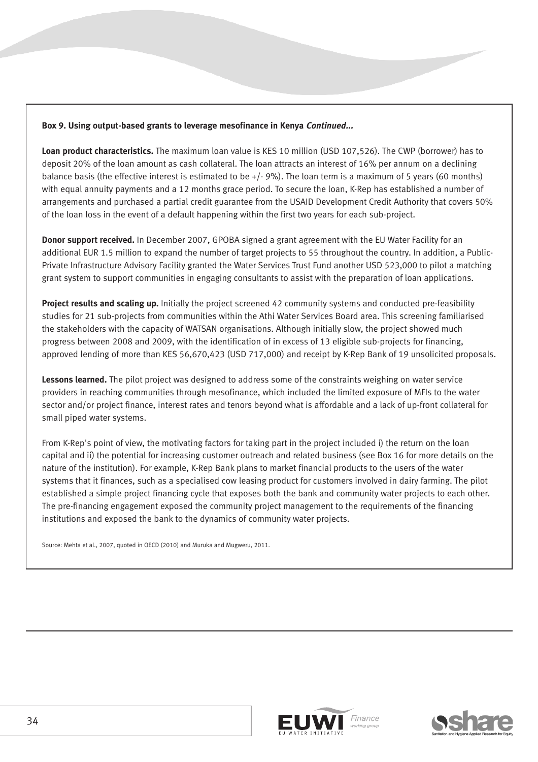#### **Box 9. Using output-based grants to leverage mesofinance in Kenya Continued...**

**Loan product characteristics.** The maximum loan value is KES 10 million (USD 107,526). The CWP (borrower) has to deposit 20% of the loan amount as cash collateral. The loan attracts an interest of 16% per annum on a declining balance basis (the effective interest is estimated to be  $+/-$  9%). The loan term is a maximum of 5 years (60 months) with equal annuity payments and a 12 months grace period. To secure the loan, K-Rep has established a number of arrangements and purchased a partial credit guarantee from the USAID Development Credit Authority that covers 50% of the loan loss in the event of a default happening within the first two years for each sub-project.

**Donor support received.** In December 2007, GPOBA signed a grant agreement with the EU Water Facility for an additional EUR 1.5 million to expand the number of target projects to 55 throughout the country. In addition, a Public-Private Infrastructure Advisory Facility granted the Water Services Trust Fund another USD 523,000 to pilot a matching grant system to support communities in engaging consultants to assist with the preparation of loan applications.

**Project results and scaling up.** Initially the project screened 42 community systems and conducted pre-feasibility studies for 21 sub-projects from communities within the Athi Water Services Board area. This screening familiarised the stakeholders with the capacity of WATSAN organisations. Although initially slow, the project showed much progress between 2008 and 2009, with the identification of in excess of 13 eligible sub-projects for financing, approved lending of more than KES 56,670,423 (USD 717,000) and receipt by K-Rep Bank of 19 unsolicited proposals.

**Lessons learned.** The pilot project was designed to address some of the constraints weighing on water service providers in reaching communities through mesofinance, which included the limited exposure of MFIs to the water sector and/or project finance, interest rates and tenors beyond what is affordable and a lack of up-front collateral for small piped water systems.

From K-Rep's point of view, the motivating factors for taking part in the project included i) the return on the loan capital and ii) the potential for increasing customer outreach and related business (see Box 16 for more details on the nature of the institution). For example, K-Rep Bank plans to market financial products to the users of the water systems that it finances, such as a specialised cow leasing product for customers involved in dairy farming. The pilot established a simple project financing cycle that exposes both the bank and community water projects to each other. The pre-financing engagement exposed the community project management to the requirements of the financing institutions and exposed the bank to the dynamics of community water projects.

Source: Mehta et al., 2007, quoted in OECD (2010) and Muruka and Mugweru, 2011.



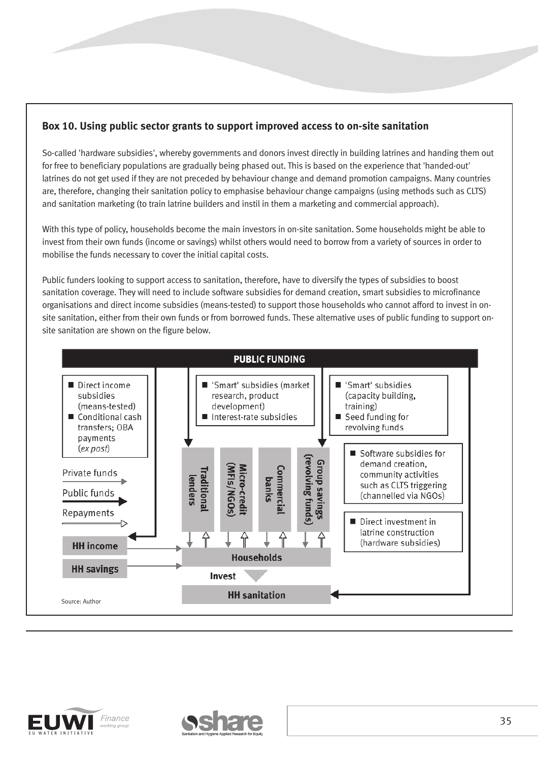## **Box 10. Using public sector grants to support improved access to on-site sanitation**

So-called 'hardware subsidies', whereby governments and donors invest directly in building latrines and handing them out for free to beneficiary populations are gradually being phased out. This is based on the experience that 'handed-out' latrines do not get used if they are not preceded by behaviour change and demand promotion campaigns. Many countries are, therefore, changing their sanitation policy to emphasise behaviour change campaigns (using methods such as CLTS) and sanitation marketing (to train latrine builders and instil in them a marketing and commercial approach).

With this type of policy, households become the main investors in on-site sanitation. Some households might be able to invest from their own funds (income or savings) whilst others would need to borrow from a variety of sources in order to mobilise the funds necessary to cover the initial capital costs.

Public funders looking to support access to sanitation, therefore, have to diversify the types of subsidies to boost sanitation coverage. They will need to include software subsidies for demand creation, smart subsidies to microfinance organisations and direct income subsidies (means-tested) to support those households who cannot afford to invest in onsite sanitation, either from their own funds or from borrowed funds. These alternative uses of public funding to support onsite sanitation are shown on the figure below.





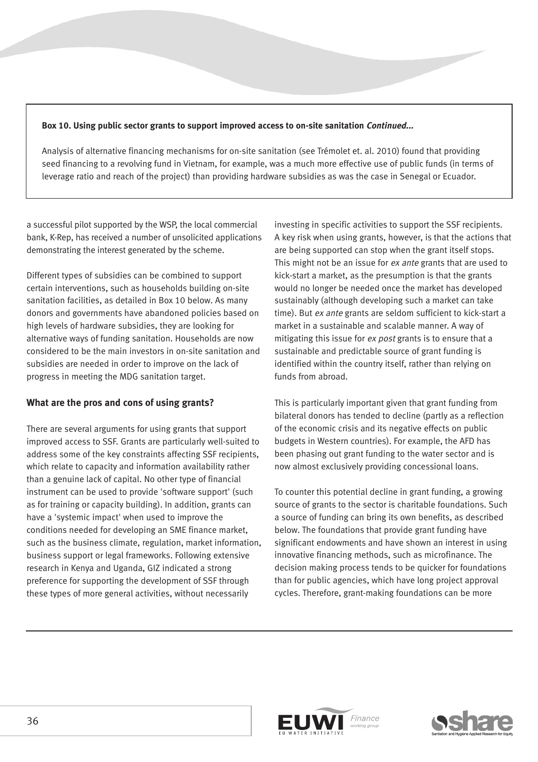#### **Box 10. Using public sector grants to support improved access to on-site sanitation Continued...**

Analysis of alternative financing mechanisms for on-site sanitation (see Trémolet et. al. 2010) found that providing seed financing to a revolving fund in Vietnam, for example, was a much more effective use of public funds (in terms of leverage ratio and reach of the project) than providing hardware subsidies as was the case in Senegal or Ecuador.

a successful pilot supported by the WSP, the local commercial bank, K-Rep, has received a number of unsolicited applications demonstrating the interest generated by the scheme.

Different types of subsidies can be combined to support certain interventions, such as households building on-site sanitation facilities, as detailed in Box 10 below. As many donors and governments have abandoned policies based on high levels of hardware subsidies, they are looking for alternative ways of funding sanitation. Households are now considered to be the main investors in on-site sanitation and subsidies are needed in order to improve on the lack of progress in meeting the MDG sanitation target.

#### **What are the pros and cons of using grants?**

There are several arguments for using grants that support improved access to SSF. Grants are particularly well-suited to address some of the key constraints affecting SSF recipients, which relate to capacity and information availability rather than a genuine lack of capital. No other type of financial instrument can be used to provide 'software support' (such as for training or capacity building). In addition, grants can have a 'systemic impact' when used to improve the conditions needed for developing an SME finance market, such as the business climate, regulation, market information, business support or legal frameworks. Following extensive research in Kenya and Uganda, GIZ indicated a strong preference for supporting the development of SSF through these types of more general activities, without necessarily

investing in specific activities to support the SSF recipients. A key risk when using grants, however, is that the actions that are being supported can stop when the grant itself stops. This might not be an issue for ex ante grants that are used to kick-start a market, as the presumption is that the grants would no longer be needed once the market has developed sustainably (although developing such a market can take time). But ex ante grants are seldom sufficient to kick-start a market in a sustainable and scalable manner. A way of mitigating this issue for ex post grants is to ensure that a sustainable and predictable source of grant funding is identified within the country itself, rather than relying on funds from abroad.

This is particularly important given that grant funding from bilateral donors has tended to decline (partly as a reflection of the economic crisis and its negative effects on public budgets in Western countries). For example, the AFD has been phasing out grant funding to the water sector and is now almost exclusively providing concessional loans.

To counter this potential decline in grant funding, a growing source of grants to the sector is charitable foundations. Such a source of funding can bring its own benefits, as described below. The foundations that provide grant funding have significant endowments and have shown an interest in using innovative financing methods, such as microfinance. The decision making process tends to be quicker for foundations than for public agencies, which have long project approval cycles. Therefore, grant-making foundations can be more



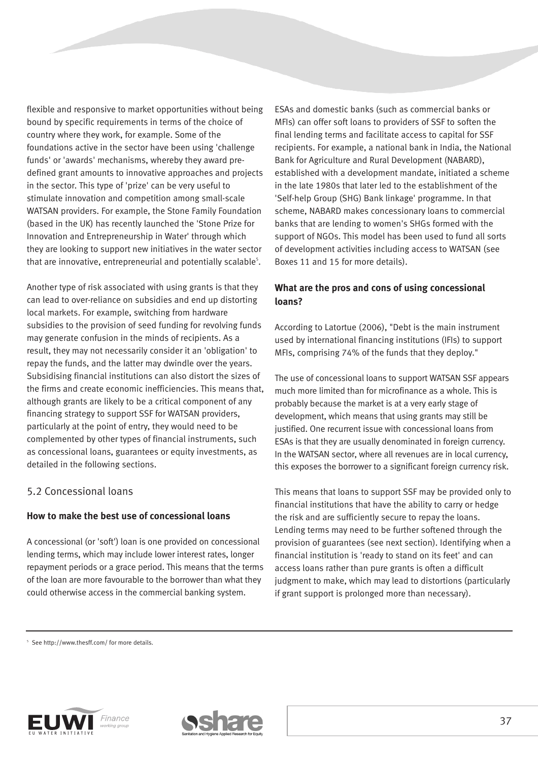flexible and responsive to market opportunities without being bound by specific requirements in terms of the choice of country where they work, for example. Some of the foundations active in the sector have been using 'challenge funds' or 'awards' mechanisms, whereby they award predefined grant amounts to innovative approaches and projects in the sector. This type of 'prize' can be very useful to stimulate innovation and competition among small-scale WATSAN providers. For example, the Stone Family Foundation (based in the UK) has recently launched the 'Stone Prize for Innovation and Entrepreneurship in Water' through which they are looking to support new initiatives in the water sector that are innovative, entrepreneurial and potentially scalable<sup>5</sup>.

Another type of risk associated with using grants is that they can lead to over-reliance on subsidies and end up distorting local markets. For example, switching from hardware subsidies to the provision of seed funding for revolving funds may generate confusion in the minds of recipients. As a result, they may not necessarily consider it an 'obligation' to repay the funds, and the latter may dwindle over the years. Subsidising financial institutions can also distort the sizes of the firms and create economic inefficiencies. This means that, although grants are likely to be a critical component of any financing strategy to support SSF for WATSAN providers, particularly at the point of entry, they would need to be complemented by other types of financial instruments, such as concessional loans, guarantees or equity investments, as detailed in the following sections.

## 5.2 Concessional loans

#### **How to make the best use of concessional loans**

A concessional (or 'soft') loan is one provided on concessional lending terms, which may include lower interest rates, longer repayment periods or a grace period. This means that the terms of the loan are more favourable to the borrower than what they could otherwise access in the commercial banking system.

ESAs and domestic banks (such as commercial banks or MFIs) can offer soft loans to providers of SSF to soften the final lending terms and facilitate access to capital for SSF recipients. For example, a national bank in India, the National Bank for Agriculture and Rural Development (NABARD), established with a development mandate, initiated a scheme in the late 1980s that later led to the establishment of the 'Self-help Group (SHG) Bank linkage' programme. In that scheme, NABARD makes concessionary loans to commercial banks that are lending to women's SHGs formed with the support of NGOs. This model has been used to fund all sorts of development activities including access to WATSAN (see Boxes 11 and 15 for more details).

## **What are the pros and cons of using concessional loans?**

According to Latortue (2006), "Debt is the main instrument used by international financing institutions (IFIs) to support MFIs, comprising 74% of the funds that they deploy."

The use of concessional loans to support WATSAN SSF appears much more limited than for microfinance as a whole. This is probably because the market is at a very early stage of development, which means that using grants may still be justified. One recurrent issue with concessional loans from ESAs is that they are usually denominated in foreign currency. In the WATSAN sector, where all revenues are in local currency, this exposes the borrower to a significant foreign currency risk.

This means that loans to support SSF may be provided only to financial institutions that have the ability to carry or hedge the risk and are sufficiently secure to repay the loans. Lending terms may need to be further softened through the provision of guarantees (see next section). Identifying when a financial institution is 'ready to stand on its feet' and can access loans rather than pure grants is often a difficult judgment to make, which may lead to distortions (particularly if grant support is prolonged more than necessary).

<sup>5</sup> See http://www.thesff.com/ for more details.



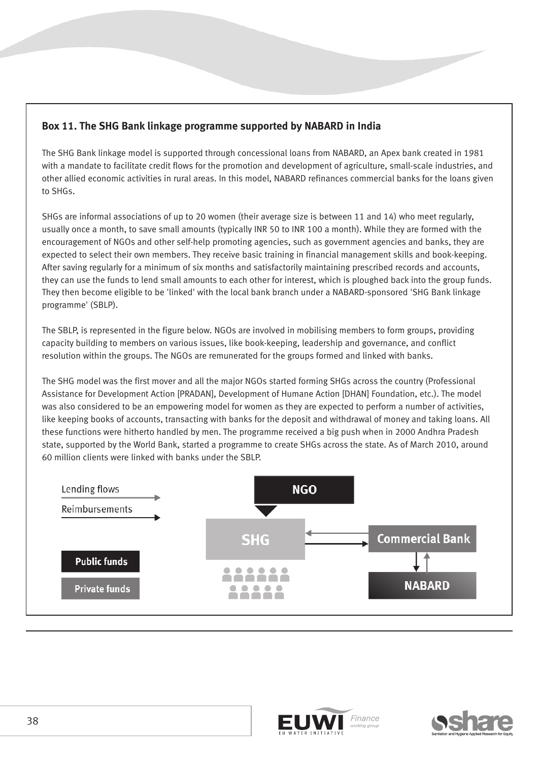## **Box 11. The SHG Bank linkage programme supported by NABARD in India**

The SHG Bank linkage model is supported through concessional loans from NABARD, an Apex bank created in 1981 with a mandate to facilitate credit flows for the promotion and development of agriculture, small-scale industries, and other allied economic activities in rural areas. In this model, NABARD refinances commercial banks for the loans given to SHGs.

SHGs are informal associations of up to 20 women (their average size is between 11 and 14) who meet regularly, usually once a month, to save small amounts (typically INR 50 to INR 100 a month). While they are formed with the encouragement of NGOs and other self-help promoting agencies, such as government agencies and banks, they are expected to select their own members. They receive basic training in financial management skills and book-keeping. After saving regularly for a minimum of six months and satisfactorily maintaining prescribed records and accounts, they can use the funds to lend small amounts to each other for interest, which is ploughed back into the group funds. They then become eligible to be 'linked' with the local bank branch under a NABARD-sponsored 'SHG Bank linkage programme' (SBLP).

The SBLP, is represented in the figure below. NGOs are involved in mobilising members to form groups, providing capacity building to members on various issues, like book-keeping, leadership and governance, and conflict resolution within the groups. The NGOs are remunerated for the groups formed and linked with banks.

The SHG model was the first mover and all the major NGOs started forming SHGs across the country (Professional Assistance for Development Action [PRADAN], Development of Humane Action [DHAN] Foundation, etc.). The model was also considered to be an empowering model for women as they are expected to perform a number of activities, like keeping books of accounts, transacting with banks for the deposit and withdrawal of money and taking loans. All these functions were hitherto handled by men. The programme received a big push when in 2000 Andhra Pradesh state, supported by the World Bank, started a programme to create SHGs across the state. As of March 2010, around 60 million clients were linked with banks under the SBLP.





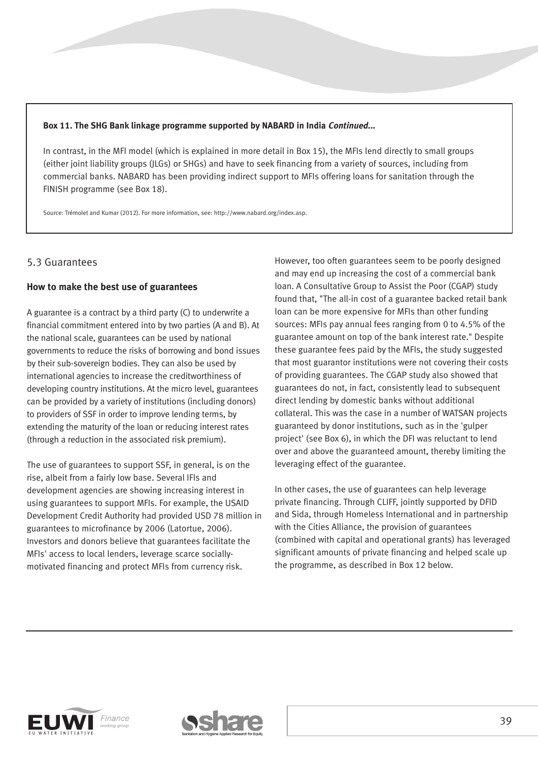#### **Box 11. The SHG Bank linkage programme supported by NABARD in India Continued...**

In contrast, in the MFI model (which is explained in more detail in Box 15), the MFIs lend directly to small groups (either joint liability groups (JLGs) or SHGs) and have to seek financing from a variety of sources, including from commercial banks. NABARD has been providing indirect support to MFIs offering loans for sanitation through the FINISH programme (see Box 18).

Source: Trémolet and Kumar (2012). For more information, see: http://www.nabard.org/index.asp.

## 5.3 Guarantees

#### **How to make the best use of guarantees**

A guarantee is a contract by a third party (C) to underwrite a financial commitment entered into by two parties (A and B). At the national scale, guarantees can be used by national governments to reduce the risks of borrowing and bond issues by their sub-sovereign bodies. They can also be used by international agencies to increase the creditworthiness of developing country institutions. At the micro level, guarantees can be provided by a variety of institutions (including donors) to providers of SSF in order to improve lending terms, by extending the maturity of the loan or reducing interest rates (through a reduction in the associated risk premium).

The use of guarantees to support SSF, in general, is on the rise, albeit from a fairly low base. Several IFIs and development agencies are showing increasing interest in using guarantees to support MFIs. For example, the USAID Development Credit Authority had provided USD 78 million in guarantees to microfinance by 2006 (Latortue, 2006). Investors and donors believe that guarantees facilitate the MFIs' access to local lenders, leverage scarce sociallymotivated financing and protect MFIs from currency risk.

However, too often guarantees seem to be poorly designed and may end up increasing the cost of a commercial bank loan. A Consultative Group to Assist the Poor (CGAP) study found that, "The all-in cost of a guarantee backed retail bank loan can be more expensive for MFIs than other funding sources: MFIs pay annual fees ranging from 0 to 4.5% of the guarantee amount on top of the bank interest rate." Despite these guarantee fees paid by the MFIs, the study suggested that most guarantor institutions were not covering their costs of providing guarantees. The CGAP study also showed that guarantees do not, in fact, consistently lead to subsequent direct lending by domestic banks without additional collateral. This was the case in a number of WATSAN projects guaranteed by donor institutions, such as in the 'gulper project' (see Box 6), in which the DFI was reluctant to lend over and above the guaranteed amount, thereby limiting the leveraging effect of the guarantee.

In other cases, the use of guarantees can help leverage private financing. Through CLIFF, jointly supported by DFID and Sida, through Homeless International and in partnership with the Cities Alliance, the provision of guarantees (combined with capital and operational grants) has leveraged significant amounts of private financing and helped scale up the programme, as described in Box 12 below.



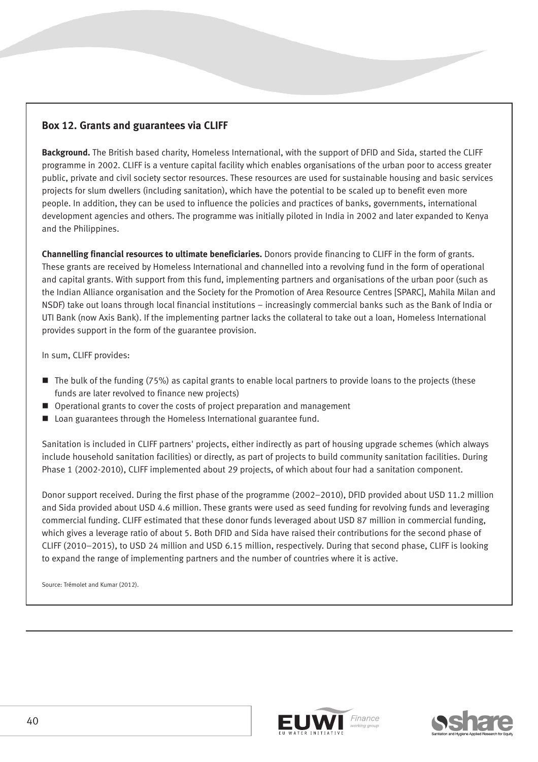## **Box 12. Grants and guarantees via CLIFF**

**Background.** The British based charity, Homeless International, with the support of DFID and Sida, started the CLIFF programme in 2002. CLIFF is a venture capital facility which enables organisations of the urban poor to access greater public, private and civil society sector resources. These resources are used for sustainable housing and basic services projects for slum dwellers (including sanitation), which have the potential to be scaled up to benefit even more people. In addition, they can be used to influence the policies and practices of banks, governments, international development agencies and others. The programme was initially piloted in India in 2002 and later expanded to Kenya and the Philippines.

**Channelling financial resources to ultimate beneficiaries.** Donors provide financing to CLIFF in the form of grants. These grants are received by Homeless International and channelled into a revolving fund in the form of operational and capital grants. With support from this fund, implementing partners and organisations of the urban poor (such as the Indian Alliance organisation and the Society for the Promotion of Area Resource Centres [SPARC], Mahila Milan and NSDF) take out loans through local financial institutions – increasingly commercial banks such as the Bank of India or UTI Bank (now Axis Bank). If the implementing partner lacks the collateral to take out a loan, Homeless International provides support in the form of the guarantee provision.

In sum, CLIFF provides:

- The bulk of the funding (75%) as capital grants to enable local partners to provide loans to the projects (these funds are later revolved to finance new projects)
- Operational grants to cover the costs of project preparation and management
- Loan guarantees through the Homeless International guarantee fund.

Sanitation is included in CLIFF partners' projects, either indirectly as part of housing upgrade schemes (which always include household sanitation facilities) or directly, as part of projects to build community sanitation facilities. During Phase 1 (2002-2010), CLIFF implemented about 29 projects, of which about four had a sanitation component.

Donor support received. During the first phase of the programme (2002–2010), DFID provided about USD 11.2 million and Sida provided about USD 4.6 million. These grants were used as seed funding for revolving funds and leveraging commercial funding. CLIFF estimated that these donor funds leveraged about USD 87 million in commercial funding, which gives a leverage ratio of about 5. Both DFID and Sida have raised their contributions for the second phase of CLIFF (2010–2015), to USD 24 million and USD 6.15 million, respectively. During that second phase, CLIFF is looking to expand the range of implementing partners and the number of countries where it is active.

Source: Trémolet and Kumar (2012).



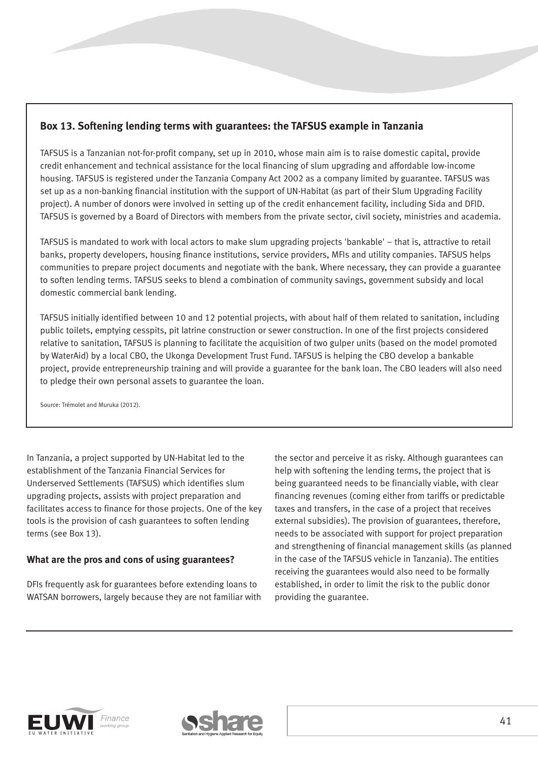## **Box 13. Softening lending terms with guarantees: the TAFSUS example in Tanzania**

TAFSUS is a Tanzanian not-for-profit company, set up in 2010, whose main aim is to raise domestic capital, provide credit enhancement and technical assistance for the local financing of slum upgrading and affordable low-income housing. TAFSUS is registered under the Tanzania Company Act 2002 as a company limited by guarantee. TAFSUS was set up as a non-banking financial institution with the support of UN-Habitat (as part of their Slum Upgrading Facility project). A number of donors were involved in setting up of the credit enhancement facility, including Sida and DFID. TAFSUS is governed by a Board of Directors with members from the private sector, civil society, ministries and academia.

TAFSUS is mandated to work with local actors to make slum upgrading projects 'bankable' – that is, attractive to retail banks, property developers, housing finance institutions, service providers, MFIs and utility companies. TAFSUS helps communities to prepare project documents and negotiate with the bank. Where necessary, they can provide a guarantee to soften lending terms. TAFSUS seeks to blend a combination of community savings, government subsidy and local domestic commercial bank lending.

TAFSUS initially identified between 10 and 12 potential projects, with about half of them related to sanitation, including public toilets, emptying cesspits, pit latrine construction or sewer construction. In one of the first projects considered relative to sanitation, TAFSUS is planning to facilitate the acquisition of two gulper units (based on the model promoted by WaterAid) by a local CBO, the Ukonga Development Trust Fund. TAFSUS is helping the CBO develop a bankable project, provide entrepreneurship training and will provide a guarantee for the bank loan. The CBO leaders will also need to pledge their own personal assets to guarantee the loan.

Source: Trémolet and Muruka (2012).

In Tanzania, a project supported by UN-Habitat led to the establishment of the Tanzania Financial Services for Underserved Settlements (TAFSUS) which identifies slum upgrading projects, assists with project preparation and facilitates access to finance for those projects. One of the key tools is the provision of cash guarantees to soften lending terms (see Box 13).

### **What are the pros and cons of using guarantees?**

DFIs frequently ask for guarantees before extending loans to WATSAN borrowers, largely because they are not familiar with the sector and perceive it as risky. Although guarantees can help with softening the lending terms, the project that is being guaranteed needs to be financially viable, with clear financing revenues (coming either from tariffs or predictable taxes and transfers, in the case of a project that receives external subsidies). The provision of guarantees, therefore, needs to be associated with support for project preparation and strengthening of financial management skills (as planned in the case of the TAFSUS vehicle in Tanzania). The entities receiving the guarantees would also need to be formally established, in order to limit the risk to the public donor providing the guarantee.



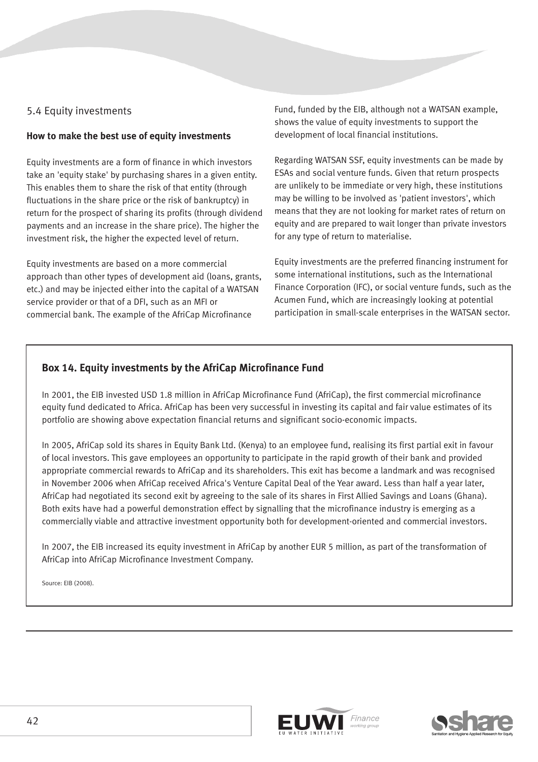## 5.4 Equity investments

#### **How to make the best use of equity investments**

Equity investments are a form of finance in which investors take an 'equity stake' by purchasing shares in a given entity. This enables them to share the risk of that entity (through fluctuations in the share price or the risk of bankruptcy) in return for the prospect of sharing its profits (through dividend payments and an increase in the share price). The higher the investment risk, the higher the expected level of return.

Equity investments are based on a more commercial approach than other types of development aid (loans, grants, etc.) and may be injected either into the capital of a WATSAN service provider or that of a DFI, such as an MFI or commercial bank. The example of the AfriCap Microfinance

Fund, funded by the EIB, although not a WATSAN example, shows the value of equity investments to support the development of local financial institutions.

Regarding WATSAN SSF, equity investments can be made by ESAs and social venture funds. Given that return prospects are unlikely to be immediate or very high, these institutions may be willing to be involved as 'patient investors', which means that they are not looking for market rates of return on equity and are prepared to wait longer than private investors for any type of return to materialise.

Equity investments are the preferred financing instrument for some international institutions, such as the International Finance Corporation (IFC), or social venture funds, such as the Acumen Fund, which are increasingly looking at potential participation in small-scale enterprises in the WATSAN sector.

## **Box 14. Equity investments by the AfriCap Microfinance Fund**

In 2001, the EIB invested USD 1.8 million in AfriCap Microfinance Fund (AfriCap), the first commercial microfinance equity fund dedicated to Africa. AfriCap has been very successful in investing its capital and fair value estimates of its portfolio are showing above expectation financial returns and significant socio-economic impacts.

In 2005, AfriCap sold its shares in Equity Bank Ltd. (Kenya) to an employee fund, realising its first partial exit in favour of local investors. This gave employees an opportunity to participate in the rapid growth of their bank and provided appropriate commercial rewards to AfriCap and its shareholders. This exit has become a landmark and was recognised in November 2006 when AfriCap received Africa's Venture Capital Deal of the Year award. Less than half a year later, AfriCap had negotiated its second exit by agreeing to the sale of its shares in First Allied Savings and Loans (Ghana). Both exits have had a powerful demonstration effect by signalling that the microfinance industry is emerging as a commercially viable and attractive investment opportunity both for development-oriented and commercial investors.

In 2007, the EIB increased its equity investment in AfriCap by another EUR 5 million, as part of the transformation of AfriCap into AfriCap Microfinance Investment Company.

Source: EIB (2008).



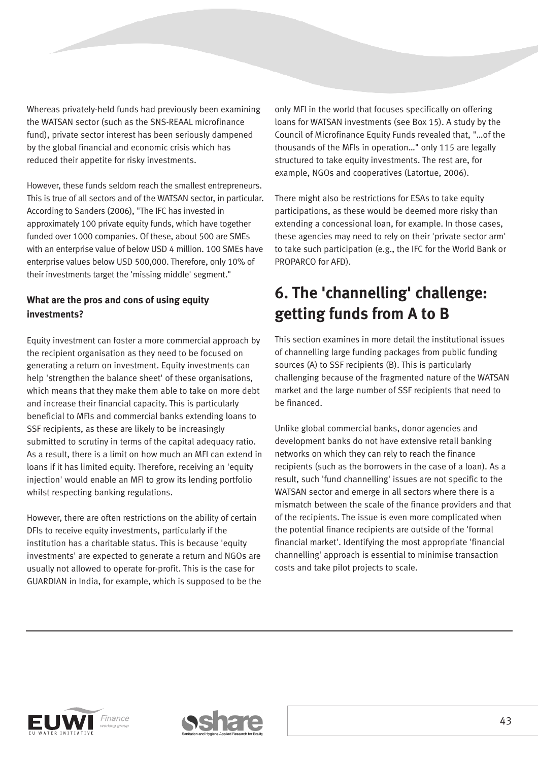Whereas privately-held funds had previously been examining the WATSAN sector (such as the SNS-REAAL microfinance fund), private sector interest has been seriously dampened by the global financial and economic crisis which has reduced their appetite for risky investments.

However, these funds seldom reach the smallest entrepreneurs. This is true of all sectors and of the WATSAN sector, in particular. According to Sanders (2006), "The IFC has invested in approximately 100 private equity funds, which have together funded over 1000 companies. Of these, about 500 are SMEs with an enterprise value of below USD 4 million. 100 SMEs have enterprise values below USD 500,000. Therefore, only 10% of their investments target the 'missing middle' segment."

## **What are the pros and cons of using equity investments?**

Equity investment can foster a more commercial approach by the recipient organisation as they need to be focused on generating a return on investment. Equity investments can help 'strengthen the balance sheet' of these organisations, which means that they make them able to take on more debt and increase their financial capacity. This is particularly beneficial to MFIs and commercial banks extending loans to SSF recipients, as these are likely to be increasingly submitted to scrutiny in terms of the capital adequacy ratio. As a result, there is a limit on how much an MFI can extend in loans if it has limited equity. Therefore, receiving an 'equity injection' would enable an MFI to grow its lending portfolio whilst respecting banking regulations.

However, there are often restrictions on the ability of certain DFIs to receive equity investments, particularly if the institution has a charitable status. This is because 'equity investments' are expected to generate a return and NGOs are usually not allowed to operate for-profit. This is the case for GUARDIAN in India, for example, which is supposed to be the only MFI in the world that focuses specifically on offering loans for WATSAN investments (see Box 15). A study by the Council of Microfinance Equity Funds revealed that, "…of the thousands of the MFIs in operation…" only 115 are legally structured to take equity investments. The rest are, for example, NGOs and cooperatives (Latortue, 2006).

There might also be restrictions for ESAs to take equity participations, as these would be deemed more risky than extending a concessional loan, for example. In those cases, these agencies may need to rely on their 'private sector arm' to take such participation (e.g., the IFC for the World Bank or PROPARCO for AFD).

## **6. The 'channelling' challenge: getting funds from A to B**

This section examines in more detail the institutional issues of channelling large funding packages from public funding sources (A) to SSF recipients (B). This is particularly challenging because of the fragmented nature of the WATSAN market and the large number of SSF recipients that need to be financed.

Unlike global commercial banks, donor agencies and development banks do not have extensive retail banking networks on which they can rely to reach the finance recipients (such as the borrowers in the case of a loan). As a result, such 'fund channelling' issues are not specific to the WATSAN sector and emerge in all sectors where there is a mismatch between the scale of the finance providers and that of the recipients. The issue is even more complicated when the potential finance recipients are outside of the 'formal financial market'. Identifying the most appropriate 'financial channelling' approach is essential to minimise transaction costs and take pilot projects to scale.



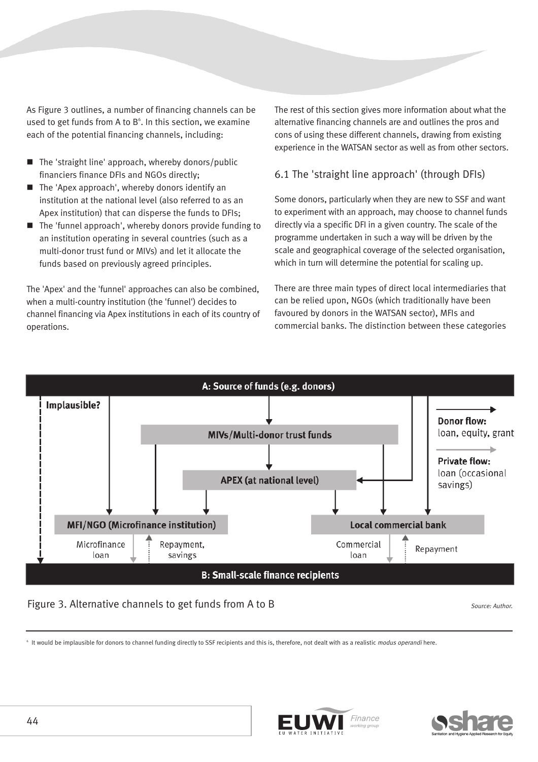As Figure 3 outlines, a number of financing channels can be used to get funds from A to  $B^6$ . In this section, we examine each of the potential financing channels, including:

- The 'straight line' approach, whereby donors/public financiers finance DFIs and NGOs directly;
- $\blacksquare$  The 'Apex approach', whereby donors identify an institution at the national level (also referred to as an Apex institution) that can disperse the funds to DFIs;
- The 'funnel approach', whereby donors provide funding to an institution operating in several countries (such as a multi-donor trust fund or MIVs) and let it allocate the funds based on previously agreed principles.

The 'Apex' and the 'funnel' approaches can also be combined, when a multi-country institution (the 'funnel') decides to channel financing via Apex institutions in each of its country of operations.

The rest of this section gives more information about what the alternative financing channels are and outlines the pros and cons of using these different channels, drawing from existing experience in the WATSAN sector as well as from other sectors.

### 6.1 The 'straight line approach' (through DFIs)

Some donors, particularly when they are new to SSF and want to experiment with an approach, may choose to channel funds directly via a specific DFI in a given country. The scale of the programme undertaken in such a way will be driven by the scale and geographical coverage of the selected organisation, which in turn will determine the potential for scaling up.

There are three main types of direct local intermediaries that can be relied upon, NGOs (which traditionally have been favoured by donors in the WATSAN sector), MFIs and commercial banks. The distinction between these categories



#### Figure 3. Alternative channels to get funds from A to B Source: Author.

It would be implausible for donors to channel funding directly to SSF recipients and this is, therefore, not dealt with as a realistic modus operandi here.



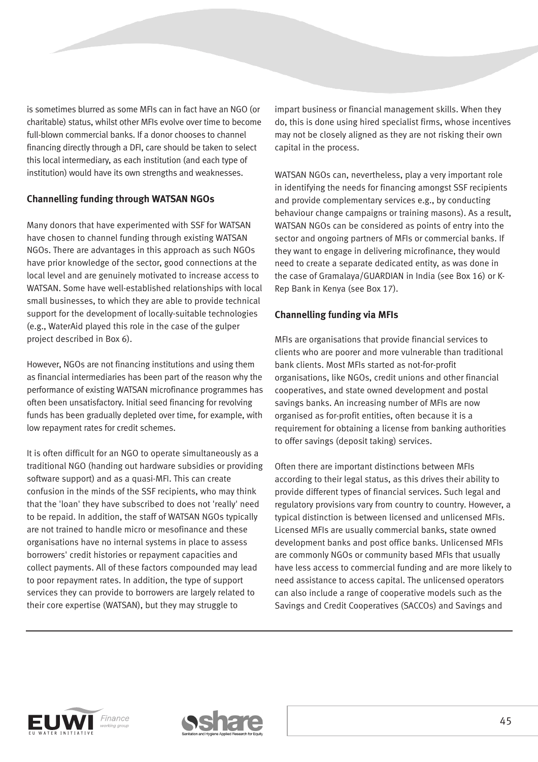is sometimes blurred as some MFIs can in fact have an NGO (or charitable) status, whilst other MFIs evolve over time to become full-blown commercial banks. If a donor chooses to channel financing directly through a DFI, care should be taken to select this local intermediary, as each institution (and each type of institution) would have its own strengths and weaknesses.

### **Channelling funding through WATSAN NGOs**

Many donors that have experimented with SSF for WATSAN have chosen to channel funding through existing WATSAN NGOs. There are advantages in this approach as such NGOs have prior knowledge of the sector, good connections at the local level and are genuinely motivated to increase access to WATSAN. Some have well-established relationships with local small businesses, to which they are able to provide technical support for the development of locally-suitable technologies (e.g., WaterAid played this role in the case of the gulper project described in Box 6).

However, NGOs are not financing institutions and using them as financial intermediaries has been part of the reason why the performance of existing WATSAN microfinance programmes has often been unsatisfactory. Initial seed financing for revolving funds has been gradually depleted over time, for example, with low repayment rates for credit schemes.

It is often difficult for an NGO to operate simultaneously as a traditional NGO (handing out hardware subsidies or providing software support) and as a quasi-MFI. This can create confusion in the minds of the SSF recipients, who may think that the 'loan' they have subscribed to does not 'really' need to be repaid. In addition, the staff of WATSAN NGOs typically are not trained to handle micro or mesofinance and these organisations have no internal systems in place to assess borrowers' credit histories or repayment capacities and collect payments. All of these factors compounded may lead to poor repayment rates. In addition, the type of support services they can provide to borrowers are largely related to their core expertise (WATSAN), but they may struggle to

impart business or financial management skills. When they do, this is done using hired specialist firms, whose incentives may not be closely aligned as they are not risking their own capital in the process.

WATSAN NGOs can, nevertheless, play a very important role in identifying the needs for financing amongst SSF recipients and provide complementary services e.g., by conducting behaviour change campaigns or training masons). As a result, WATSAN NGOs can be considered as points of entry into the sector and ongoing partners of MFIs or commercial banks. If they want to engage in delivering microfinance, they would need to create a separate dedicated entity, as was done in the case of Gramalaya/GUARDIAN in India (see Box 16) or K-Rep Bank in Kenya (see Box 17).

### **Channelling funding via MFIs**

MFIs are organisations that provide financial services to clients who are poorer and more vulnerable than traditional bank clients. Most MFIs started as not-for-profit organisations, like NGOs, credit unions and other financial cooperatives, and state owned development and postal savings banks. An increasing number of MFIs are now organised as for-profit entities, often because it is a requirement for obtaining a license from banking authorities to offer savings (deposit taking) services.

Often there are important distinctions between MFIs according to their legal status, as this drives their ability to provide different types of financial services. Such legal and regulatory provisions vary from country to country. However, a typical distinction is between licensed and unlicensed MFIs. Licensed MFIs are usually commercial banks, state owned development banks and post office banks. Unlicensed MFIs are commonly NGOs or community based MFIs that usually have less access to commercial funding and are more likely to need assistance to access capital. The unlicensed operators can also include a range of cooperative models such as the Savings and Credit Cooperatives (SACCOs) and Savings and



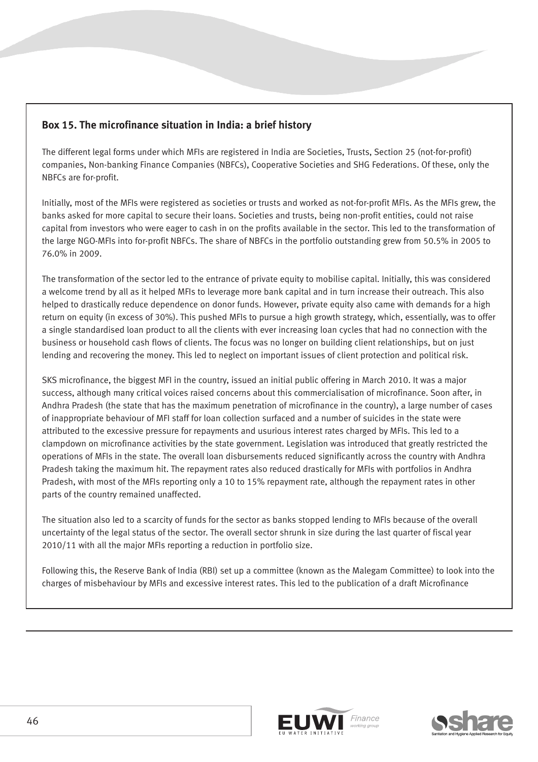## **Box 15. The microfinance situation in India: a brief history**

The different legal forms under which MFIs are registered in India are Societies, Trusts, Section 25 (not-for-profit) companies, Non-banking Finance Companies (NBFCs), Cooperative Societies and SHG Federations. Of these, only the NBFCs are for-profit.

Initially, most of the MFIs were registered as societies or trusts and worked as not-for-profit MFIs. As the MFIs grew, the banks asked for more capital to secure their loans. Societies and trusts, being non-profit entities, could not raise capital from investors who were eager to cash in on the profits available in the sector. This led to the transformation of the large NGO-MFIs into for-profit NBFCs. The share of NBFCs in the portfolio outstanding grew from 50.5% in 2005 to 76.0% in 2009.

The transformation of the sector led to the entrance of private equity to mobilise capital. Initially, this was considered a welcome trend by all as it helped MFIs to leverage more bank capital and in turn increase their outreach. This also helped to drastically reduce dependence on donor funds. However, private equity also came with demands for a high return on equity (in excess of 30%). This pushed MFIs to pursue a high growth strategy, which, essentially, was to offer a single standardised loan product to all the clients with ever increasing loan cycles that had no connection with the business or household cash flows of clients. The focus was no longer on building client relationships, but on just lending and recovering the money. This led to neglect on important issues of client protection and political risk.

SKS microfinance, the biggest MFI in the country, issued an initial public offering in March 2010. It was a major success, although many critical voices raised concerns about this commercialisation of microfinance. Soon after, in Andhra Pradesh (the state that has the maximum penetration of microfinance in the country), a large number of cases of inappropriate behaviour of MFI staff for loan collection surfaced and a number of suicides in the state were attributed to the excessive pressure for repayments and usurious interest rates charged by MFIs. This led to a clampdown on microfinance activities by the state government. Legislation was introduced that greatly restricted the operations of MFIs in the state. The overall loan disbursements reduced significantly across the country with Andhra Pradesh taking the maximum hit. The repayment rates also reduced drastically for MFIs with portfolios in Andhra Pradesh, with most of the MFIs reporting only a 10 to 15% repayment rate, although the repayment rates in other parts of the country remained unaffected.

The situation also led to a scarcity of funds for the sector as banks stopped lending to MFIs because of the overall uncertainty of the legal status of the sector. The overall sector shrunk in size during the last quarter of fiscal year 2010/11 with all the major MFIs reporting a reduction in portfolio size.

Following this, the Reserve Bank of India (RBI) set up a committee (known as the Malegam Committee) to look into the charges of misbehaviour by MFIs and excessive interest rates. This led to the publication of a draft Microfinance



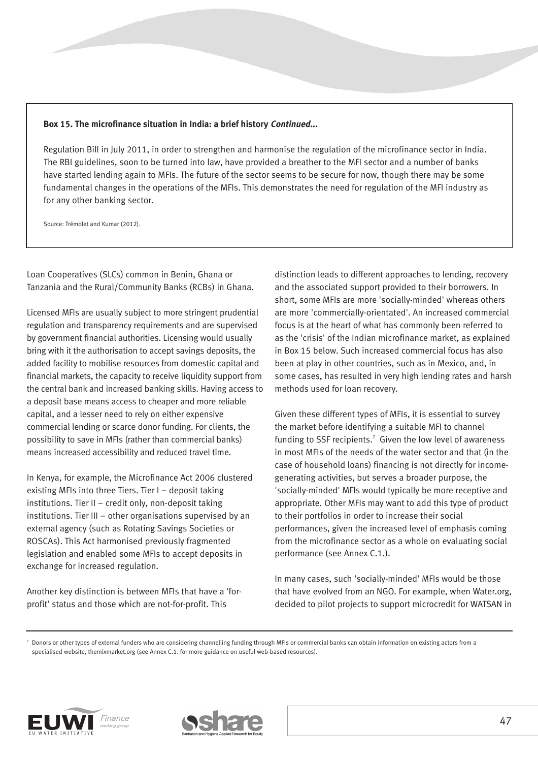#### **Box 15. The microfinance situation in India: a brief history Continued...**

Regulation Bill in July 2011, in order to strengthen and harmonise the regulation of the microfinance sector in India. The RBI guidelines, soon to be turned into law, have provided a breather to the MFI sector and a number of banks have started lending again to MFIs. The future of the sector seems to be secure for now, though there may be some fundamental changes in the operations of the MFIs. This demonstrates the need for regulation of the MFI industry as for any other banking sector.

Source: Trémolet and Kumar (2012).

Loan Cooperatives (SLCs) common in Benin, Ghana or Tanzania and the Rural/Community Banks (RCBs) in Ghana.

Licensed MFIs are usually subject to more stringent prudential regulation and transparency requirements and are supervised by government financial authorities. Licensing would usually bring with it the authorisation to accept savings deposits, the added facility to mobilise resources from domestic capital and financial markets, the capacity to receive liquidity support from the central bank and increased banking skills. Having access to a deposit base means access to cheaper and more reliable capital, and a lesser need to rely on either expensive commercial lending or scarce donor funding. For clients, the possibility to save in MFIs (rather than commercial banks) means increased accessibility and reduced travel time.

In Kenya, for example, the Microfinance Act 2006 clustered existing MFIs into three Tiers. Tier I – deposit taking institutions. Tier II – credit only, non-deposit taking institutions. Tier III – other organisations supervised by an external agency (such as Rotating Savings Societies or ROSCAs). This Act harmonised previously fragmented legislation and enabled some MFIs to accept deposits in exchange for increased regulation.

Another key distinction is between MFIs that have a 'forprofit' status and those which are not-for-profit. This

distinction leads to different approaches to lending, recovery and the associated support provided to their borrowers. In short, some MFIs are more 'socially-minded' whereas others are more 'commercially-orientated'. An increased commercial focus is at the heart of what has commonly been referred to as the 'crisis' of the Indian microfinance market, as explained in Box 15 below. Such increased commercial focus has also been at play in other countries, such as in Mexico, and, in some cases, has resulted in very high lending rates and harsh methods used for loan recovery.

Given these different types of MFIs, it is essential to survey the market before identifying a suitable MFI to channel funding to SSF recipients.<sup>7</sup> Given the low level of awareness in most MFIs of the needs of the water sector and that (in the case of household loans) financing is not directly for incomegenerating activities, but serves a broader purpose, the 'socially-minded' MFIs would typically be more receptive and appropriate. Other MFIs may want to add this type of product to their portfolios in order to increase their social performances, given the increased level of emphasis coming from the microfinance sector as a whole on evaluating social performance (see Annex C.1.).

In many cases, such 'socially-minded' MFIs would be those that have evolved from an NGO. For example, when Water.org, decided to pilot projects to support microcredit for WATSAN in

Donors or other types of external funders who are considering channelling funding through MFIs or commercial banks can obtain information on existing actors from a specialised website, themixmarket.org (see Annex C.1. for more guidance on useful web-based resources).



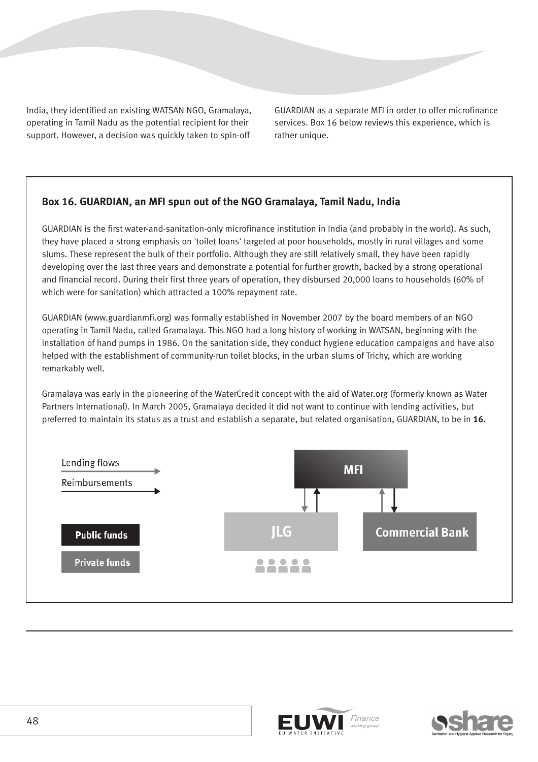India, they identified an existing WATSAN NGO, Gramalaya, operating in Tamil Nadu as the potential recipient for their support. However, a decision was quickly taken to spin-off

GUARDIAN as a separate MFI in order to offer microfinance services. Box 16 below reviews this experience, which is rather unique.

### **Box 16. GUARDIAN, an MFI spun out of the NGO Gramalaya, Tamil Nadu, India**

GUARDIAN is the first water-and-sanitation-only microfinance institution in India (and probably in the world). As such, they have placed a strong emphasis on 'toilet loans' targeted at poor households, mostly in rural villages and some slums. These represent the bulk of their portfolio. Although they are still relatively small, they have been rapidly developing over the last three years and demonstrate a potential for further growth, backed by a strong operational and financial record. During their first three years of operation, they disbursed 20,000 loans to households (60% of which were for sanitation) which attracted a 100% repayment rate.

GUARDIAN (www.guardianmfi.org) was formally established in November 2007 by the board members of an NGO operating in Tamil Nadu, called Gramalaya. This NGO had a long history of working in WATSAN, beginning with the installation of hand pumps in 1986. On the sanitation side, they conduct hygiene education campaigns and have also helped with the establishment of community-run toilet blocks, in the urban slums of Trichy, which are working remarkably well.

Gramalaya was early in the pioneering of the WaterCredit concept with the aid of Water.org (formerly known as Water Partners International). In March 2005, Gramalaya decided it did not want to continue with lending activities, but preferred to maintain its status as a trust and establish a separate, but related organisation, GUARDIAN, to be in **16.**





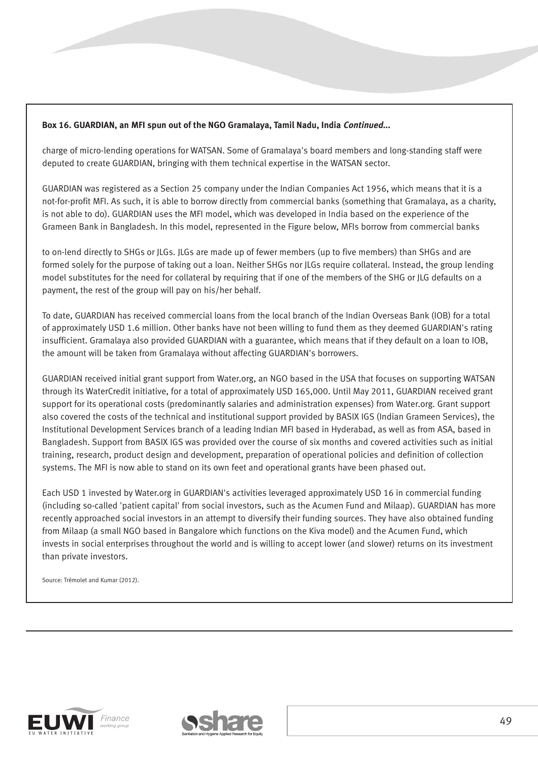#### **Box 16. GUARDIAN, an MFI spun out of the NGO Gramalaya, Tamil Nadu, India Continued...**

charge of micro-lending operations for WATSAN. Some of Gramalaya's board members and long-standing staff were deputed to create GUARDIAN, bringing with them technical expertise in the WATSAN sector.

GUARDIAN was registered as a Section 25 company under the Indian Companies Act 1956, which means that it is a not-for-profit MFI. As such, it is able to borrow directly from commercial banks (something that Gramalaya, as a charity, is not able to do). GUARDIAN uses the MFI model, which was developed in India based on the experience of the Grameen Bank in Bangladesh. In this model, represented in the Figure below, MFIs borrow from commercial banks

to on-lend directly to SHGs or JLGs. JLGs are made up of fewer members (up to five members) than SHGs and are formed solely for the purpose of taking out a loan. Neither SHGs nor JLGs require collateral. Instead, the group lending model substitutes for the need for collateral by requiring that if one of the members of the SHG or JLG defaults on a payment, the rest of the group will pay on his/her behalf.

To date, GUARDIAN has received commercial loans from the local branch of the Indian Overseas Bank (IOB) for a total of approximately USD 1.6 million. Other banks have not been willing to fund them as they deemed GUARDIAN's rating insufficient. Gramalaya also provided GUARDIAN with a guarantee, which means that if they default on a loan to IOB, the amount will be taken from Gramalaya without affecting GUARDIAN's borrowers.

GUARDIAN received initial grant support from Water.org, an NGO based in the USA that focuses on supporting WATSAN through its WaterCredit initiative, for a total of approximately USD 165,000. Until May 2011, GUARDIAN received grant support for its operational costs (predominantly salaries and administration expenses) from Water.org. Grant support also covered the costs of the technical and institutional support provided by BASIX IGS (Indian Grameen Services), the Institutional Development Services branch of a leading Indian MFI based in Hyderabad, as well as from ASA, based in Bangladesh. Support from BASIX IGS was provided over the course of six months and covered activities such as initial training, research, product design and development, preparation of operational policies and definition of collection systems. The MFI is now able to stand on its own feet and operational grants have been phased out.

Each USD 1 invested by Water.org in GUARDIAN's activities leveraged approximately USD 16 in commercial funding (including so-called 'patient capital' from social investors, such as the Acumen Fund and Milaap). GUARDIAN has more recently approached social investors in an attempt to diversify their funding sources. They have also obtained funding from Milaap (a small NGO based in Bangalore which functions on the Kiva model) and the Acumen Fund, which invests in social enterprises throughout the world and is willing to accept lower (and slower) returns on its investment than private investors.

Source: Trémolet and Kumar (2012).



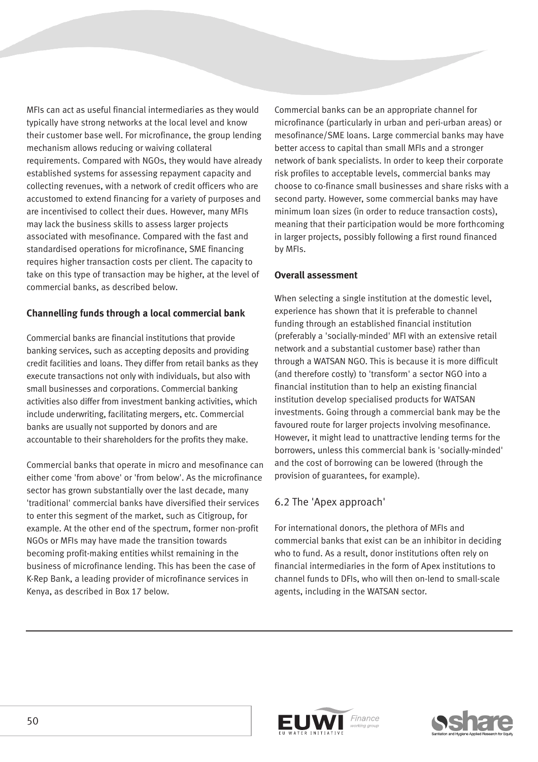MFIs can act as useful financial intermediaries as they would typically have strong networks at the local level and know their customer base well. For microfinance, the group lending mechanism allows reducing or waiving collateral requirements. Compared with NGOs, they would have already established systems for assessing repayment capacity and collecting revenues, with a network of credit officers who are accustomed to extend financing for a variety of purposes and are incentivised to collect their dues. However, many MFIs may lack the business skills to assess larger projects associated with mesofinance. Compared with the fast and standardised operations for microfinance, SME financing requires higher transaction costs per client. The capacity to take on this type of transaction may be higher, at the level of commercial banks, as described below.

#### **Channelling funds through a local commercial bank**

Commercial banks are financial institutions that provide banking services, such as accepting deposits and providing credit facilities and loans. They differ from retail banks as they execute transactions not only with individuals, but also with small businesses and corporations. Commercial banking activities also differ from investment banking activities, which include underwriting, facilitating mergers, etc. Commercial banks are usually not supported by donors and are accountable to their shareholders for the profits they make.

Commercial banks that operate in micro and mesofinance can either come 'from above' or 'from below'. As the microfinance sector has grown substantially over the last decade, many 'traditional' commercial banks have diversified their services to enter this segment of the market, such as Citigroup, for example. At the other end of the spectrum, former non-profit NGOs or MFIs may have made the transition towards becoming profit-making entities whilst remaining in the business of microfinance lending. This has been the case of K-Rep Bank, a leading provider of microfinance services in Kenya, as described in Box 17 below.

Commercial banks can be an appropriate channel for microfinance (particularly in urban and peri-urban areas) or mesofinance/SME loans. Large commercial banks may have better access to capital than small MFIs and a stronger network of bank specialists. In order to keep their corporate risk profiles to acceptable levels, commercial banks may choose to co-finance small businesses and share risks with a second party. However, some commercial banks may have minimum loan sizes (in order to reduce transaction costs), meaning that their participation would be more forthcoming in larger projects, possibly following a first round financed by MFIs.

#### **Overall assessment**

When selecting a single institution at the domestic level, experience has shown that it is preferable to channel funding through an established financial institution (preferably a 'socially-minded' MFI with an extensive retail network and a substantial customer base) rather than through a WATSAN NGO. This is because it is more difficult (and therefore costly) to 'transform' a sector NGO into a financial institution than to help an existing financial institution develop specialised products for WATSAN investments. Going through a commercial bank may be the favoured route for larger projects involving mesofinance. However, it might lead to unattractive lending terms for the borrowers, unless this commercial bank is 'socially-minded' and the cost of borrowing can be lowered (through the provision of guarantees, for example).

### 6.2 The 'Apex approach'

For international donors, the plethora of MFIs and commercial banks that exist can be an inhibitor in deciding who to fund. As a result, donor institutions often rely on financial intermediaries in the form of Apex institutions to channel funds to DFIs, who will then on-lend to small-scale agents, including in the WATSAN sector.



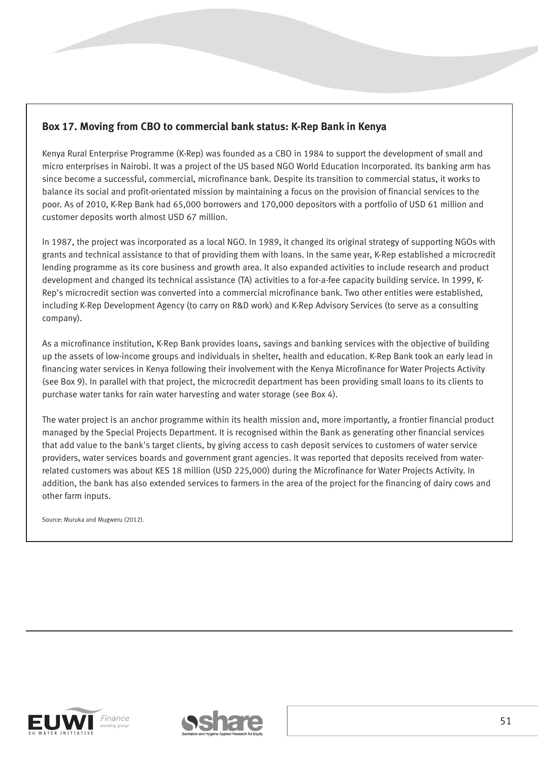## **Box 17. Moving from CBO to commercial bank status: K-Rep Bank in Kenya**

Kenya Rural Enterprise Programme (K-Rep) was founded as a CBO in 1984 to support the development of small and micro enterprises in Nairobi. It was a project of the US based NGO World Education Incorporated. Its banking arm has since become a successful, commercial, microfinance bank. Despite its transition to commercial status, it works to balance its social and profit-orientated mission by maintaining a focus on the provision of financial services to the poor. As of 2010, K-Rep Bank had 65,000 borrowers and 170,000 depositors with a portfolio of USD 61 million and customer deposits worth almost USD 67 million.

In 1987, the project was incorporated as a local NGO. In 1989, it changed its original strategy of supporting NGOs with grants and technical assistance to that of providing them with loans. In the same year, K-Rep established a microcredit lending programme as its core business and growth area. It also expanded activities to include research and product development and changed its technical assistance (TA) activities to a for-a-fee capacity building service. In 1999, K-Rep's microcredit section was converted into a commercial microfinance bank. Two other entities were established, including K-Rep Development Agency (to carry on R&D work) and K-Rep Advisory Services (to serve as a consulting company).

As a microfinance institution, K-Rep Bank provides loans, savings and banking services with the objective of building up the assets of low-income groups and individuals in shelter, health and education. K-Rep Bank took an early lead in financing water services in Kenya following their involvement with the Kenya Microfinance for Water Projects Activity (see Box 9). In parallel with that project, the microcredit department has been providing small loans to its clients to purchase water tanks for rain water harvesting and water storage (see Box 4).

The water project is an anchor programme within its health mission and, more importantly, a frontier financial product managed by the Special Projects Department. It is recognised within the Bank as generating other financial services that add value to the bank's target clients, by giving access to cash deposit services to customers of water service providers, water services boards and government grant agencies. It was reported that deposits received from waterrelated customers was about KES 18 million (USD 225,000) during the Microfinance for Water Projects Activity. In addition, the bank has also extended services to farmers in the area of the project for the financing of dairy cows and other farm inputs.

Source: Muruka and Mugweru (2012).



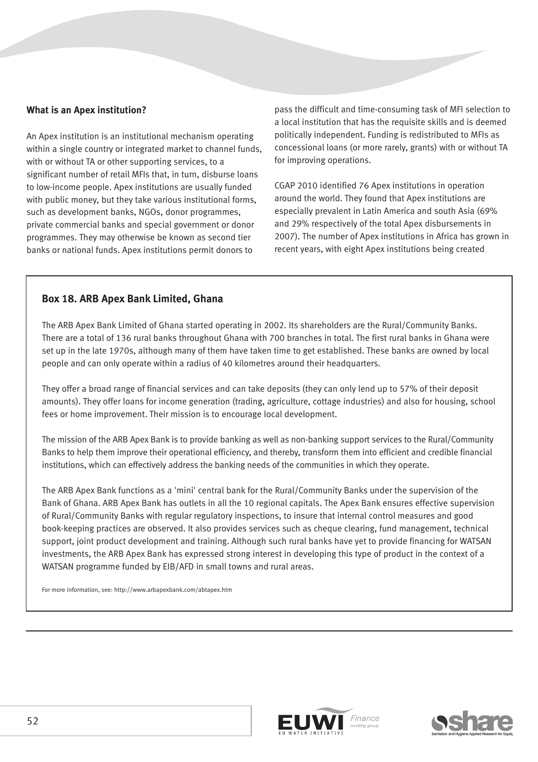#### **What is an Apex institution?**

An Apex institution is an institutional mechanism operating within a single country or integrated market to channel funds, with or without TA or other supporting services, to a significant number of retail MFIs that, in turn, disburse loans to low-income people. Apex institutions are usually funded with public money, but they take various institutional forms, such as development banks, NGOs, donor programmes, private commercial banks and special government or donor programmes. They may otherwise be known as second tier banks or national funds. Apex institutions permit donors to

pass the difficult and time-consuming task of MFI selection to a local institution that has the requisite skills and is deemed politically independent. Funding is redistributed to MFIs as concessional loans (or more rarely, grants) with or without TA for improving operations.

CGAP 2010 identified 76 Apex institutions in operation around the world. They found that Apex institutions are especially prevalent in Latin America and south Asia (69% and 29% respectively of the total Apex disbursements in 2007). The number of Apex institutions in Africa has grown in recent years, with eight Apex institutions being created

#### **Box 18. ARB Apex Bank Limited, Ghana**

The ARB Apex Bank Limited of Ghana started operating in 2002. Its shareholders are the Rural/Community Banks. There are a total of 136 rural banks throughout Ghana with 700 branches in total. The first rural banks in Ghana were set up in the late 1970s, although many of them have taken time to get established. These banks are owned by local people and can only operate within a radius of 40 kilometres around their headquarters.

They offer a broad range of financial services and can take deposits (they can only lend up to 57% of their deposit amounts). They offer loans for income generation (trading, agriculture, cottage industries) and also for housing, school fees or home improvement. Their mission is to encourage local development.

The mission of the ARB Apex Bank is to provide banking as well as non-banking support services to the Rural/Community Banks to help them improve their operational efficiency, and thereby, transform them into efficient and credible financial institutions, which can effectively address the banking needs of the communities in which they operate.

The ARB Apex Bank functions as a 'mini' central bank for the Rural/Community Banks under the supervision of the Bank of Ghana. ARB Apex Bank has outlets in all the 10 regional capitals. The Apex Bank ensures effective supervision of Rural/Community Banks with regular regulatory inspections, to insure that internal control measures and good book-keeping practices are observed. It also provides services such as cheque clearing, fund management, technical support, joint product development and training. Although such rural banks have yet to provide financing for WATSAN investments, the ARB Apex Bank has expressed strong interest in developing this type of product in the context of a WATSAN programme funded by EIB/AFD in small towns and rural areas.

For more information, see: http://www.arbapexbank.com/abtapex.htm



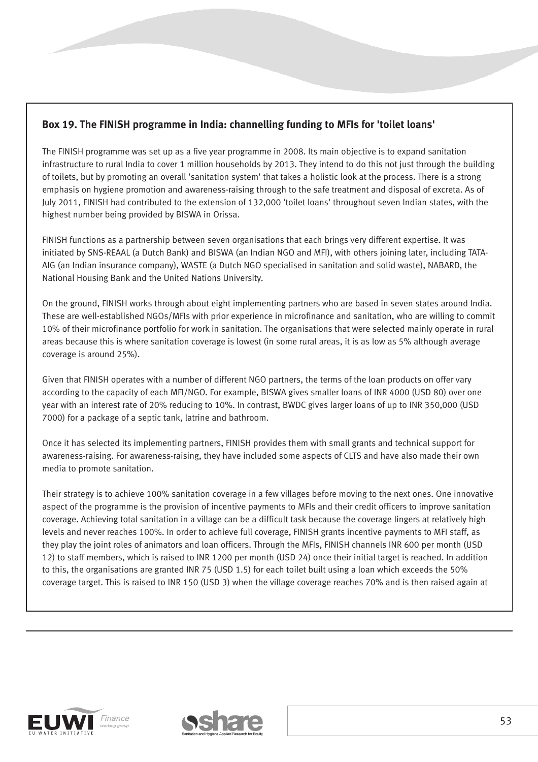## **Box 19. The FINISH programme in India: channelling funding to MFIs for 'toilet loans'**

The FINISH programme was set up as a five year programme in 2008. Its main objective is to expand sanitation infrastructure to rural India to cover 1 million households by 2013. They intend to do this not just through the building of toilets, but by promoting an overall 'sanitation system' that takes a holistic look at the process. There is a strong emphasis on hygiene promotion and awareness-raising through to the safe treatment and disposal of excreta. As of July 2011, FINISH had contributed to the extension of 132,000 'toilet loans' throughout seven Indian states, with the highest number being provided by BISWA in Orissa.

FINISH functions as a partnership between seven organisations that each brings very different expertise. It was initiated by SNS-REAAL (a Dutch Bank) and BISWA (an Indian NGO and MFI), with others joining later, including TATA-AIG (an Indian insurance company), WASTE (a Dutch NGO specialised in sanitation and solid waste), NABARD, the National Housing Bank and the United Nations University.

On the ground, FINISH works through about eight implementing partners who are based in seven states around India. These are well-established NGOs/MFIs with prior experience in microfinance and sanitation, who are willing to commit 10% of their microfinance portfolio for work in sanitation. The organisations that were selected mainly operate in rural areas because this is where sanitation coverage is lowest (in some rural areas, it is as low as 5% although average coverage is around 25%).

Given that FINISH operates with a number of different NGO partners, the terms of the loan products on offer vary according to the capacity of each MFI/NGO. For example, BISWA gives smaller loans of INR 4000 (USD 80) over one year with an interest rate of 20% reducing to 10%. In contrast, BWDC gives larger loans of up to INR 350,000 (USD 7000) for a package of a septic tank, latrine and bathroom.

Once it has selected its implementing partners, FINISH provides them with small grants and technical support for awareness-raising. For awareness-raising, they have included some aspects of CLTS and have also made their own media to promote sanitation.

Their strategy is to achieve 100% sanitation coverage in a few villages before moving to the next ones. One innovative aspect of the programme is the provision of incentive payments to MFIs and their credit officers to improve sanitation coverage. Achieving total sanitation in a village can be a difficult task because the coverage lingers at relatively high levels and never reaches 100%. In order to achieve full coverage, FINISH grants incentive payments to MFI staff, as they play the joint roles of animators and loan officers. Through the MFIs, FINISH channels INR 600 per month (USD 12) to staff members, which is raised to INR 1200 per month (USD 24) once their initial target is reached. In addition to this, the organisations are granted INR 75 (USD 1.5) for each toilet built using a loan which exceeds the 50% coverage target. This is raised to INR 150 (USD 3) when the village coverage reaches 70% and is then raised again at



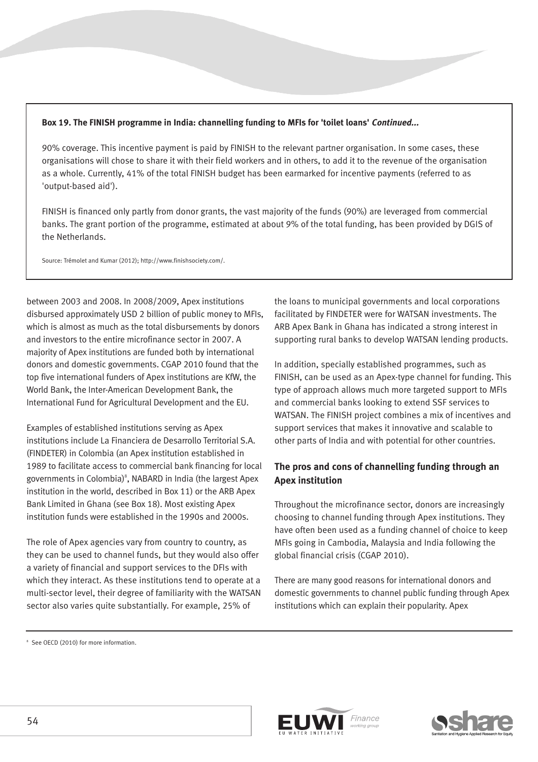#### **Box 19. The FINISH programme in India: channelling funding to MFIs for 'toilet loans' Continued...**

90% coverage. This incentive payment is paid by FINISH to the relevant partner organisation. In some cases, these organisations will chose to share it with their field workers and in others, to add it to the revenue of the organisation as a whole. Currently, 41% of the total FINISH budget has been earmarked for incentive payments (referred to as 'output-based aid').

FINISH is financed only partly from donor grants, the vast majority of the funds (90%) are leveraged from commercial banks. The grant portion of the programme, estimated at about 9% of the total funding, has been provided by DGIS of the Netherlands.

Source: Trémolet and Kumar (2012); http://www.finishsociety.com/.

between 2003 and 2008. In 2008/2009, Apex institutions disbursed approximately USD 2 billion of public money to MFIs, which is almost as much as the total disbursements by donors and investors to the entire microfinance sector in 2007. A majority of Apex institutions are funded both by international donors and domestic governments. CGAP 2010 found that the top five international funders of Apex institutions are KfW, the World Bank, the Inter-American Development Bank, the International Fund for Agricultural Development and the EU.

Examples of established institutions serving as Apex institutions include La Financiera de Desarrollo Territorial S.A. (FINDETER) in Colombia (an Apex institution established in 1989 to facilitate access to commercial bank financing for local governments in Colombia) $^{\circ}$ , NABARD in India (the largest Apex institution in the world, described in Box 11) or the ARB Apex Bank Limited in Ghana (see Box 18). Most existing Apex institution funds were established in the 1990s and 2000s.

The role of Apex agencies vary from country to country, as they can be used to channel funds, but they would also offer a variety of financial and support services to the DFIs with which they interact. As these institutions tend to operate at a multi-sector level, their degree of familiarity with the WATSAN sector also varies quite substantially. For example, 25% of

the loans to municipal governments and local corporations facilitated by FINDETER were for WATSAN investments. The ARB Apex Bank in Ghana has indicated a strong interest in supporting rural banks to develop WATSAN lending products.

In addition, specially established programmes, such as FINISH, can be used as an Apex-type channel for funding. This type of approach allows much more targeted support to MFIs and commercial banks looking to extend SSF services to WATSAN. The FINISH project combines a mix of incentives and support services that makes it innovative and scalable to other parts of India and with potential for other countries.

## **The pros and cons of channelling funding through an Apex institution**

Throughout the microfinance sector, donors are increasingly choosing to channel funding through Apex institutions. They have often been used as a funding channel of choice to keep MFIs going in Cambodia, Malaysia and India following the global financial crisis (CGAP 2010).

There are many good reasons for international donors and domestic governments to channel public funding through Apex institutions which can explain their popularity. Apex





<sup>&</sup>lt;sup>8</sup> See OECD (2010) for more information.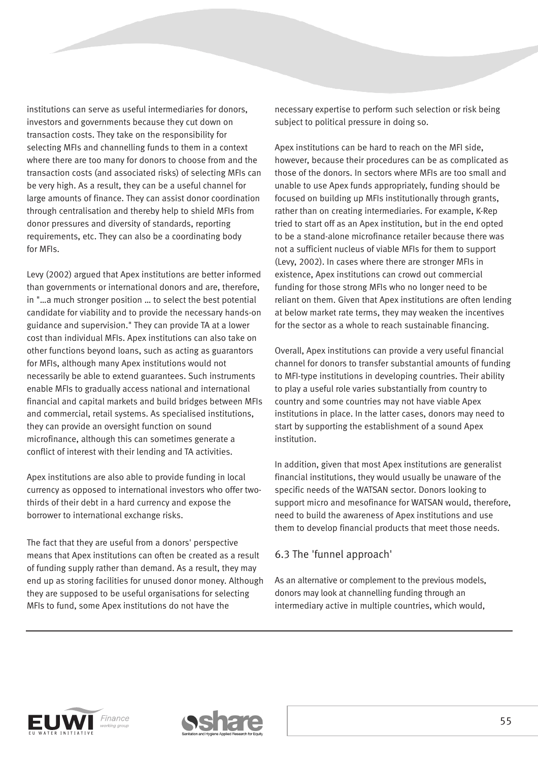institutions can serve as useful intermediaries for donors, investors and governments because they cut down on transaction costs. They take on the responsibility for selecting MFIs and channelling funds to them in a context where there are too many for donors to choose from and the transaction costs (and associated risks) of selecting MFIs can be very high. As a result, they can be a useful channel for large amounts of finance. They can assist donor coordination through centralisation and thereby help to shield MFIs from donor pressures and diversity of standards, reporting requirements, etc. They can also be a coordinating body for MFIs.

Levy (2002) argued that Apex institutions are better informed than governments or international donors and are, therefore, in "…a much stronger position … to select the best potential candidate for viability and to provide the necessary hands-on guidance and supervision." They can provide TA at a lower cost than individual MFIs. Apex institutions can also take on other functions beyond loans, such as acting as guarantors for MFIs, although many Apex institutions would not necessarily be able to extend guarantees. Such instruments enable MFIs to gradually access national and international financial and capital markets and build bridges between MFIs and commercial, retail systems. As specialised institutions, they can provide an oversight function on sound microfinance, although this can sometimes generate a conflict of interest with their lending and TA activities.

Apex institutions are also able to provide funding in local currency as opposed to international investors who offer twothirds of their debt in a hard currency and expose the borrower to international exchange risks.

The fact that they are useful from a donors' perspective means that Apex institutions can often be created as a result of funding supply rather than demand. As a result, they may end up as storing facilities for unused donor money. Although they are supposed to be useful organisations for selecting MFIs to fund, some Apex institutions do not have the

necessary expertise to perform such selection or risk being subject to political pressure in doing so.

Apex institutions can be hard to reach on the MFI side, however, because their procedures can be as complicated as those of the donors. In sectors where MFIs are too small and unable to use Apex funds appropriately, funding should be focused on building up MFIs institutionally through grants, rather than on creating intermediaries. For example, K-Rep tried to start off as an Apex institution, but in the end opted to be a stand-alone microfinance retailer because there was not a sufficient nucleus of viable MFIs for them to support (Levy, 2002). In cases where there are stronger MFIs in existence, Apex institutions can crowd out commercial funding for those strong MFIs who no longer need to be reliant on them. Given that Apex institutions are often lending at below market rate terms, they may weaken the incentives for the sector as a whole to reach sustainable financing.

Overall, Apex institutions can provide a very useful financial channel for donors to transfer substantial amounts of funding to MFI-type institutions in developing countries. Their ability to play a useful role varies substantially from country to country and some countries may not have viable Apex institutions in place. In the latter cases, donors may need to start by supporting the establishment of a sound Apex institution.

In addition, given that most Apex institutions are generalist financial institutions, they would usually be unaware of the specific needs of the WATSAN sector. Donors looking to support micro and mesofinance for WATSAN would, therefore, need to build the awareness of Apex institutions and use them to develop financial products that meet those needs.

## 6.3 The 'funnel approach'

As an alternative or complement to the previous models, donors may look at channelling funding through an intermediary active in multiple countries, which would,



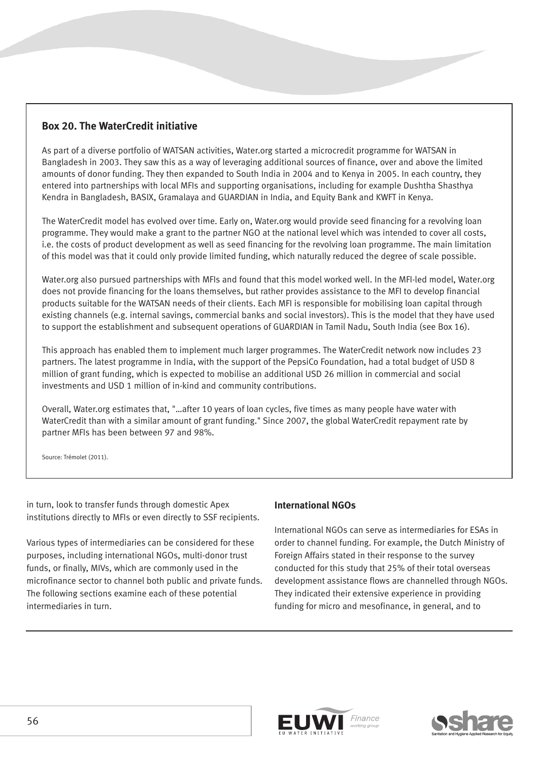## **Box 20. The WaterCredit initiative**

As part of a diverse portfolio of WATSAN activities, Water.org started a microcredit programme for WATSAN in Bangladesh in 2003. They saw this as a way of leveraging additional sources of finance, over and above the limited amounts of donor funding. They then expanded to South India in 2004 and to Kenya in 2005. In each country, they entered into partnerships with local MFIs and supporting organisations, including for example Dushtha Shasthya Kendra in Bangladesh, BASIX, Gramalaya and GUARDIAN in India, and Equity Bank and KWFT in Kenya.

The WaterCredit model has evolved over time. Early on, Water.org would provide seed financing for a revolving loan programme. They would make a grant to the partner NGO at the national level which was intended to cover all costs, i.e. the costs of product development as well as seed financing for the revolving loan programme. The main limitation of this model was that it could only provide limited funding, which naturally reduced the degree of scale possible.

Water.org also pursued partnerships with MFIs and found that this model worked well. In the MFI-led model, Water.org does not provide financing for the loans themselves, but rather provides assistance to the MFI to develop financial products suitable for the WATSAN needs of their clients. Each MFI is responsible for mobilising loan capital through existing channels (e.g. internal savings, commercial banks and social investors). This is the model that they have used to support the establishment and subsequent operations of GUARDIAN in Tamil Nadu, South India (see Box 16).

This approach has enabled them to implement much larger programmes. The WaterCredit network now includes 23 partners. The latest programme in India, with the support of the PepsiCo Foundation, had a total budget of USD 8 million of grant funding, which is expected to mobilise an additional USD 26 million in commercial and social investments and USD 1 million of in-kind and community contributions.

Overall, Water.org estimates that, "…after 10 years of loan cycles, five times as many people have water with WaterCredit than with a similar amount of grant funding." Since 2007, the global WaterCredit repayment rate by partner MFIs has been between 97 and 98%.

Source: Trémolet (2011).

in turn, look to transfer funds through domestic Apex institutions directly to MFIs or even directly to SSF recipients.

Various types of intermediaries can be considered for these purposes, including international NGOs, multi-donor trust funds, or finally, MIVs, which are commonly used in the microfinance sector to channel both public and private funds. The following sections examine each of these potential intermediaries in turn.

#### **International NGOs**

International NGOs can serve as intermediaries for ESAs in order to channel funding. For example, the Dutch Ministry of Foreign Affairs stated in their response to the survey conducted for this study that 25% of their total overseas development assistance flows are channelled through NGOs. They indicated their extensive experience in providing funding for micro and mesofinance, in general, and to

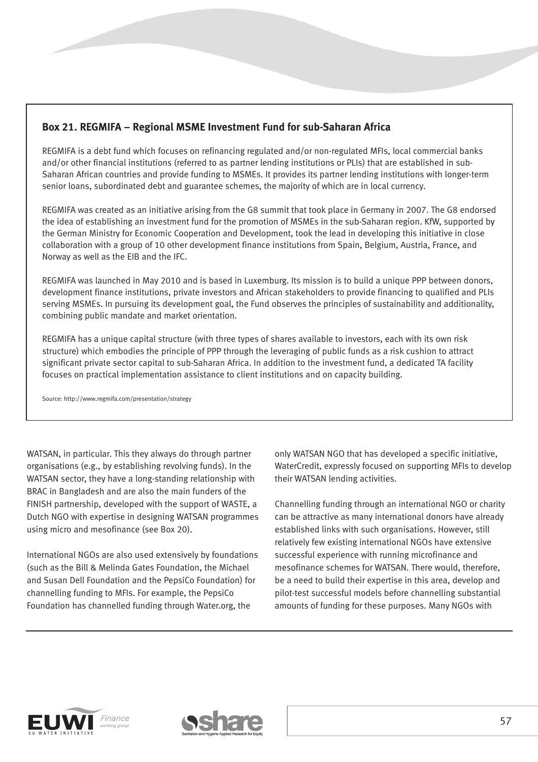## **Box 21. REGMIFA – Regional MSME Investment Fund for sub-Saharan Africa**

REGMIFA is a debt fund which focuses on refinancing regulated and/or non-regulated MFIs, local commercial banks and/or other financial institutions (referred to as partner lending institutions or PLIs) that are established in sub-Saharan African countries and provide funding to MSMEs. It provides its partner lending institutions with longer-term senior loans, subordinated debt and guarantee schemes, the majority of which are in local currency.

REGMIFA was created as an initiative arising from the G8 summit that took place in Germany in 2007. The G8 endorsed the idea of establishing an investment fund for the promotion of MSMEs in the sub-Saharan region. KfW, supported by the German Ministry for Economic Cooperation and Development, took the lead in developing this initiative in close collaboration with a group of 10 other development finance institutions from Spain, Belgium, Austria, France, and Norway as well as the EIB and the IFC.

REGMIFA was launched in May 2010 and is based in Luxemburg. Its mission is to build a unique PPP between donors, development finance institutions, private investors and African stakeholders to provide financing to qualified and PLIs serving MSMEs. In pursuing its development goal, the Fund observes the principles of sustainability and additionality, combining public mandate and market orientation.

REGMIFA has a unique capital structure (with three types of shares available to investors, each with its own risk structure) which embodies the principle of PPP through the leveraging of public funds as a risk cushion to attract significant private sector capital to sub-Saharan Africa. In addition to the investment fund, a dedicated TA facility focuses on practical implementation assistance to client institutions and on capacity building.

Source: http://www.regmifa.com/presentation/strategy

WATSAN, in particular. This they always do through partner organisations (e.g., by establishing revolving funds). In the WATSAN sector, they have a long-standing relationship with BRAC in Bangladesh and are also the main funders of the FINISH partnership, developed with the support of WASTE, a Dutch NGO with expertise in designing WATSAN programmes using micro and mesofinance (see Box 20).

International NGOs are also used extensively by foundations (such as the Bill & Melinda Gates Foundation, the Michael and Susan Dell Foundation and the PepsiCo Foundation) for channelling funding to MFIs. For example, the PepsiCo Foundation has channelled funding through Water.org, the

only WATSAN NGO that has developed a specific initiative, WaterCredit, expressly focused on supporting MFIs to develop their WATSAN lending activities.

Channelling funding through an international NGO or charity can be attractive as many international donors have already established links with such organisations. However, still relatively few existing international NGOs have extensive successful experience with running microfinance and mesofinance schemes for WATSAN. There would, therefore, be a need to build their expertise in this area, develop and pilot-test successful models before channelling substantial amounts of funding for these purposes. Many NGOs with



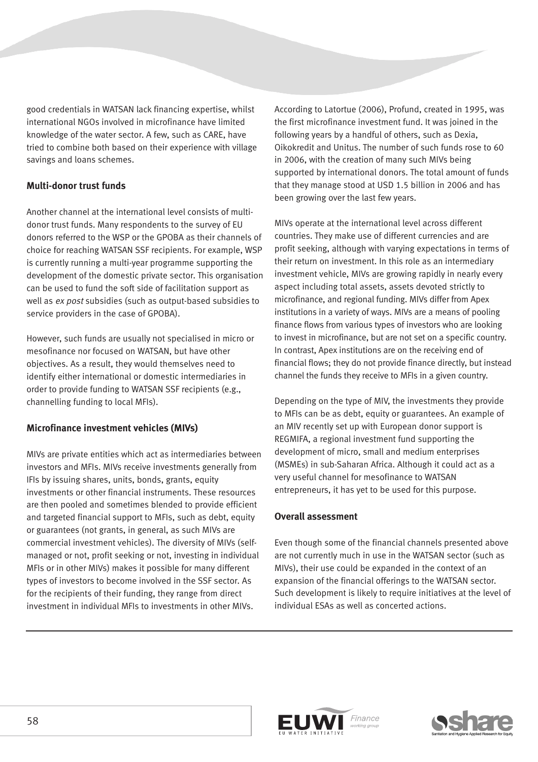good credentials in WATSAN lack financing expertise, whilst international NGOs involved in microfinance have limited knowledge of the water sector. A few, such as CARE, have tried to combine both based on their experience with village savings and loans schemes.

#### **Multi-donor trust funds**

Another channel at the international level consists of multidonor trust funds. Many respondents to the survey of EU donors referred to the WSP or the GPOBA as their channels of choice for reaching WATSAN SSF recipients. For example, WSP is currently running a multi-year programme supporting the development of the domestic private sector. This organisation can be used to fund the soft side of facilitation support as well as ex post subsidies (such as output-based subsidies to service providers in the case of GPOBA).

However, such funds are usually not specialised in micro or mesofinance nor focused on WATSAN, but have other objectives. As a result, they would themselves need to identify either international or domestic intermediaries in order to provide funding to WATSAN SSF recipients (e.g., channelling funding to local MFIs).

### **Microfinance investment vehicles (MIVs)**

MIVs are private entities which act as intermediaries between investors and MFIs. MIVs receive investments generally from IFIs by issuing shares, units, bonds, grants, equity investments or other financial instruments. These resources are then pooled and sometimes blended to provide efficient and targeted financial support to MFIs, such as debt, equity or guarantees (not grants, in general, as such MIVs are commercial investment vehicles). The diversity of MIVs (selfmanaged or not, profit seeking or not, investing in individual MFIs or in other MIVs) makes it possible for many different types of investors to become involved in the SSF sector. As for the recipients of their funding, they range from direct investment in individual MFIs to investments in other MIVs.

According to Latortue (2006), Profund, created in 1995, was the first microfinance investment fund. It was joined in the following years by a handful of others, such as Dexia, Oikokredit and Unitus. The number of such funds rose to 60 in 2006, with the creation of many such MIVs being supported by international donors. The total amount of funds that they manage stood at USD 1.5 billion in 2006 and has been growing over the last few years.

MIVs operate at the international level across different countries. They make use of different currencies and are profit seeking, although with varying expectations in terms of their return on investment. In this role as an intermediary investment vehicle, MIVs are growing rapidly in nearly every aspect including total assets, assets devoted strictly to microfinance, and regional funding. MIVs differ from Apex institutions in a variety of ways. MIVs are a means of pooling finance flows from various types of investors who are looking to invest in microfinance, but are not set on a specific country. In contrast, Apex institutions are on the receiving end of financial flows; they do not provide finance directly, but instead channel the funds they receive to MFIs in a given country.

Depending on the type of MIV, the investments they provide to MFIs can be as debt, equity or guarantees. An example of an MIV recently set up with European donor support is REGMIFA, a regional investment fund supporting the development of micro, small and medium enterprises (MSMEs) in sub-Saharan Africa. Although it could act as a very useful channel for mesofinance to WATSAN entrepreneurs, it has yet to be used for this purpose.

#### **Overall assessment**

Even though some of the financial channels presented above are not currently much in use in the WATSAN sector (such as MIVs), their use could be expanded in the context of an expansion of the financial offerings to the WATSAN sector. Such development is likely to require initiatives at the level of individual ESAs as well as concerted actions.



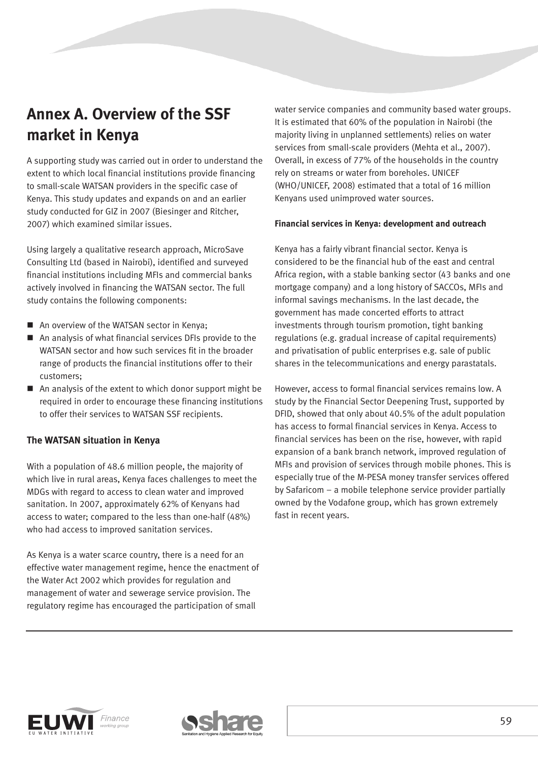## **Annex A. Overview of the SSF market in Kenya**

A supporting study was carried out in order to understand the extent to which local financial institutions provide financing to small-scale WATSAN providers in the specific case of Kenya. This study updates and expands on and an earlier study conducted for GIZ in 2007 (Biesinger and Ritcher, 2007) which examined similar issues.

Using largely a qualitative research approach, MicroSave Consulting Ltd (based in Nairobi), identified and surveyed financial institutions including MFIs and commercial banks actively involved in financing the WATSAN sector. The full study contains the following components:

- An overview of the WATSAN sector in Kenya:
- An analysis of what financial services DFIs provide to the WATSAN sector and how such services fit in the broader range of products the financial institutions offer to their customers;
- An analysis of the extent to which donor support might be required in order to encourage these financing institutions to offer their services to WATSAN SSF recipients.

#### **The WATSAN situation in Kenya**

With a population of 48.6 million people, the majority of which live in rural areas, Kenya faces challenges to meet the MDGs with regard to access to clean water and improved sanitation. In 2007, approximately 62% of Kenyans had access to water; compared to the less than one-half (48%) who had access to improved sanitation services.

As Kenya is a water scarce country, there is a need for an effective water management regime, hence the enactment of the Water Act 2002 which provides for regulation and management of water and sewerage service provision. The regulatory regime has encouraged the participation of small

water service companies and community based water groups. It is estimated that 60% of the population in Nairobi (the majority living in unplanned settlements) relies on water services from small-scale providers (Mehta et al., 2007). Overall, in excess of 77% of the households in the country rely on streams or water from boreholes. UNICEF (WHO/UNICEF, 2008) estimated that a total of 16 million Kenyans used unimproved water sources.

#### **Financial services in Kenya: development and outreach**

Kenya has a fairly vibrant financial sector. Kenya is considered to be the financial hub of the east and central Africa region, with a stable banking sector (43 banks and one mortgage company) and a long history of SACCOs, MFIs and informal savings mechanisms. In the last decade, the government has made concerted efforts to attract investments through tourism promotion, tight banking regulations (e.g. gradual increase of capital requirements) and privatisation of public enterprises e.g. sale of public shares in the telecommunications and energy parastatals.

However, access to formal financial services remains low. A study by the Financial Sector Deepening Trust, supported by DFID, showed that only about 40.5% of the adult population has access to formal financial services in Kenya. Access to financial services has been on the rise, however, with rapid expansion of a bank branch network, improved regulation of MFIs and provision of services through mobile phones. This is especially true of the M-PESA money transfer services offered by Safaricom – a mobile telephone service provider partially owned by the Vodafone group, which has grown extremely fast in recent years.



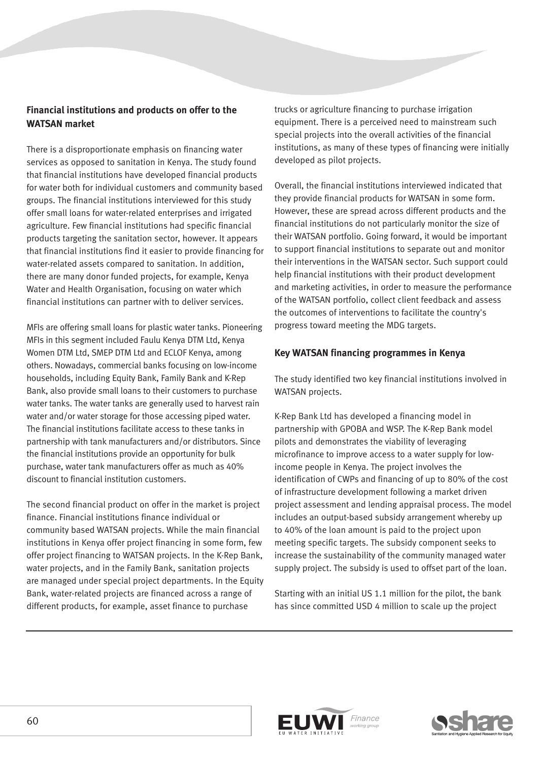## **Financial institutions and products on offer to the WATSAN market**

There is a disproportionate emphasis on financing water services as opposed to sanitation in Kenya. The study found that financial institutions have developed financial products for water both for individual customers and community based groups. The financial institutions interviewed for this study offer small loans for water-related enterprises and irrigated agriculture. Few financial institutions had specific financial products targeting the sanitation sector, however. It appears that financial institutions find it easier to provide financing for water-related assets compared to sanitation. In addition, there are many donor funded projects, for example, Kenya Water and Health Organisation, focusing on water which financial institutions can partner with to deliver services.

MFIs are offering small loans for plastic water tanks. Pioneering MFIs in this segment included Faulu Kenya DTM Ltd, Kenya Women DTM Ltd, SMEP DTM Ltd and ECLOF Kenya, among others. Nowadays, commercial banks focusing on low-income households, including Equity Bank, Family Bank and K-Rep Bank, also provide small loans to their customers to purchase water tanks. The water tanks are generally used to harvest rain water and/or water storage for those accessing piped water. The financial institutions facilitate access to these tanks in partnership with tank manufacturers and/or distributors. Since the financial institutions provide an opportunity for bulk purchase, water tank manufacturers offer as much as 40% discount to financial institution customers.

The second financial product on offer in the market is project finance. Financial institutions finance individual or community based WATSAN projects. While the main financial institutions in Kenya offer project financing in some form, few offer project financing to WATSAN projects. In the K-Rep Bank, water projects, and in the Family Bank, sanitation projects are managed under special project departments. In the Equity Bank, water-related projects are financed across a range of different products, for example, asset finance to purchase

trucks or agriculture financing to purchase irrigation equipment. There is a perceived need to mainstream such special projects into the overall activities of the financial institutions, as many of these types of financing were initially developed as pilot projects.

Overall, the financial institutions interviewed indicated that they provide financial products for WATSAN in some form. However, these are spread across different products and the financial institutions do not particularly monitor the size of their WATSAN portfolio. Going forward, it would be important to support financial institutions to separate out and monitor their interventions in the WATSAN sector. Such support could help financial institutions with their product development and marketing activities, in order to measure the performance of the WATSAN portfolio, collect client feedback and assess the outcomes of interventions to facilitate the country's progress toward meeting the MDG targets.

#### **Key WATSAN financing programmes in Kenya**

The study identified two key financial institutions involved in WATSAN projects.

K-Rep Bank Ltd has developed a financing model in partnership with GPOBA and WSP. The K-Rep Bank model pilots and demonstrates the viability of leveraging microfinance to improve access to a water supply for lowincome people in Kenya. The project involves the identification of CWPs and financing of up to 80% of the cost of infrastructure development following a market driven project assessment and lending appraisal process. The model includes an output-based subsidy arrangement whereby up to 40% of the loan amount is paid to the project upon meeting specific targets. The subsidy component seeks to increase the sustainability of the community managed water supply project. The subsidy is used to offset part of the loan.

Starting with an initial US 1.1 million for the pilot, the bank has since committed USD 4 million to scale up the project



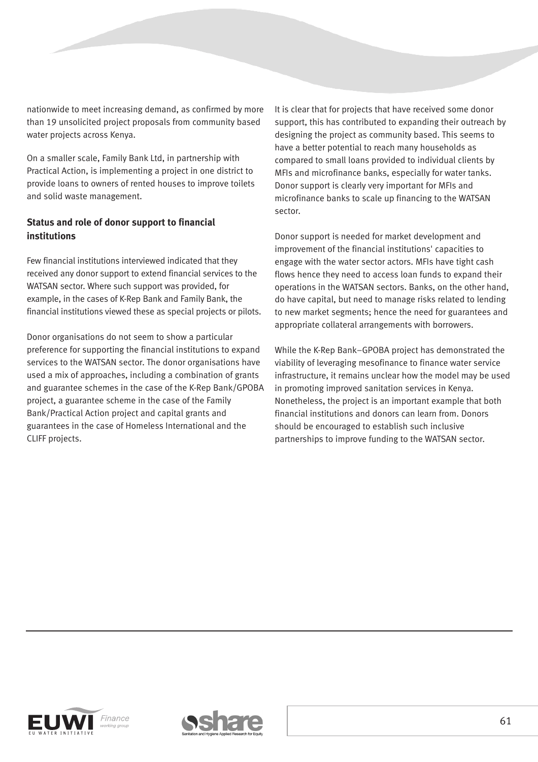nationwide to meet increasing demand, as confirmed by more than 19 unsolicited project proposals from community based water projects across Kenya.

On a smaller scale, Family Bank Ltd, in partnership with Practical Action, is implementing a project in one district to provide loans to owners of rented houses to improve toilets and solid waste management.

### **Status and role of donor support to financial institutions**

Few financial institutions interviewed indicated that they received any donor support to extend financial services to the WATSAN sector. Where such support was provided, for example, in the cases of K-Rep Bank and Family Bank, the financial institutions viewed these as special projects or pilots.

Donor organisations do not seem to show a particular preference for supporting the financial institutions to expand services to the WATSAN sector. The donor organisations have used a mix of approaches, including a combination of grants and guarantee schemes in the case of the K-Rep Bank/GPOBA project, a guarantee scheme in the case of the Family Bank/Practical Action project and capital grants and guarantees in the case of Homeless International and the CLIFF projects.

It is clear that for projects that have received some donor support, this has contributed to expanding their outreach by designing the project as community based. This seems to have a better potential to reach many households as compared to small loans provided to individual clients by MFIs and microfinance banks, especially for water tanks. Donor support is clearly very important for MFIs and microfinance banks to scale up financing to the WATSAN sector.

Donor support is needed for market development and improvement of the financial institutions' capacities to engage with the water sector actors. MFIs have tight cash flows hence they need to access loan funds to expand their operations in the WATSAN sectors. Banks, on the other hand, do have capital, but need to manage risks related to lending to new market segments; hence the need for guarantees and appropriate collateral arrangements with borrowers.

While the K-Rep Bank–GPOBA project has demonstrated the viability of leveraging mesofinance to finance water service infrastructure, it remains unclear how the model may be used in promoting improved sanitation services in Kenya. Nonetheless, the project is an important example that both financial institutions and donors can learn from. Donors should be encouraged to establish such inclusive partnerships to improve funding to the WATSAN sector.



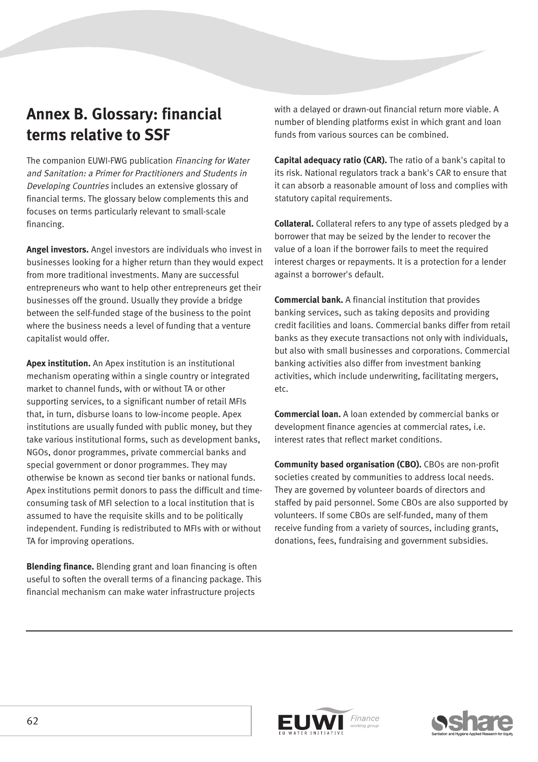## **Annex B. Glossary: financial terms relative to SSF**

The companion EUWI-FWG publication Financing for Water and Sanitation: a Primer for Practitioners and Students in Developing Countries includes an extensive glossary of financial terms. The glossary below complements this and focuses on terms particularly relevant to small-scale financing.

**Angel investors.** Angel investors are individuals who invest in businesses looking for a higher return than they would expect from more traditional investments. Many are successful entrepreneurs who want to help other entrepreneurs get their businesses off the ground. Usually they provide a bridge between the self-funded stage of the business to the point where the business needs a level of funding that a venture capitalist would offer.

**Apex institution.** An Apex institution is an institutional mechanism operating within a single country or integrated market to channel funds, with or without TA or other supporting services, to a significant number of retail MFIs that, in turn, disburse loans to low-income people. Apex institutions are usually funded with public money, but they take various institutional forms, such as development banks, NGOs, donor programmes, private commercial banks and special government or donor programmes. They may otherwise be known as second tier banks or national funds. Apex institutions permit donors to pass the difficult and timeconsuming task of MFI selection to a local institution that is assumed to have the requisite skills and to be politically independent. Funding is redistributed to MFIs with or without TA for improving operations.

**Blending finance.** Blending grant and loan financing is often useful to soften the overall terms of a financing package. This financial mechanism can make water infrastructure projects

with a delayed or drawn-out financial return more viable. A number of blending platforms exist in which grant and loan funds from various sources can be combined.

**Capital adequacy ratio (CAR).** The ratio of a bank's capital to its risk. National regulators track a bank's CAR to ensure that it can absorb a reasonable amount of loss and complies with statutory capital requirements.

**Collateral.** Collateral refers to any type of assets pledged by a borrower that may be seized by the lender to recover the value of a loan if the borrower fails to meet the required interest charges or repayments. It is a protection for a lender against a borrower's default.

**Commercial bank.** A financial institution that provides banking services, such as taking deposits and providing credit facilities and loans. Commercial banks differ from retail banks as they execute transactions not only with individuals, but also with small businesses and corporations. Commercial banking activities also differ from investment banking activities, which include underwriting, facilitating mergers, etc.

**Commercial loan.** A loan extended by commercial banks or development finance agencies at commercial rates, i.e. interest rates that reflect market conditions.

**Community based organisation (CBO).** CBOs are non-profit societies created by communities to address local needs. They are governed by volunteer boards of directors and staffed by paid personnel. Some CBOs are also supported by volunteers. If some CBOs are self-funded, many of them receive funding from a variety of sources, including grants, donations, fees, fundraising and government subsidies.



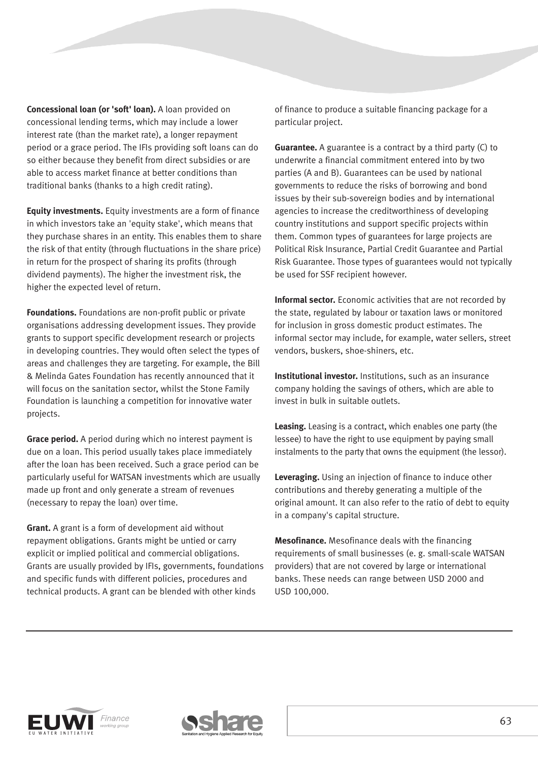**Concessional loan (or 'soft' loan).** A loan provided on concessional lending terms, which may include a lower interest rate (than the market rate), a longer repayment period or a grace period. The IFIs providing soft loans can do so either because they benefit from direct subsidies or are able to access market finance at better conditions than traditional banks (thanks to a high credit rating).

**Equity investments.** Equity investments are a form of finance in which investors take an 'equity stake', which means that they purchase shares in an entity. This enables them to share the risk of that entity (through fluctuations in the share price) in return for the prospect of sharing its profits (through dividend payments). The higher the investment risk, the higher the expected level of return.

**Foundations.** Foundations are non-profit public or private organisations addressing development issues. They provide grants to support specific development research or projects in developing countries. They would often select the types of areas and challenges they are targeting. For example, the Bill & Melinda Gates Foundation has recently announced that it will focus on the sanitation sector, whilst the Stone Family Foundation is launching a competition for innovative water projects.

**Grace period.** A period during which no interest payment is due on a loan. This period usually takes place immediately after the loan has been received. Such a grace period can be particularly useful for WATSAN investments which are usually made up front and only generate a stream of revenues (necessary to repay the loan) over time.

**Grant.** A grant is a form of development aid without repayment obligations. Grants might be untied or carry explicit or implied political and commercial obligations. Grants are usually provided by IFIs, governments, foundations and specific funds with different policies, procedures and technical products. A grant can be blended with other kinds

of finance to produce a suitable financing package for a particular project.

**Guarantee.** A guarantee is a contract by a third party (C) to underwrite a financial commitment entered into by two parties (A and B). Guarantees can be used by national governments to reduce the risks of borrowing and bond issues by their sub-sovereign bodies and by international agencies to increase the creditworthiness of developing country institutions and support specific projects within them. Common types of guarantees for large projects are Political Risk Insurance, Partial Credit Guarantee and Partial Risk Guarantee. Those types of guarantees would not typically be used for SSF recipient however.

**Informal sector.** Economic activities that are not recorded by the state, regulated by labour or taxation laws or monitored for inclusion in gross domestic product estimates. The informal sector may include, for example, water sellers, street vendors, buskers, shoe-shiners, etc.

**Institutional investor.** Institutions, such as an insurance company holding the savings of others, which are able to invest in bulk in suitable outlets.

**Leasing.** Leasing is a contract, which enables one party (the lessee) to have the right to use equipment by paying small instalments to the party that owns the equipment (the lessor).

**Leveraging.** Using an injection of finance to induce other contributions and thereby generating a multiple of the original amount. It can also refer to the ratio of debt to equity in a company's capital structure.

**Mesofinance.** Mesofinance deals with the financing requirements of small businesses (e. g. small-scale WATSAN providers) that are not covered by large or international banks. These needs can range between USD 2000 and USD 100,000.



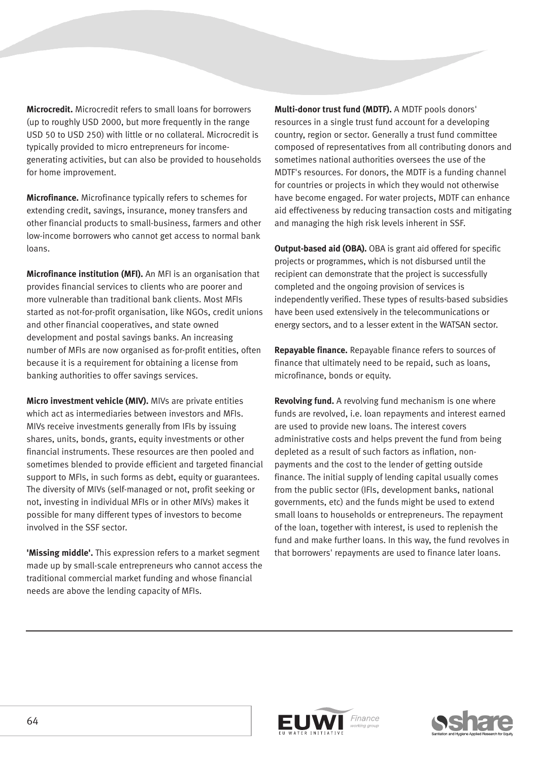**Microcredit.** Microcredit refers to small loans for borrowers (up to roughly USD 2000, but more frequently in the range USD 50 to USD 250) with little or no collateral. Microcredit is typically provided to micro entrepreneurs for incomegenerating activities, but can also be provided to households for home improvement.

**Microfinance.** Microfinance typically refers to schemes for extending credit, savings, insurance, money transfers and other financial products to small-business, farmers and other low-income borrowers who cannot get access to normal bank loans.

**Microfinance institution (MFI).** An MFI is an organisation that provides financial services to clients who are poorer and more vulnerable than traditional bank clients. Most MFIs started as not-for-profit organisation, like NGOs, credit unions and other financial cooperatives, and state owned development and postal savings banks. An increasing number of MFIs are now organised as for-profit entities, often because it is a requirement for obtaining a license from banking authorities to offer savings services.

**Micro investment vehicle (MIV).** MIVs are private entities which act as intermediaries between investors and MFIs. MIVs receive investments generally from IFIs by issuing shares, units, bonds, grants, equity investments or other financial instruments. These resources are then pooled and sometimes blended to provide efficient and targeted financial support to MFIs, in such forms as debt, equity or guarantees. The diversity of MIVs (self-managed or not, profit seeking or not, investing in individual MFIs or in other MIVs) makes it possible for many different types of investors to become involved in the SSF sector.

**'Missing middle'.** This expression refers to a market segment made up by small-scale entrepreneurs who cannot access the traditional commercial market funding and whose financial needs are above the lending capacity of MFIs.

**Multi-donor trust fund (MDTF).** A MDTF pools donors' resources in a single trust fund account for a developing country, region or sector. Generally a trust fund committee composed of representatives from all contributing donors and sometimes national authorities oversees the use of the MDTF's resources. For donors, the MDTF is a funding channel for countries or projects in which they would not otherwise have become engaged. For water projects, MDTF can enhance aid effectiveness by reducing transaction costs and mitigating and managing the high risk levels inherent in SSF.

**Output-based aid (OBA).** OBA is grant aid offered for specific projects or programmes, which is not disbursed until the recipient can demonstrate that the project is successfully completed and the ongoing provision of services is independently verified. These types of results-based subsidies have been used extensively in the telecommunications or energy sectors, and to a lesser extent in the WATSAN sector.

**Repayable finance.** Repayable finance refers to sources of finance that ultimately need to be repaid, such as loans, microfinance, bonds or equity.

**Revolving fund.** A revolving fund mechanism is one where funds are revolved, i.e. loan repayments and interest earned are used to provide new loans. The interest covers administrative costs and helps prevent the fund from being depleted as a result of such factors as inflation, nonpayments and the cost to the lender of getting outside finance. The initial supply of lending capital usually comes from the public sector (IFIs, development banks, national governments, etc) and the funds might be used to extend small loans to households or entrepreneurs. The repayment of the loan, together with interest, is used to replenish the fund and make further loans. In this way, the fund revolves in that borrowers' repayments are used to finance later loans.



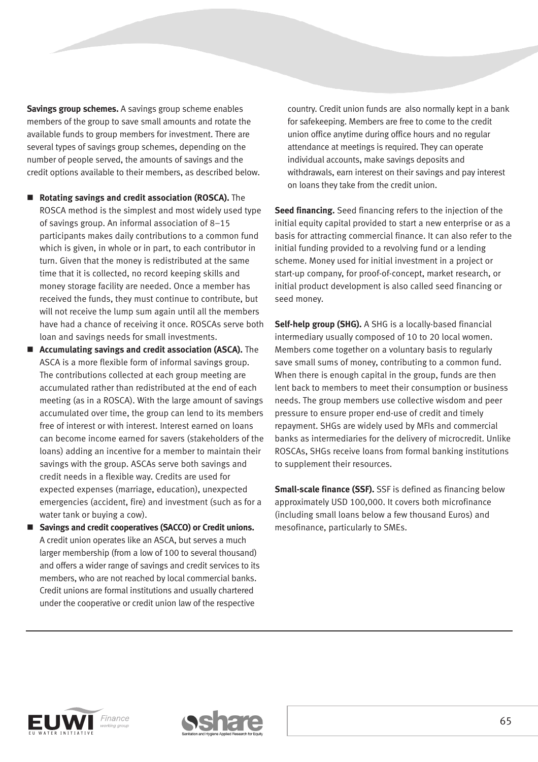**Savings group schemes.** A savings group scheme enables members of the group to save small amounts and rotate the available funds to group members for investment. There are several types of savings group schemes, depending on the number of people served, the amounts of savings and the credit options available to their members, as described below.

- **Rotating savings and credit association (ROSCA).** The ROSCA method is the simplest and most widely used type of savings group. An informal association of 8–15 participants makes daily contributions to a common fund which is given, in whole or in part, to each contributor in turn. Given that the money is redistributed at the same time that it is collected, no record keeping skills and money storage facility are needed. Once a member has received the funds, they must continue to contribute, but will not receive the lump sum again until all the members have had a chance of receiving it once. ROSCAs serve both loan and savings needs for small investments.
- **Accumulating savings and credit association (ASCA).** The ASCA is a more flexible form of informal savings group. The contributions collected at each group meeting are accumulated rather than redistributed at the end of each meeting (as in a ROSCA). With the large amount of savings accumulated over time, the group can lend to its members free of interest or with interest. Interest earned on loans can become income earned for savers (stakeholders of the loans) adding an incentive for a member to maintain their savings with the group. ASCAs serve both savings and credit needs in a flexible way. Credits are used for expected expenses (marriage, education), unexpected emergencies (accident, fire) and investment (such as for a water tank or buying a cow).
- Savings and credit cooperatives (SACCO) or Credit unions. A credit union operates like an ASCA, but serves a much larger membership (from a low of 100 to several thousand) and offers a wider range of savings and credit services to its members, who are not reached by local commercial banks. Credit unions are formal institutions and usually chartered under the cooperative or credit union law of the respective

country. Credit union funds are also normally kept in a bank for safekeeping. Members are free to come to the credit union office anytime during office hours and no regular attendance at meetings is required. They can operate individual accounts, make savings deposits and withdrawals, earn interest on their savings and pay interest on loans they take from the credit union.

**Seed financing.** Seed financing refers to the injection of the initial equity capital provided to start a new enterprise or as a basis for attracting commercial finance. It can also refer to the initial funding provided to a revolving fund or a lending scheme. Money used for initial investment in a project or start-up company, for proof-of-concept, market research, or initial product development is also called seed financing or seed money.

**Self-help group (SHG).** A SHG is a locally-based financial intermediary usually composed of 10 to 20 local women. Members come together on a voluntary basis to regularly save small sums of money, contributing to a common fund. When there is enough capital in the group, funds are then lent back to members to meet their consumption or business needs. The group members use collective wisdom and peer pressure to ensure proper end-use of credit and timely repayment. SHGs are widely used by MFIs and commercial banks as intermediaries for the delivery of microcredit. Unlike ROSCAs, SHGs receive loans from formal banking institutions to supplement their resources.

**Small-scale finance (SSF).** SSF is defined as financing below approximately USD 100,000. It covers both microfinance (including small loans below a few thousand Euros) and mesofinance, particularly to SMEs.



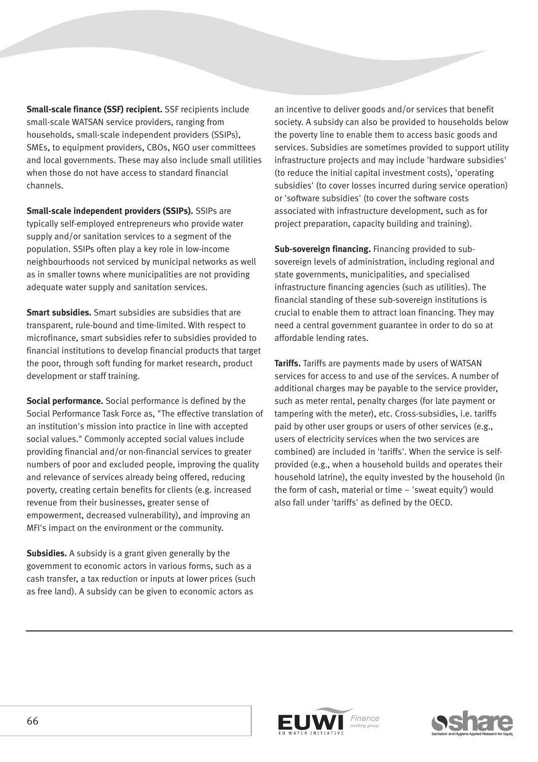**Small-scale finance (SSF) recipient.** SSF recipients include small-scale WATSAN service providers, ranging from households, small-scale independent providers (SSIPs), SMEs, to equipment providers, CBOs, NGO user committees and local governments. These may also include small utilities when those do not have access to standard financial channels.

**Small-scale independent providers (SSIPs).** SSIPs are typically self-employed entrepreneurs who provide water supply and/or sanitation services to a segment of the population. SSIPs often play a key role in low-income neighbourhoods not serviced by municipal networks as well as in smaller towns where municipalities are not providing adequate water supply and sanitation services.

**Smart subsidies.** Smart subsidies are subsidies that are transparent, rule-bound and time-limited. With respect to microfinance, smart subsidies refer to subsidies provided to financial institutions to develop financial products that target the poor, through soft funding for market research, product development or staff training.

**Social performance.** Social performance is defined by the Social Performance Task Force as, "The effective translation of an institution's mission into practice in line with accepted social values." Commonly accepted social values include providing financial and/or non-financial services to greater numbers of poor and excluded people, improving the quality and relevance of services already being offered, reducing poverty, creating certain benefits for clients (e.g. increased revenue from their businesses, greater sense of empowerment, decreased vulnerability), and improving an MFI's impact on the environment or the community.

**Subsidies.** A subsidy is a grant given generally by the government to economic actors in various forms, such as a cash transfer, a tax reduction or inputs at lower prices (such as free land). A subsidy can be given to economic actors as

an incentive to deliver goods and/or services that benefit society. A subsidy can also be provided to households below the poverty line to enable them to access basic goods and services. Subsidies are sometimes provided to support utility infrastructure projects and may include 'hardware subsidies' (to reduce the initial capital investment costs), 'operating subsidies' (to cover losses incurred during service operation) or 'software subsidies' (to cover the software costs associated with infrastructure development, such as for project preparation, capacity building and training).

**Sub-sovereign financing.** Financing provided to subsovereign levels of administration, including regional and state governments, municipalities, and specialised infrastructure financing agencies (such as utilities). The financial standing of these sub-sovereign institutions is crucial to enable them to attract loan financing. They may need a central government guarantee in order to do so at affordable lending rates.

**Tariffs.** Tariffs are payments made by users of WATSAN services for access to and use of the services. A number of additional charges may be payable to the service provider, such as meter rental, penalty charges (for late payment or tampering with the meter), etc. Cross-subsidies, i.e. tariffs paid by other user groups or users of other services (e.g., users of electricity services when the two services are combined) are included in 'tariffs'. When the service is selfprovided (e.g., when a household builds and operates their household latrine), the equity invested by the household (in the form of cash, material or time – 'sweat equity') would also fall under 'tariffs' as defined by the OECD.



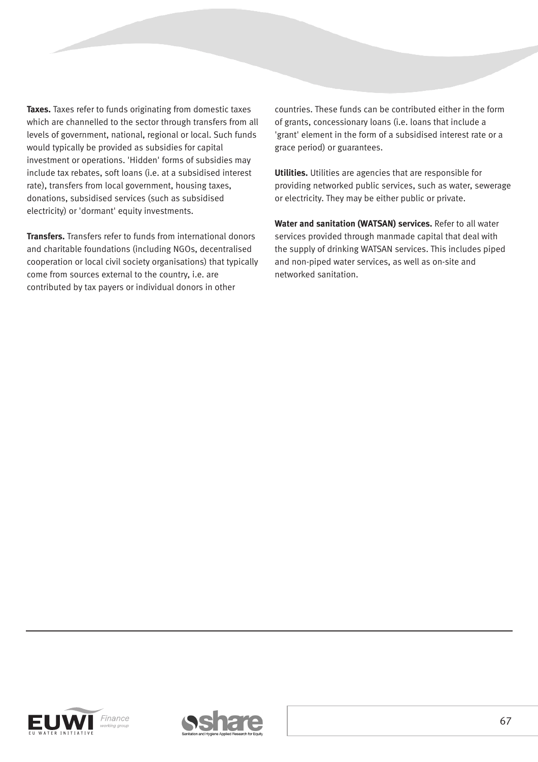**Taxes.** Taxes refer to funds originating from domestic taxes which are channelled to the sector through transfers from all levels of government, national, regional or local. Such funds would typically be provided as subsidies for capital investment or operations. 'Hidden' forms of subsidies may include tax rebates, soft loans (i.e. at a subsidised interest rate), transfers from local government, housing taxes, donations, subsidised services (such as subsidised electricity) or 'dormant' equity investments.

**Transfers.** Transfers refer to funds from international donors and charitable foundations (including NGOs, decentralised cooperation or local civil society organisations) that typically come from sources external to the country, i.e. are contributed by tax payers or individual donors in other

countries. These funds can be contributed either in the form of grants, concessionary loans (i.e. loans that include a 'grant' element in the form of a subsidised interest rate or a grace period) or guarantees.

**Utilities.** Utilities are agencies that are responsible for providing networked public services, such as water, sewerage or electricity. They may be either public or private.

**Water and sanitation (WATSAN) services.** Refer to all water services provided through manmade capital that deal with the supply of drinking WATSAN services. This includes piped and non-piped water services, as well as on-site and networked sanitation.



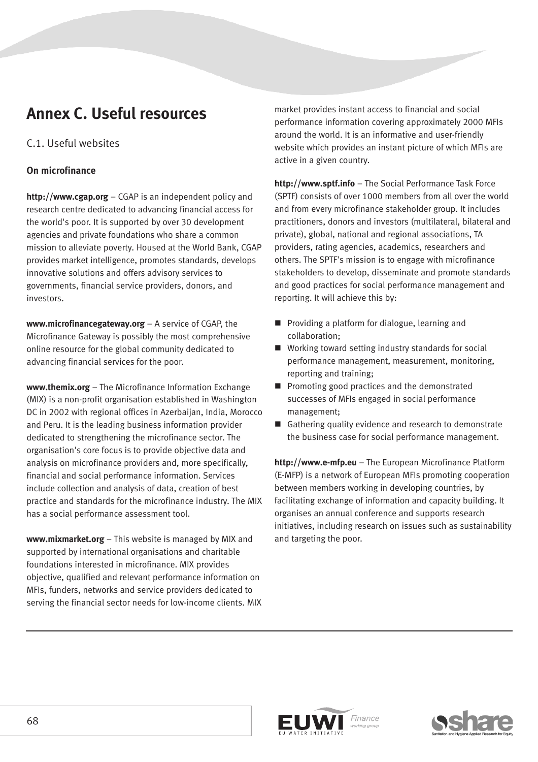## **Annex C. Useful resources**

## C.1. Useful websites

#### **On microfinance**

**http://www.cgap.org** – CGAP is an independent policy and research centre dedicated to advancing financial access for the world's poor. It is supported by over 30 development agencies and private foundations who share a common mission to alleviate poverty. Housed at the World Bank, CGAP provides market intelligence, promotes standards, develops innovative solutions and offers advisory services to governments, financial service providers, donors, and investors.

**www.microfinancegateway.org** – A service of CGAP, the Microfinance Gateway is possibly the most comprehensive online resource for the global community dedicated to advancing financial services for the poor.

**www.themix.org** – The Microfinance Information Exchange (MIX) is a non-profit organisation established in Washington DC in 2002 with regional offices in Azerbaijan, India, Morocco and Peru. It is the leading business information provider dedicated to strengthening the microfinance sector. The organisation's core focus is to provide objective data and analysis on microfinance providers and, more specifically, financial and social performance information. Services include collection and analysis of data, creation of best practice and standards for the microfinance industry. The MIX has a social performance assessment tool.

**www.mixmarket.org** – This website is managed by MIX and supported by international organisations and charitable foundations interested in microfinance. MIX provides objective, qualified and relevant performance information on MFIs, funders, networks and service providers dedicated to serving the financial sector needs for low-income clients. MIX market provides instant access to financial and social performance information covering approximately 2000 MFIs around the world. It is an informative and user-friendly website which provides an instant picture of which MFIs are active in a given country.

**http://www.sptf.info** – The Social Performance Task Force (SPTF) consists of over 1000 members from all over the world and from every microfinance stakeholder group. It includes practitioners, donors and investors (multilateral, bilateral and private), global, national and regional associations, TA providers, rating agencies, academics, researchers and others. The SPTF's mission is to engage with microfinance stakeholders to develop, disseminate and promote standards and good practices for social performance management and reporting. It will achieve this by:

- **Providing a platform for dialogue, learning and** collaboration;
- Working toward setting industry standards for social performance management, measurement, monitoring, reporting and training;
- **Promoting good practices and the demonstrated** successes of MFIs engaged in social performance management;
- Gathering quality evidence and research to demonstrate the business case for social performance management.

**http://www.e-mfp.eu** – The European Microfinance Platform (E-MFP) is a network of European MFIs promoting cooperation between members working in developing countries, by facilitating exchange of information and capacity building. It organises an annual conference and supports research initiatives, including research on issues such as sustainability and targeting the poor.



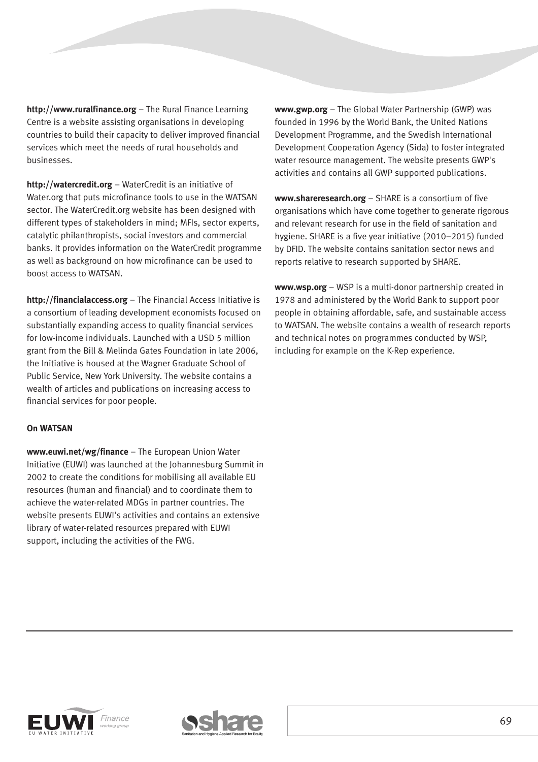**http://www.ruralfinance.org** – The Rural Finance Learning Centre is a website assisting organisations in developing countries to build their capacity to deliver improved financial services which meet the needs of rural households and businesses.

**http://watercredit.org** – WaterCredit is an initiative of Water.org that puts microfinance tools to use in the WATSAN sector. The WaterCredit.org website has been designed with different types of stakeholders in mind; MFIs, sector experts, catalytic philanthropists, social investors and commercial banks. It provides information on the WaterCredit programme as well as background on how microfinance can be used to boost access to WATSAN.

**http://financialaccess.org** – The Financial Access Initiative is a consortium of leading development economists focused on substantially expanding access to quality financial services for low-income individuals. Launched with a USD 5 million grant from the Bill & Melinda Gates Foundation in late 2006, the Initiative is housed at the Wagner Graduate School of Public Service, New York University. The website contains a wealth of articles and publications on increasing access to financial services for poor people.

#### **On WATSAN**

**www.euwi.net/wg/finance** – The European Union Water Initiative (EUWI) was launched at the Johannesburg Summit in 2002 to create the conditions for mobilising all available EU resources (human and financial) and to coordinate them to achieve the water-related MDGs in partner countries. The website presents EUWI's activities and contains an extensive library of water-related resources prepared with EUWI support, including the activities of the FWG.

**www.gwp.org** – The Global Water Partnership (GWP) was founded in 1996 by the World Bank, the United Nations Development Programme, and the Swedish International Development Cooperation Agency (Sida) to foster integrated water resource management. The website presents GWP's activities and contains all GWP supported publications.

**www.shareresearch.org** – SHARE is a consortium of five organisations which have come together to generate rigorous and relevant research for use in the field of sanitation and hygiene. SHARE is a five year initiative (2010–2015) funded by DFID. The website contains sanitation sector news and reports relative to research supported by SHARE.

**www.wsp.org** – WSP is a multi-donor partnership created in 1978 and administered by the World Bank to support poor people in obtaining affordable, safe, and sustainable access to WATSAN. The website contains a wealth of research reports and technical notes on programmes conducted by WSP, including for example on the K-Rep experience.



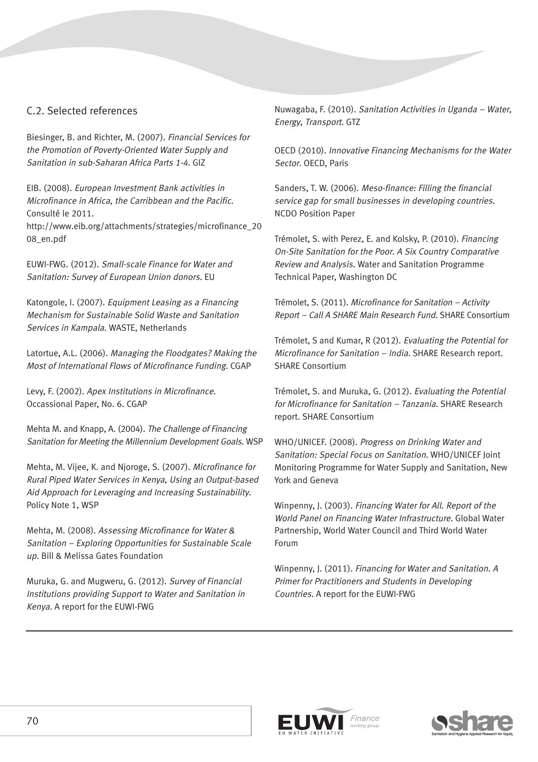## C.2. Selected references

Biesinger, B. and Richter, M. (2007). Financial Services for the Promotion of Poverty-Oriented Water Supply and Sanitation in sub-Saharan Africa Parts 1-4. GIZ

EIB. (2008). European Investment Bank activities in Microfinance in Africa, the Carribbean and the Pacific. Consulté le 2011.

http://www.eib.org/attachments/strategies/microfinance\_20 08\_en.pdf

EUWI-FWG. (2012). Small-scale Finance for Water and Sanitation: Survey of European Union donors. EU

Katongole, I. (2007). Equipment Leasing as a Financing Mechanism for Sustainable Solid Waste and Sanitation Services in Kampala. WASTE, Netherlands

Latortue, A.L. (2006). Managing the Floodgates? Making the Most of International Flows of Microfinance Funding. CGAP

Levy, F. (2002). Apex Institutions in Microfinance. Occassional Paper, No. 6. CGAP

Mehta M. and Knapp, A. (2004). The Challenge of Financing Sanitation for Meeting the Millennium Development Goals. WSP

Mehta, M. Vijee, K. and Njoroge, S. (2007). Microfinance for Rural Piped Water Services in Kenya, Using an Output-based Aid Approach for Leveraging and Increasing Sustainability. Policy Note 1, WSP

Mehta, M. (2008). Assessing Microfinance for Water & Sanitation – Exploring Opportunities for Sustainable Scale up. Bill & Melissa Gates Foundation

Muruka, G. and Mugweru, G. (2012). Survey of Financial Institutions providing Support to Water and Sanitation in Kenya. A report for the EUWI-FWG

Nuwagaba, F. (2010). Sanitation Activities in Uganda – Water, Energy, Transport. GTZ

OECD (2010). Innovative Financing Mechanisms for the Water Sector. OECD, Paris

Sanders, T. W. (2006). Meso-finance: Filling the financial service gap for small businesses in developing countries. NCDO Position Paper

Trémolet, S. with Perez, E. and Kolsky, P. (2010). Financing On-Site Sanitation for the Poor. A Six Country Comparative Review and Analysis. Water and Sanitation Programme Technical Paper, Washington DC

Trémolet, S. (2011). Microfinance for Sanitation – Activity Report – Call A SHARE Main Research Fund. SHARE Consortium

Trémolet, S and Kumar, R (2012). Evaluating the Potential for Microfinance for Sanitation – India. SHARE Research report. SHARE Consortium

Trémolet, S. and Muruka, G. (2012). Evaluating the Potential for Microfinance for Sanitation – Tanzania. SHARE Research report. SHARE Consortium

WHO/UNICEF. (2008). Progress on Drinking Water and Sanitation: Special Focus on Sanitation. WHO/UNICEF Joint Monitoring Programme for Water Supply and Sanitation, New York and Geneva

Winpenny, J. (2003). Financing Water for All. Report of the World Panel on Financing Water Infrastructure. Global Water Partnership, World Water Council and Third World Water Forum

Winpenny, J. (2011). Financing for Water and Sanitation. A Primer for Practitioners and Students in Developing Countries. A report for the EUWI-FWG